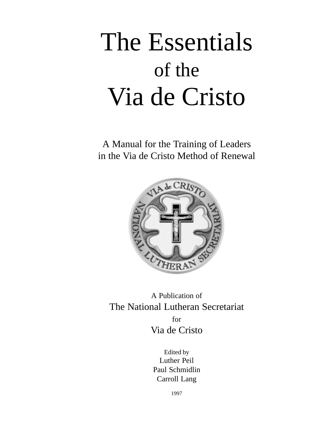# The Essentials of the Via de Cristo

A Manual for the Training of Leaders in the Via de Cristo Method of Renewal



A Publication of The National Lutheran Secretariat for Via de Cristo

> Edited by Luther Peil Paul Schmidlin Carroll Lang

> > 1997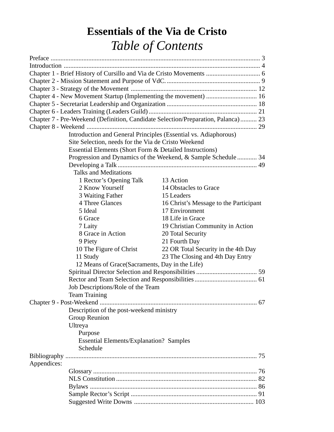# **Essentials of the Via de Cristo** *Table of Contents*

| Chapter 7 - Pre-Weekend (Definition, Candidate Selection/Preparation, Palanca)  23 |                                                               |  |
|------------------------------------------------------------------------------------|---------------------------------------------------------------|--|
|                                                                                    |                                                               |  |
| Introduction and General Principles (Essential vs. Adiaphorous)                    |                                                               |  |
| Site Selection, needs for the Via de Cristo Weekend                                |                                                               |  |
| Essential Elements (Short Form & Detailed Instructions)                            |                                                               |  |
|                                                                                    | Progression and Dynamics of the Weekend, & Sample Schedule 34 |  |
|                                                                                    |                                                               |  |
| <b>Talks and Meditations</b>                                                       |                                                               |  |
| 1 Rector's Opening Talk 13 Action                                                  |                                                               |  |
| 2 Know Yourself                                                                    | 14 Obstacles to Grace                                         |  |
| 3 Waiting Father                                                                   | 15 Leaders                                                    |  |
| 4 Three Glances                                                                    | 16 Christ's Message to the Participant                        |  |
| 5 Ideal                                                                            | 17 Environment                                                |  |
| 6 Grace                                                                            | 18 Life in Grace                                              |  |
| 7 Laity                                                                            | 19 Christian Community in Action                              |  |
| 8 Grace in Action                                                                  | 20 Total Security                                             |  |
| 9 Piety                                                                            | 21 Fourth Day                                                 |  |
| 10 The Figure of Christ                                                            | 22 OR Total Security in the 4th Day                           |  |
| 11 Study                                                                           | 23 The Closing and 4th Day Entry                              |  |
| 12 Means of Grace (Sacraments, Day in the Life)                                    |                                                               |  |
|                                                                                    |                                                               |  |
|                                                                                    |                                                               |  |
| Job Descriptions/Role of the Team                                                  |                                                               |  |
| <b>Team Training</b>                                                               |                                                               |  |
|                                                                                    |                                                               |  |
| Description of the post-weekend ministry                                           |                                                               |  |
| Group Reunion                                                                      |                                                               |  |
| Ultreya                                                                            |                                                               |  |
| Purpose                                                                            |                                                               |  |
| <b>Essential Elements/Explanation? Samples</b>                                     |                                                               |  |
| Schedule                                                                           |                                                               |  |
|                                                                                    |                                                               |  |
| Appendices:                                                                        |                                                               |  |
|                                                                                    |                                                               |  |
|                                                                                    |                                                               |  |
|                                                                                    |                                                               |  |
|                                                                                    |                                                               |  |
|                                                                                    |                                                               |  |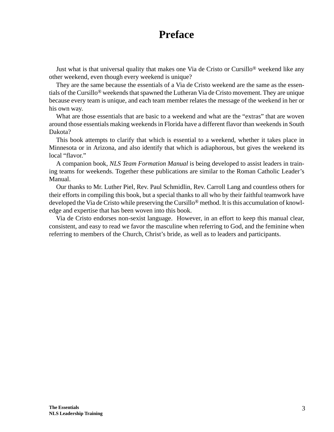# **Preface**

Just what is that universal quality that makes one Via de Cristo or Cursillo® weekend like any other weekend, even though every weekend is unique?

They are the same because the essentials of a Via de Cristo weekend are the same as the essentials of the Cursillo® weekends that spawned the Lutheran Via de Cristo movement. They are unique because every team is unique, and each team member relates the message of the weekend in her or his own way.

What are those essentials that are basic to a weekend and what are the "extras" that are woven around those essentials making weekends in Florida have a different flavor than weekends in South Dakota?

This book attempts to clarify that which is essential to a weekend, whether it takes place in Minnesota or in Arizona, and also identify that which is adiaphorous, but gives the weekend its local "flavor."

A companion book, *NLS Team Formation Manual* is being developed to assist leaders in training teams for weekends. Together these publications are similar to the Roman Catholic Leader's Manual.

Our thanks to Mr. Luther Piel, Rev. Paul Schmidlin, Rev. Carroll Lang and countless others for their efforts in compiling this book, but a special thanks to all who by their faithful teamwork have developed the Via de Cristo while preserving the Cursillo® method. It is this accumulation of knowledge and expertise that has been woven into this book.

Via de Cristo endorses non-sexist language. However, in an effort to keep this manual clear, consistent, and easy to read we favor the masculine when referring to God, and the feminine when referring to members of the Church, Christ's bride, as well as to leaders and participants.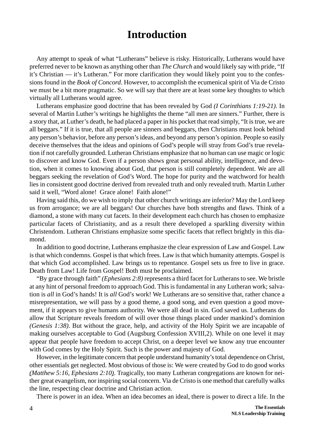# **Introduction**

Any attempt to speak of what "Lutherans" believe is risky. Historically, Lutherans would have preferred never to be known as anything other than *The Church* and would likely say with pride, "If it's Christian — it's Lutheran." For more clarification they would likely point you to the confessions found in the *Book of Concord*. However, to accomplish the ecumenical spirit of Via de Cristo we must be a bit more pragmatic. So we will say that there are at least some key thoughts to which virtually all Lutherans would agree.

Lutherans emphasize good doctrine that has been revealed by God *(I Corinthians 1:19-21)*. In several of Martin Luther's writings he highlights the theme "all men are sinners." Further, there is a story that, at Luther's death, he had placed a paper in his pocket that read simply, "It is true, we are all beggars." If it is true, that all people are sinners and beggars, then Christians must look behind any person's behavior, before any person's ideas, and beyond any person's opinion. People so easily deceive themselves that the ideas and opinions of God's people will stray from God's true revelation if not carefully grounded. Lutheran Christians emphasize that no human can use magic or logic to discover and know God. Even if a person shows great personal ability, intelligence, and devotion, when it comes to knowing about God, that person is still completely dependent. We are all beggars seeking the revelation of God's Word. The hope for purity and the watchword for health lies in consistent good doctrine derived from revealed truth and only revealed truth. Martin Luther said it well, "Word alone! Grace alone! Faith alone!"

Having said this, do we wish to imply that other church writings are inferior? May the Lord keep us from arrogance; we are all beggars! Our churches have both strengths and flaws. Think of a diamond, a stone with many cut facets. In their development each church has chosen to emphasize particular facets of Christianity, and as a result there developed a sparkling diversity within Christendom. Lutheran Christians emphasize some specific facets that reflect brightly in this diamond.

In addition to good doctrine, Lutherans emphasize the clear expression of Law and Gospel. Law is that which condemns. Gospel is that which frees. Law is that which humanity attempts. Gospel is that which God accomplished. Law brings us to repentance. Gospel sets us free to live in grace. Death from Law! Life from Gospel! Both must be proclaimed.

"By grace through faith" *(Ephesians 2:8)* represents a third facet for Lutherans to see. We bristle at any hint of personal freedom to approach God. This is fundamental in any Lutheran work; salvation is *all* in God's hands! It is *all* God's work! We Lutherans are so sensitive that, rather chance a misrepresentation, we will pass by a good theme, a good song, and even question a good movement, if it appears to give humans authority. We were all dead in sin. God saved us. Lutherans do allow that Scripture reveals freedom of will over those things placed under mankind's dominion *(Genesis 1:38)*. But without the grace, help, and activity of the Holy Spirit we are incapable of making ourselves acceptable to God (Augsburg Confession XVIII,2). While on one level it may appear that people have freedom to accept Christ, on a deeper level we know any true encounter with God comes by the Holy Spirit. Such is the power and majesty of God.

However, in the legitimate concern that people understand humanity's total dependence on Christ, other essentials get neglected. Most obvious of those is: We were created by God to do good works *(Matthew 5:16, Ephesians 2:10)*. Tragically, too many Lutheran congregations are known for neither great evangelism, nor inspiring social concern. Via de Cristo is one method that carefully walks the line, respecting clear doctrine and Christian action.

There is power in an idea. When an idea becomes an ideal, there is power to direct a life. In the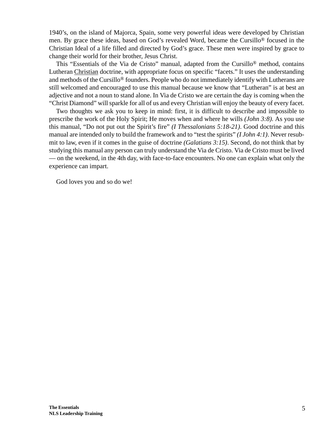1940's, on the island of Majorca, Spain, some very powerful ideas were developed by Christian men. By grace these ideas, based on God's revealed Word, became the Cursillo® focused in the Christian Ideal of a life filled and directed by God's grace. These men were inspired by grace to change their world for their brother, Jesus Christ.

This "Essentials of the Via de Cristo" manual, adapted from the Cursillo® method, contains Lutheran Christian doctrine, with appropriate focus on specific "facets." It uses the understanding and methods of the Cursillo® founders. People who do not immediately identify with Lutherans are still welcomed and encouraged to use this manual because we know that "Lutheran" is at best an adjective and not a noun to stand alone. In Via de Cristo we are certain the day is coming when the "Christ Diamond" will sparkle for all of us and every Christian will enjoy the beauty of every facet.

Two thoughts we ask you to keep in mind: first, it is difficult to describe and impossible to prescribe the work of the Holy Spirit; He moves when and where he wills *(John 3:8)*. As you use this manual, "Do not put out the Spirit's fire" *(I Thessalonians 5:18-21)*. Good doctrine and this manual are intended only to build the framework and to "test the spirits" *(I John 4:1)*. Never resubmit to law, even if it comes in the guise of doctrine *(Galatians 3:15)*. Second, do not think that by studying this manual any person can truly understand the Via de Cristo. Via de Cristo must be lived — on the weekend, in the 4th day, with face-to-face encounters. No one can explain what only the experience can impart.

God loves you and so do we!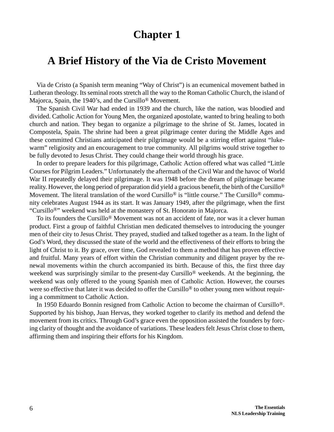## **A Brief History of the Via de Cristo Movement**

Via de Cristo (a Spanish term meaning "Way of Christ") is an ecumenical movement bathed in Lutheran theology. Its seminal roots stretch all the way to the Roman Catholic Church, the island of Majorca, Spain, the 1940's, and the Cursillo® Movement.

The Spanish Civil War had ended in 1939 and the church, like the nation, was bloodied and divided. Catholic Action for Young Men, the organized apostolate, wanted to bring healing to both church and nation. They began to organize a pilgrimage to the shrine of St. James, located in Compostela, Spain. The shrine had been a great pilgrimage center during the Middle Ages and these committed Christians anticipated their pilgrimage would be a stirring effort against "lukewarm" religiosity and an encouragement to true community. All pilgrims would strive together to be fully devoted to Jesus Christ. They could change their world through his grace.

In order to prepare leaders for this pilgrimage, Catholic Action offered what was called "Little Courses for Pilgrim Leaders." Unfortunately the aftermath of the Civil War and the havoc of World War II repeatedly delayed their pilgrimage. It was 1948 before the dream of pilgrimage became reality. However, the long period of preparation did yield a gracious benefit, the birth of the Cursillo® Movement. The literal translation of the word Cursillo<sup>®</sup> is "little course." The Cursillo<sup>®</sup> community celebrates August 1944 as its start. It was January 1949, after the pilgrimage, when the first "Cursillo®" weekend was held at the monastery of St. Honorato in Majorca.

To its founders the Cursillo® Movement was not an accident of fate, nor was it a clever human product. First a group of faithful Christian men dedicated themselves to introducing the younger men of their city to Jesus Christ. They prayed, studied and talked together as a team. In the light of God's Word, they discussed the state of the world and the effectiveness of their efforts to bring the light of Christ to it. By grace, over time, God revealed to them a method that has proven effective and fruitful. Many years of effort within the Christian community and diligent prayer by the renewal movements within the church accompanied its birth. Because of this, the first three day weekend was surprisingly similar to the present-day Cursillo® weekends. At the beginning, the weekend was only offered to the young Spanish men of Catholic Action. However, the courses were so effective that later it was decided to offer the Cursillo<sup>®</sup> to other young men without requiring a commitment to Catholic Action.

In 1950 Eduardo Bonnin resigned from Catholic Action to become the chairman of Cursillo®. Supported by his bishop, Juan Hervas, they worked together to clarify its method and defend the movement from its critics. Through God's grace even the opposition assisted the founders by forcing clarity of thought and the avoidance of variations. These leaders felt Jesus Christ close to them, affirming them and inspiring their efforts for his Kingdom.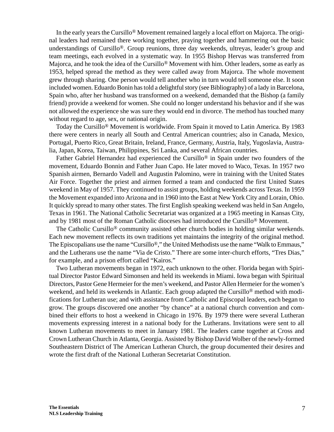In the early years the Cursillo® Movement remained largely a local effort on Majorca. The original leaders had remained there working together, praying together and hammering out the basic understandings of Cursillo®. Group reunions, three day weekends, ultreyas, leader's group and team meetings, each evolved in a systematic way. In 1955 Bishop Hervas was transferred from Majorca, and he took the idea of the Cursillo<sup>®</sup> Movement with him. Other leaders, some as early as 1953, helped spread the method as they were called away from Majorca. The whole movement grew through sharing. One person would tell another who in turn would tell someone else. It soon included women. Eduardo Bonin has told a delightful story (see Bibliography) of a lady in Barcelona, Spain who, after her husband was transformed on a weekend, demanded that the Bishop (a family friend) provide a weekend for women. She could no longer understand his behavior and if she was not allowed the experience she was sure they would end in divorce. The method has touched many without regard to age, sex, or national origin.

Today the Cursillo® Movement is worldwide. From Spain it moved to Latin America. By 1983 there were centers in nearly all South and Central American countries; also in Canada, Mexico, Portugal, Puerto Rico, Great Britain, Ireland, France, Germany, Austria, Italy, Yugoslavia, Australia, Japan, Korea, Taiwan, Philippines, Sri Lanka, and several African countries.

Father Gabriel Hernandez had experienced the Cursillo® in Spain under two founders of the movement, Eduardo Bonnin and Father Juan Capo. He later moved to Waco, Texas. In 1957 two Spanish airmen, Bernardo Vadell and Augustin Palomino, were in training with the United States Air Force. Together the priest and airmen formed a team and conducted the first United States weekend in May of 1957. They continued to assist groups, holding weekends across Texas. In 1959 the Movement expanded into Arizona and in 1960 into the East at New York City and Lorain, Ohio. It quickly spread to many other states. The first English speaking weekend was held in San Angelo, Texas in 1961. The National Catholic Secretariat was organized at a 1965 meeting in Kansas City, and by 1981 most of the Roman Catholic dioceses had introduced the Cursillo® Movement.

The Catholic Cursillo® community assisted other church bodies in holding similar weekends. Each new movement reflects its own traditions yet maintains the integrity of the original method. The Episcopalians use the name "Cursillo®," the United Methodists use the name "Walk to Emmaus," and the Lutherans use the name "Via de Cristo." There are some inter-church efforts, "Tres Dias," for example, and a prison effort called "Kairos."

Two Lutheran movements began in 1972, each unknown to the other. Florida began with Spiritual Director Pastor Edward Simonsen and held its weekends in Miami. Iowa began with Spiritual Directors, Pastor Gene Hermeier for the men's weekend, and Pastor Allen Hermeier for the women's weekend, and held its weekends in Atlantic. Each group adapted the Cursillo® method with modifications for Lutheran use; and with assistance from Catholic and Episcopal leaders, each began to grow. The groups discovered one another "by chance" at a national church convention and combined their efforts to host a weekend in Chicago in 1976. By 1979 there were several Lutheran movements expressing interest in a national body for the Lutherans. Invitations were sent to all known Lutheran movements to meet in January 1981. The leaders came together at Cross and Crown Lutheran Church in Atlanta, Georgia. Assisted by Bishop David Wolber of the newly-formed Southeastern District of The American Lutheran Church, the group documented their desires and wrote the first draft of the National Lutheran Secretariat Constitution.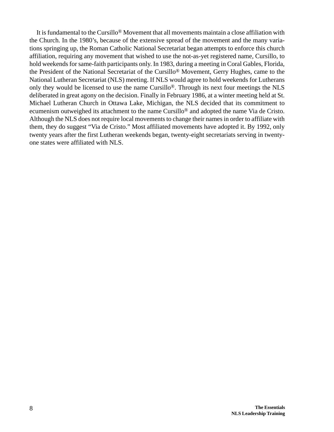It is fundamental to the Cursillo® Movement that all movements maintain a close affiliation with the Church. In the 1980's, because of the extensive spread of the movement and the many variations springing up, the Roman Catholic National Secretariat began attempts to enforce this church affiliation, requiring any movement that wished to use the not-as-yet registered name, Cursillo, to hold weekends for same-faith participants only. In 1983, during a meeting in Coral Gables, Florida, the President of the National Secretariat of the Cursillo® Movement, Gerry Hughes, came to the National Lutheran Secretariat (NLS) meeting. If NLS would agree to hold weekends for Lutherans only they would be licensed to use the name Cursillo®. Through its next four meetings the NLS deliberated in great agony on the decision. Finally in February 1986, at a winter meeting held at St. Michael Lutheran Church in Ottawa Lake, Michigan, the NLS decided that its commitment to ecumenism outweighed its attachment to the name Cursillo® and adopted the name Via de Cristo. Although the NLS does not require local movements to change their names in order to affiliate with them, they do suggest "Via de Cristo." Most affiliated movements have adopted it. By 1992, only twenty years after the first Lutheran weekends began, twenty-eight secretariats serving in twentyone states were affiliated with NLS.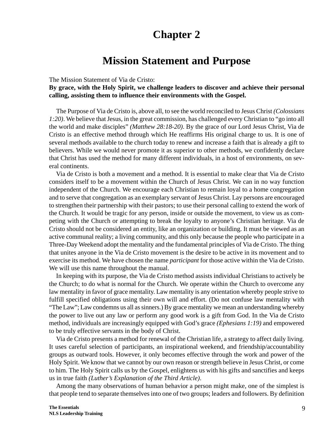# **Mission Statement and Purpose**

The Mission Statement of Via de Cristo:

**By grace, with the Holy Spirit, we challenge leaders to discover and achieve their personal calling, assisting them to influence their environments with the Gospel.**

The Purpose of Via de Cristo is, above all, to see the world reconciled to Jesus Christ *(Colossians 1:20)*. We believe that Jesus, in the great commission, has challenged every Christian to "go into all the world and make disciples" *(Matthew 28:18-20)*. By the grace of our Lord Jesus Christ, Via de Cristo is an effective method through which He reaffirms His original charge to us. It is one of several methods available to the church today to renew and increase a faith that is already a gift to believers. While we would never promote it as superior to other methods, we confidently declare that Christ has used the method for many different individuals, in a host of environments, on several continents.

Via de Cristo is both a movement and a method. It is essential to make clear that Via de Cristo considers itself to be a movement within the Church of Jesus Christ. We can in no way function independent of the Church. We encourage each Christian to remain loyal to a home congregation and to serve that congregation as an exemplary servant of Jesus Christ. Lay persons are encouraged to strengthen their partnership with their pastors; to use their personal calling to extend the work of the Church. It would be tragic for any person, inside or outside the movement, to view us as competing with the Church or attempting to break the loyalty to anyone's Christian heritage. Via de Cristo should not be considered an entity, like an organization or building. It must be viewed as an active communal reality; a living community, and this only because the people who participate in a Three-Day Weekend adopt the mentality and the fundamental principles of Via de Cristo. The thing that unites anyone in the Via de Cristo movement is the desire to be active in its movement and to exercise its method. We have chosen the name *participant* for those active within the Via de Cristo. We will use this name throughout the manual.

In keeping with its purpose, the Via de Cristo method assists individual Christians to actively be the Church; to do what is normal for the Church. We operate within the Church to overcome any law mentality in favor of grace mentality. Law mentality is any orientation whereby people strive to fulfill specified obligations using their own will and effort. (Do not confuse law mentality with "The Law"; Law condemns us all as sinners.) By grace mentality we mean an understanding whereby the power to live out any law or perform any good work is a gift from God. In the Via de Cristo method, individuals are increasingly equipped with God's grace *(Ephesians 1:19)* and empowered to be truly effective servants in the body of Christ.

Via de Cristo presents a method for renewal of the Christian life, a strategy to affect daily living. It uses careful selection of participants, an inspirational weekend, and friendship/accountability groups as outward tools. However, it only becomes effective through the work and power of the Holy Spirit. We know that we cannot by our own reason or strength believe in Jesus Christ, or come to him. The Holy Spirit calls us by the Gospel, enlightens us with his gifts and sanctifies and keeps us in true faith *(Luther's Explanation of the Third Article)*.

Among the many observations of human behavior a person might make, one of the simplest is that people tend to separate themselves into one of two groups; leaders and followers. By definition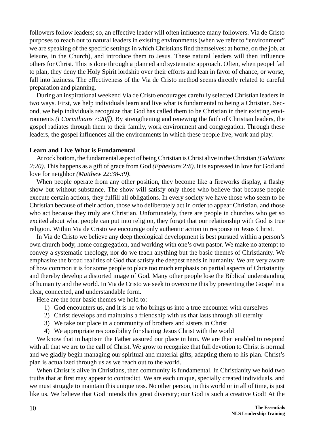followers follow leaders; so, an effective leader will often influence many followers. Via de Cristo purposes to reach out to natural leaders in existing environments (when we refer to "environment" we are speaking of the specific settings in which Christians find themselves: at home, on the job, at leisure, in the Church), and introduce them to Jesus. These natural leaders will then influence others for Christ. This is done through a planned and systematic approach. Often, when peopel fail to plan, they deny the Holy Spirit lordship over their efforts and lean in favor of chance, or worse, fall into laziness. The effectiveness of the Via de Cristo method seems directly related to careful preparation and planning.

During an inspirational weekend Via de Cristo encourages carefully selected Christian leaders in two ways. First, we help individuals learn and live what is fundamental to being a Christian. Second, we help individuals recognize that God has called them to be Christian in their existing environments *(I Corinthians 7:20ff)*. By strengthening and renewing the faith of Christian leaders, the gospel radiates through them to their family, work environment and congregation. Through these leaders, the gospel influences all the environments in which these people live, work and play.

### **Learn and Live What is Fundamental**

At rock bottom, the fundamental aspect of being Christian is Christ alive in the Christian *(Galatians 2:20)*. This happens as a gift of grace from God *(Ephesians 2:8)*. It is expressed in love for God and love for neighbor *(Matthew 22:38-39)*.

When people operate from any other position, they become like a fireworks display, a flashy show but without substance. The show will satisfy only those who believe that because people execute certain actions, they fulfill all obligations. In every society we have those who seem to be Christian because of their action, those who deliberately act in order to appear Christian, and those who act because they truly are Christian. Unfortunately, there are people in churches who get so excited about what people can put into religion, they forget that our relationship with God is true religion. Within Via de Cristo we encourage only authentic action in response to Jesus Christ.

In Via de Cristo we believe any deep theological development is best pursued within a person's own church body, home congregation, and working with one's own pastor. We make no attempt to convey a systematic theology, nor do we teach anything but the basic themes of Christianity. We emphasize the broad realities of God that satisfy the deepest needs in humanity. We are very aware of how common it is for some people to place too much emphasis on partial aspects of Christianity and thereby develop a distorted image of God. Many other people lose the Biblical understanding of humanity and the world. In Via de Cristo we seek to overcome this by presenting the Gospel in a clear, connected, and understandable form.

Here are the four basic themes we hold to:

- 1) God encounters us, and it is he who brings us into a true encounter with ourselves
- 2) Christ develops and maintains a friendship with us that lasts through all eternity
- 3) We take our place in a community of brothers and sisters in Christ
- 4) We appropriate responsibility for sharing Jesus Christ with the world

We know that in baptism the Father assured our place in him. We are then enabled to respond with all that we are to the call of Christ. We grow to recognize that full devotion to Christ is normal and we gladly begin managing our spiritual and material gifts, adapting them to his plan. Christ's plan is actualized through us as we reach out to the world.

When Christ is alive in Christians, then community is fundamental. In Christianity we hold two truths that at first may appear to contradict. We are each unique, specially created individuals, and we must struggle to maintain this uniqueness. No other person, in this world or in all of time, is just like us. We believe that God intends this great diversity; our God is such a creative God! At the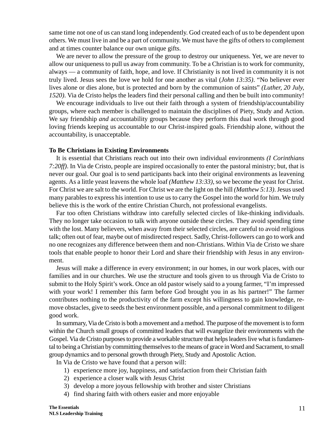same time not one of us can stand long independently. God created each of us to be dependent upon others. We must live in and be a part of community. We must have the gifts of others to complement and at times counter balance our own unique gifts.

We are never to allow the pressure of the group to destroy our uniqueness. Yet, we are never to allow our uniqueness to pull us away from community. To be a Christian is to work for community, always — a community of faith, hope, and love. If Christianity is not lived in community it is not truly lived. Jesus sees the love we hold for one another as vital (*John 13:35)*. "No believer ever lives alone or dies alone, but is protected and born by the communion of saints" *(Luther, 20 July, 1520)*. Via de Cristo helps the leaders find their personal calling and then be built into community!

We encourage individuals to live out their faith through a system of friendship/accountability groups, where each member is challenged to maintain the disciplines of Piety, Study and Action. We say friendship *and* accountability groups because they perform this dual work through good loving friends keeping us accountable to our Christ-inspired goals. Friendship alone, without the accountability, is unacceptable.

#### **To Be Christians in Existing Environments**

It is essential that Christians reach out into their own individual environments *(I Corinthians 7:20ff)*. In Via de Cristo, people are inspired occasionally to enter the pastoral ministry; but, that is never our goal. Our goal is to send participants back into their original environments as leavening agents. As a little yeast leavens the whole loaf *(Matthew 13:33)*, so we become the yeast for Christ. For Christ we are salt to the world. For Christ we are the light on the hill *(Matthew 5:13)*. Jesus used many parables to express his intention to use us to carry the Gospel into the world for him. We truly believe this is the work of the entire Christian Church, not professional evangelists.

Far too often Christians withdraw into carefully selected circles of like-thinking individuals. They no longer take occasion to talk with anyone outside these circles. They avoid spending time with the lost. Many believers, when away from their selected circles, are careful to avoid religious talk; often out of fear, maybe out of misdirected respect. Sadly, Christ-followers can go to work and no one recognizes any difference between them and non-Christians. Within Via de Cristo we share tools that enable people to honor their Lord and share their friendship with Jesus in any environment.

Jesus will make a difference in every environment; in our homes, in our work places, with our families and in our churches. We use the structure and tools given to us through Via de Cristo to submit to the Holy Spirit's work. Once an old pastor wisely said to a young farmer, "I'm impressed with your work! I remember this farm before God brought you in as his partner!" The farmer contributes nothing to the productivity of the farm except his willingness to gain knowledge, remove obstacles, give to seeds the best environment possible, and a personal commitment to diligent good work.

In summary, Via de Cristo is both a movement and a method. The purpose of the movement is to form within the Church small groups of committed leaders that will evangelize their environments with the Gospel. Via de Cristo purposes to provide a workable structure that helps leaders live what is fundamental to being a Christian by committing themselves to the means of grace in Word and Sacrament, to small group dynamics and to personal growth through Piety, Study and Apostolic Action.

In Via de Cristo we have found that a person will:

- 1) experience more joy, happiness, and satisfaction from their Christian faith
- 2) experience a closer walk with Jesus Christ
- 3) develop a more joyous fellowship with brother and sister Christians
- 4) find sharing faith with others easier and more enjoyable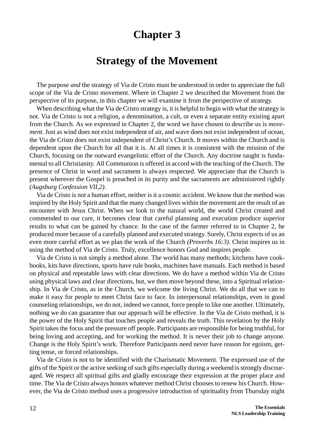## **Strategy of the Movement**

The purpose *and* the strategy of Via de Cristo must be understood in order to appreciate the full scope of the Via de Cristo movement. Where in Chapter 2 we described the Movement from the perspective of its purpose, in this chapter we will examine it from the perspective of strategy.

When describing what the Via de Cristo strategy is, it is helpful to begin with what the strategy is not. Via de Cristo is not a religion, a denomination, a cult, or even a separate entity existing apart from the Church. As we expressed in Chapter 2, the word we have chosen to describe us is *movement.* Just as wind does not exist independent of air, and wave does not exist independent of ocean, the Via de Cristo does not exist independent of Christ's Church. It moves within the Church and is dependent upon the Church for all that it is. At all times it is consistent with the mission of the Church, focusing on the outward evangelistic effort of the Church. Any doctrine taught is fundamental to all Christianity. All Communion is offered in accord with the teaching of the Church. The presence of Christ in word and sacrament is always respected. We appreciate that the Church is present wherever the Gospel is preached in its purity and the sacraments are administered rightly *(Augsburg Confession VII,2)*.

Via de Cristo is not a human effort, neither is it a cosmic accident. We know that the method was inspired by the Holy Spirit and that the many changed lives within the movement are the result of an encounter with Jesus Christ. When we look to the natural world, the world Christ created and commended to our care, it becomes clear that careful planning and execution produce superior results to what can be gained by chance. In the case of the farmer referred to in Chapter 2, he produced more because of a carefully planned and executed strategy. Surely, Christ expects of us an even more careful effort as we plan the work of the Church *(Proverbs 16:3)*. Christ inspires us in using the method of Via de Cristo. Truly, excellence honors God and inspires people.

Via de Cristo is not simply a method alone. The world has many methods; kitchens have cookbooks, kits have directions, sports have rule books, machines have manuals. Each method is based on physical and repeatable laws with clear directions. We do have a method within Via de Cristo using physical laws and clear directions, but, we then move beyond these, into a Spiritual relationship. In Via de Cristo, as in the Church, we welcome the living Christ. We do all that we can to make it easy for people to meet Christ face to face. In interpersonal relationships, even in good counseling relationships, we do not, indeed we cannot, force people to like one another. Ultimately, nothing we do can guarantee that our approach will be effective. In the Via de Cristo method, it is the power of the Holy Spirit that touches people and reveals the truth. This revelation by the Holy Spirit takes the focus and the pressure off people. Participants are responsible for being truthful, for being loving and accepting, and for working the method. It is never their job to change anyone. Change is the Holy Spirit's work. Therefore Participants need never have reason for egoism, getting tense, or forced relationships.

Via de Cristo is not to be identified with the Charismatic Movement. The expressed use of the gifts of the Spirit or the active seeking of such gifts especially during a weekend is strongly discouraged. We respect all spiritual gifts and gladly encourage their expression at the proper place and time. The Via de Cristo always honors whatever method Christ chooses to renew his Church. However, the Via de Cristo method uses a progressive introduction of spirituality from Thursday night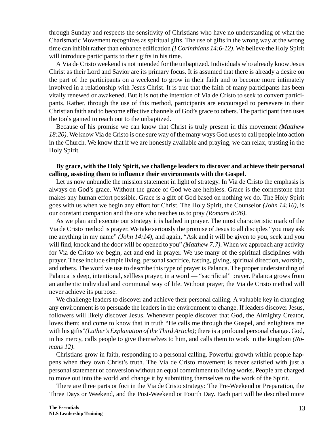through Sunday and respects the sensitivity of Christians who have no understanding of what the Charismatic Movement recognizes as spiritual gifts. The use of gifts in the wrong way at the wrong time can inhibit rather than enhance edification *(I Corinthians 14:6-12)*. We believe the Holy Spirit will introduce participants to their gifts in his time.

A Via de Cristo weekend is not intended for the unbaptized. Individuals who already know Jesus Christ as their Lord and Savior are its primary focus. It is assumed that there is already a desire on the part of the participants on a weekend to grow in their faith and to become more intimately involved in a relationship with Jesus Christ. It is true that the faith of many participants has been vitally renewed or awakened. But it is not the intention of Via de Cristo to seek to convert participants. Rather, through the use of this method, participants are encouraged to persevere in their Christian faith and to become effective channels of God's grace to others. The participant then uses the tools gained to reach out to the unbaptized.

Because of his promise we can know that Christ is truly present in this movement *(Matthew 18:20)*. We know Via de Cristo is one sure way of the many ways God uses to call people into action in the Church. We know that if we are honestly available and praying, we can relax, trusting in the Holy Spirit.

## **By grace, with the Holy Spirit, we challenge leaders to discover and achieve their personal calling, assisting them to influence their environments with the Gospel.**

Let us now unbundle the mission statement in light of strategy. In Via de Cristo the emphasis is always on God's grace. Without the grace of God we are helpless. Grace is the cornerstone that makes any human effort possible. Grace is a gift of God based on nothing we do. The Holy Spirit goes with us when we begin any effort for Christ. The Holy Spirit, the Counselor *(John 14:16)*, is our constant companion and the one who teaches us to pray *(Romans 8:26)*.

As we plan and execute our strategy it is bathed in prayer. The most characteristic mark of the Via de Cristo method is prayer. We take seriously the promise of Jesus to all disciples "you may ask me anything in my name" *(John 14:14)*, and again, "Ask and it will be given to you, seek and you will find, knock and the door will be opened to you" *(Matthew 7:7)*. When we approach any activity for Via de Cristo we begin, act and end in prayer. We use many of the spiritual disciplines with prayer. These include simple living, personal sacrifice, fasting, giving, spiritual direction, worship, and others. The word we use to describe this type of prayer is Palanca. The proper understanding of Palanca is deep, intentional, selfless prayer, in a word — "sacrificial" prayer. Palanca grows from an authentic individual and communal way of life. Without prayer, the Via de Cristo method will never achieve its purpose.

We challenge leaders to discover and achieve their personal calling. A valuable key in changing any environment is to persuade the leaders in the environment to change. If leaders discover Jesus, followers will likely discover Jesus. Whenever people discover that God, the Almighty Creator, loves them; and come to know that in truth "He calls me through the Gospel, and enlightens me with his gifts"*(Luther's Explanation of the Third Article)*; there is a profound personal change. God, in his mercy, calls people to give themselves to him, and calls them to work in the kingdom *(Romans 12)*.

Christians grow in faith, responding to a personal calling. Powerful growth within people happens when they own Christ's truth. The Via de Cristo movement is never satisfied with just a personal statement of conversion without an equal commitment to living works. People are charged to move out into the world and change it by submitting themselves to the work of the Spirit.

There are three parts or foci in the Via de Cristo strategy: The Pre-Weekend or Preparation, the Three Days or Weekend, and the Post-Weekend or Fourth Day. Each part will be described more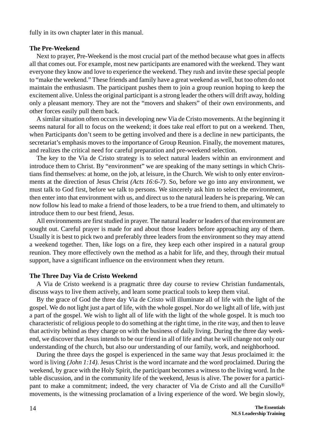fully in its own chapter later in this manual.

#### **The Pre-Weekend**

Next to prayer, Pre-Weekend is the most crucial part of the method because what goes in affects all that comes out. For example, most new participants are enamored with the weekend. They want everyone they know and love to experience the weekend. They rush and invite these special people to "make the weekend." These friends and family have a great weekend as well, but too often do not maintain the enthusiasm. The participant pushes them to join a group reunion hoping to keep the excitement alive. Unless the original participant is a strong leader the others will drift away, holding only a pleasant memory. They are not the "movers and shakers" of their own environments, and other forces easily pull them back.

A similar situation often occurs in developing new Via de Cristo movements. At the beginning it seems natural for all to focus on the weekend; it does take real effort to put on a weekend. Then, when Participants don't seem to be getting involved and there is a decline in new participants, the secretariat's emphasis moves to the importance of Group Reunion. Finally, the movement matures, and realizes the critical need for careful preparation and pre-weekend selection.

The key to the Via de Cristo strategy is to select natural leaders within an environment and introduce them to Christ. By "environment" we are speaking of the many settings in which Christians find themselves: at home, on the job, at leisure, in the Church. We wish to only enter environments at the direction of Jesus Christ *(Acts 16:6-7)*. So, before we go into any environment, we must talk to God first, before we talk to persons. We sincerely ask him to select the environment, then enter into that environment with us, and direct us to the natural leaders he is preparing. We can now follow his lead to make a friend of those leaders, to be a true friend to them, and ultimately to introduce them to our best friend, Jesus.

All environments are first studied in prayer. The natural leader or leaders of that environment are sought out. Careful prayer is made for and about those leaders before approaching any of them. Usually it is best to pick two and preferably three leaders from the environment so they may attend a weekend together. Then, like logs on a fire, they keep each other inspired in a natural group reunion. They more effectively own the method as a habit for life, and they, through their mutual support, have a significant influence on the environment when they return.

#### **The Three Day Via de Cristo Weekend**

A Via de Cristo weekend is a pragmatic three day course to review Christian fundamentals, discuss ways to live them actively, and learn some practical tools to keep them vital.

By the grace of God the three day Via de Cristo will illuminate all of life with the light of the gospel. We do not light just a part of life, with the whole gospel. Nor do we light all of life, with just a part of the gospel. We wish to light all of life with the light of the whole gospel. It is much too characteristic of religious people to do something at the right time, in the rite way, and then to leave that activity behind as they charge on with the business of daily living. During the three day weekend, we discover that Jesus intends to be our friend in all of life and that he will change not only our understanding of the church, but also our understanding of our family, work, and neighborhood.

During the three days the gospel is experienced in the same way that Jesus proclaimed it: the word is living *(John 1:14)*. Jesus Christ is the word incarnate and the word proclaimed. During the weekend, by grace with the Holy Spirit, the participant becomes a witness to the living word. In the table discussion, and in the community life of the weekend, Jesus is alive. The power for a participant to make a commitment; indeed, the very character of Via de Cristo and all the Cursillo® movements, is the witnessing proclamation of a living experience of the word. We begin slowly,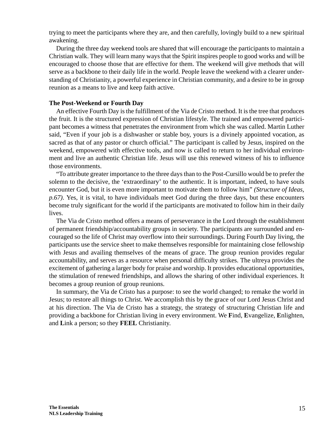trying to meet the participants where they are, and then carefully, lovingly build to a new spiritual awakening.

During the three day weekend tools are shared that will encourage the participants to maintain a Christian walk. They will learn many ways that the Spirit inspires people to good works and will be encouraged to choose those that are effective for them. The weekend will give methods that will serve as a backbone to their daily life in the world. People leave the weekend with a clearer understanding of Christianity, a powerful experience in Christian community, and a desire to be in group reunion as a means to live and keep faith active.

## **The Post-Weekend or Fourth Day**

An effective Fourth Day is the fulfillment of the Via de Cristo method. It is the tree that produces the fruit. It is the structured expression of Christian lifestyle. The trained and empowered participant becomes a witness that penetrates the environment from which she was called. Martin Luther said, "Even if your job is a dishwasher or stable boy, yours is a divinely appointed vocation, as sacred as that of any pastor or church official." The participant is called by Jesus, inspired on the weekend, empowered with effective tools, and now is called to return to her individual environment and live an authentic Christian life. Jesus will use this renewed witness of his to influence those environments.

"To attribute greater importance to the three days than to the Post-Cursillo would be to prefer the solemn to the decisive, the 'extraordinary' to the authentic. It is important, indeed, to have souls encounter God, but it is even more important to motivate them to follow him" *(Structure of Ideas, p.67)*. Yes, it is vital, to have individuals meet God during the three days, but these encounters become truly significant for the world if the participants are motivated to follow him in their daily lives.

The Via de Cristo method offers a means of perseverance in the Lord through the establishment of permanent friendship/accountability groups in society. The participants are surrounded and encouraged so the life of Christ may overflow into their surroundings. During Fourth Day living, the participants use the service sheet to make themselves responsible for maintaining close fellowship with Jesus and availing themselves of the means of grace. The group reunion provides regular accountability, and serves as a resource when personal difficulty strikes. The ultreya provides the excitement of gathering a larger body for praise and worship. It provides educational opportunities, the stimulation of renewed friendships, and allows the sharing of other individual experiences. It becomes a group reunion of group reunions.

In summary, the Via de Cristo has a purpose: to see the world changed; to remake the world in Jesus; to restore all things to Christ. We accomplish this by the grace of our Lord Jesus Christ and at his direction. The Via de Cristo has a strategy, the strategy of structuring Christian life and providing a backbone for Christian living in every environment. We **F**ind, **E**vangelize, **E**nlighten, and **L**ink a person; so they **FEEL** Christianity.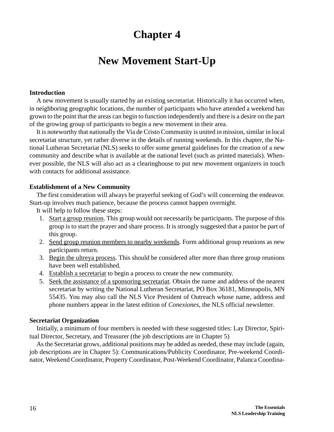# **New Movement Start-Up**

## **Introduction**

A new movement is usually started by an existing secretariat. Historically it has occurred when, in neighboring geographic locations, the number of participants who have attended a weekend has grown to the point that the areas can begin to function independently and there is a desire on the part of the growing group of participants to begin a new movement in their area.

It is noteworthy that nationally the Via de Cristo Community is united in mission, similar in local secretariat structure, yet rather diverse in the details of running weekends. In this chapter, the National Lutheran Secretariat (NLS) seeks to offer some general guidelines for the creation of a new community and describe what is available at the national level (such as printed materials). Whenever possible, the NLS will also act as a clearinghouse to put new movement organizers in touch with contacts for additional assistance.

## **Establishment of a New Community**

The first consideration will always be prayerful seeking of God's will concerning the endeavor. Start-up involves much patience, because the process cannot happen overnight.

It will help to follow these steps:

- 1. Start a group reunion. This group would not necessarily be participants. The purpose of this group is to start the prayer and share process. It is strongly suggested that a pastor be part of this group.
- 2. Send group reunion members to nearby weekends. Form additional group reunions as new participants return.
- 3. Begin the ultreya process. This should be considered after more than three group reunions have been well established.
- 4. Establish a secretariat to begin a process to create the new community.
- 5. Seek the assistance of a sponsoring secretariat. Obtain the name and address of the nearest secretariat by writing the National Lutheran Secretariat, PO Box 36181, Minneapolis, MN 55435. You may also call the NLS Vice President of Outreach whose name, address and phone numbers appear in the latest edition of *Conexiones*, the NLS official newsletter.

### **Secretariat Organization**

Initially, a minimum of four members is needed with these suggested titles: Lay Director, Spiritual Director, Secretary, and Treasurer (the job descriptions are in Chapter 5)

As the Secretariat grows, additional positions may be added as needed, these may include (again, job descriptions are in Chapter 5): Communications/Publicity Coordinator, Pre-weekend Coordinator, Weekend Coordinator, Property Coordinator, Post-Weekend Coordinator, Palanca Coordina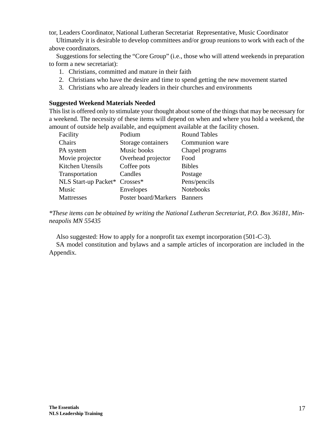tor, Leaders Coordinator, National Lutheran Secretariat Representative, Music Coordinator

Ultimately it is desirable to develop committees and/or group reunions to work with each of the above coordinators.

Suggestions for selecting the "Core Group" (i.e., those who will attend weekends in preparation to form a new secretariat):

- 1. Christians, committed and mature in their faith
- 2. Christians who have the desire and time to spend getting the new movement started
- 3. Christians who are already leaders in their churches and environments

## **Suggested Weekend Materials Needed**

This list is offered only to stimulate your thought about some of the things that may be necessary for a weekend. The necessity of these items will depend on when and where you hold a weekend, the amount of outside help available, and equipment available at the facility chosen.

| Facility             | Podium               | <b>Round Tables</b> |
|----------------------|----------------------|---------------------|
| Chairs               | Storage containers   | Communion ware      |
| PA system            | Music books          | Chapel programs     |
| Movie projector      | Overhead projector   | Food                |
| Kitchen Utensils     | Coffee pots          | <b>Bibles</b>       |
| Transportation       | Candles              | Postage             |
| NLS Start-up Packet* | $Crosses*$           | Pens/pencils        |
| Music                | Envelopes            | <b>Notebooks</b>    |
| Mattresses           | Poster board/Markers | <b>Banners</b>      |

*\*These items can be obtained by writing the National Lutheran Secretariat, P.O. Box 36181, Minneapolis MN 55435*

Also suggested: How to apply for a nonprofit tax exempt incorporation (501-C-3).

SA model constitution and bylaws and a sample articles of incorporation are included in the Appendix.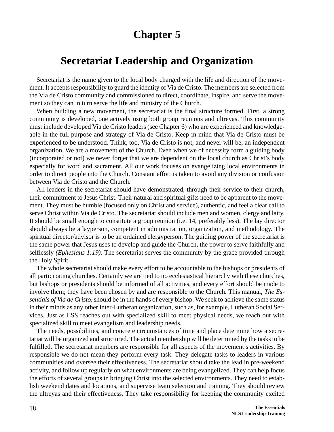# **Secretariat Leadership and Organization**

Secretariat is the name given to the local body charged with the life and direction of the movement. It accepts responsibility to guard the identity of Via de Cristo. The members are selected from the Via de Cristo community and commissioned to direct, coordinate, inspire, and serve the movement so they can in turn serve the life and ministry of the Church.

When building a new movement, the secretariat is the final structure formed. First, a strong community is developed, one actively using both group reunions and ultreyas. This community must include developed Via de Cristo leaders (see Chapter 6) who are experienced and knowledgeable in the full purpose and strategy of Via de Cristo. Keep in mind that Via de Cristo must be experienced to be understood. Think, too, Via de Cristo is not, and never will be, an independent organization. We are a movement of the Church. Even when we of necessity form a guiding body (incorporated or not) we never forget that we are dependent on the local church as Christ's body especially for word and sacrament. All our work focuses on evangelizing local environments in order to direct people into the Church. Constant effort is taken to avoid any division or confusion between Via de Cristo and the Church.

All leaders in the secretariat should have demonstrated, through their service to their church, their commitment to Jesus Christ. Their natural and spiritual gifts need to be apparent to the movement. They must be humble (focused only on Christ and service), authentic, and feel a clear call to serve Christ within Via de Cristo. The secretariat should include men and women, clergy and laity. It should be small enough to constitute a group reunion (i.e. 14, preferably less). The lay director should always be a layperson, competent in administration, organization, and methodology. The spiritual director/advisor is to be an ordained clergyperson. The guiding power of the secretariat is the same power that Jesus uses to develop and guide the Church, the power to serve faithfully and selflessly *(Ephesians 1:19)*. The secretariat serves the community by the grace provided through the Holy Spirit.

The whole secretariat should make every effort to be accountable to the bishops or presidents of all participating churches. Certainly we are tied to no ecclesiastical hierarchy with these churches, but bishops or presidents should be informed of all activities, and every effort should be made to involve them; they have been chosen by and are responsible to the Church. This manual, *The Essentials of Via de Cristo*, should be in the hands of every bishop. We seek to achieve the same status in their minds as any other inter-Lutheran organization, such as, for example, Lutheran Social Services. Just as LSS reaches out with specialized skill to meet physical needs, we reach out with specialized skill to meet evangelism and leadership needs.

The needs, possibilities, and concrete circumstances of time and place determine how a secretariat will be organized and structured. The actual membership will be determined by the tasks to be fulfilled. The secretariat members are responsible for all aspects of the movement's activities. By responsible we do not mean they perform every task. They delegate tasks to leaders in various communities and oversee their effectiveness. The secretariat should take the lead in pre-weekend activity, and follow up regularly on what environments are being evangelized. They can help focus the efforts of several groups in bringing Christ into the selected environments. They need to establish weekend dates and locations, and supervise team selection and training. They should review the ultreyas and their effectiveness. They take responsibility for keeping the community excited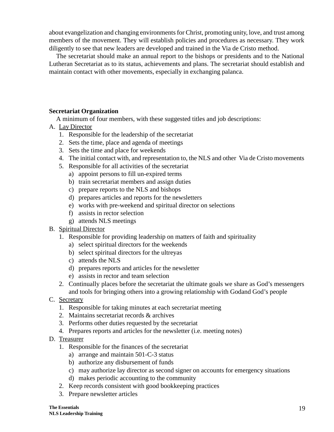about evangelization and changing environments for Christ, promoting unity, love, and trust among members of the movement. They will establish policies and procedures as necessary. They work diligently to see that new leaders are developed and trained in the Via de Cristo method.

The secretariat should make an annual report to the bishops or presidents and to the National Lutheran Secretariat as to its status, achievements and plans. The secretariat should establish and maintain contact with other movements, especially in exchanging palanca.

## **Secretariat Organization**

A minimum of four members, with these suggested titles and job descriptions:

- A. Lay Director
	- 1. Responsible for the leadership of the secretariat
	- 2. Sets the time, place and agenda of meetings
	- 3. Sets the time and place for weekends
	- 4. The initial contact with, and representation to, the NLS and other Via de Cristo movements
	- 5. Responsible for all activities of the secretariat
		- a) appoint persons to fill un-expired terms
		- b) train secretariat members and assign duties
		- c) prepare reports to the NLS and bishops
		- d) prepares articles and reports for the newsletters
		- e) works with pre-weekend and spiritual director on selections
		- f) assists in rector selection
		- g) attends NLS meetings
- B. Spiritual Director
	- 1. Responsible for providing leadership on matters of faith and spirituality
		- a) select spiritual directors for the weekends
		- b) select spiritual directors for the ultreyas
		- c) attends the NLS
		- d) prepares reports and articles for the newsletter
		- e) assists in rector and team selection
	- 2. Continually places before the secretariat the ultimate goals we share as God's messengers and tools for bringing others into a growing relationship with Godand God's people
- C. Secretary
	- 1. Responsible for taking minutes at each secretariat meeting
	- 2. Maintains secretariat records & archives
	- 3. Performs other duties requested by the secretariat
	- 4. Prepares reports and articles for the newsletter (i.e. meeting notes)
- D. Treasurer
	- 1. Responsible for the finances of the secretariat
		- a) arrange and maintain 501-C-3 status
		- b) authorize any disbursement of funds
		- c) may authorize lay director as second signer on accounts for emergency situations
		- d) makes periodic accounting to the community
	- 2. Keep records consistent with good bookkeeping practices
	- 3. Prepare newsletter articles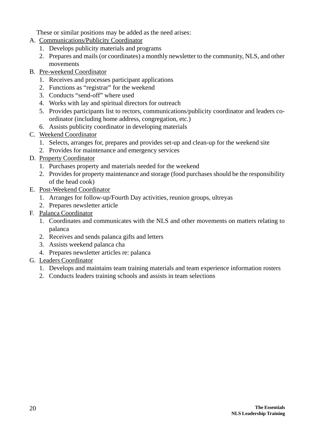These or similar positions may be added as the need arises:

- A. Communications/Publicity Coordinator
	- 1. Develops publicity materials and programs
	- 2. Prepares and mails (or coordinates) a monthly newsletter to the community, NLS, and other movements
- B. Pre-weekend Coordinator
	- 1. Receives and processes participant applications
	- 2. Functions as "registrar" for the weekend
	- 3. Conducts "send-off" where used
	- 4. Works with lay and spiritual directors for outreach
	- 5. Provides participants list to rectors, communications/publicity coordinator and leaders coordinator (including home address, congregation, etc.)
	- 6. Assists publicity coordinator in developing materials
- C. Weekend Coordinator
	- 1. Selects, arranges for, prepares and provides set-up and clean-up for the weekend site
	- 2. Provides for maintenance and emergency services
- D. Property Coordinator
	- 1. Purchases property and materials needed for the weekend
	- 2. Provides for property maintenance and storage (food purchases should be the responsibility of the head cook)
- E. Post-Weekend Coordinator
	- 1. Arranges for follow-up/Fourth Day activities, reunion groups, ultreyas
	- 2. Prepares newsletter article
- F. Palanca Coordinator
	- 1. Coordinates and communicates with the NLS and other movements on matters relating to palanca
	- 2. Receives and sends palanca gifts and letters
	- 3. Assists weekend palanca cha
	- 4. Prepares newsletter articles re: palanca
- G. Leaders Coordinator
	- 1. Develops and maintains team training materials and team experience information rosters
	- 2. Conducts leaders training schools and assists in team selections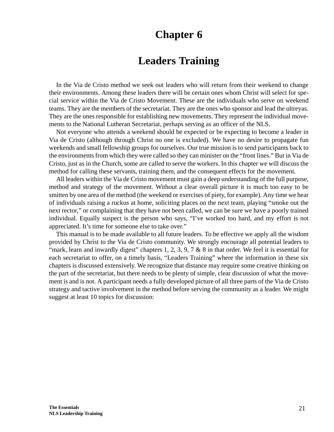# **Leaders Training**

In the Via de Cristo method we seek out leaders who will return from their weekend to change their environments. Among these leaders there will be certain ones whom Christ will select for special service within the Via de Cristo Movement. These are the individuals who serve on weekend teams. They are the members of the secretariat. They are the ones who sponsor and lead the ultreyas. They are the ones responsible for establishing new movements. They represent the individual movements to the National Lutheran Secretariat, perhaps serving as an officer of the NLS.

Not everyone who attends a weekend should be expected or be expecting to become a leader in Via de Cristo (although through Christ no one is excluded). We have no desire to propagate fun weekends and small fellowship groups for ourselves. Our true mission is to send participants back to the environments from which they were called so they can minister on the "front lines." But in Via de Cristo, just as in the Church, some are called to serve the workers. In this chapter we will discuss the method for calling these servants, training them, and the consequent effects for the movement.

All leaders within the Via de Cristo movement must gain a deep understanding of the full purpose, method and strategy of the movement. Without a clear overall picture it is much too easy to be smitten by one area of the method (the weekend or exercises of piety, for example). Any time we hear of individuals raising a ruckus at home, soliciting places on the next team, playing "smoke out the next rector," or complaining that they have not been called, we can be sure we have a poorly trained individual. Equally suspect is the person who says, "I've worked too hard, and my effort is not appreciated. It's time for someone else to take over."

This manual is to be made available to all future leaders. To be effective we apply all the wisdom provided by Christ to the Via de Cristo community. We strongly encourage all potential leaders to "mark, learn and inwardly digest" chapters 1, 2, 3, 9, 7  $\&$  8 in that order. We feel it is essential for each secretariat to offer, on a timely basis, "Leaders Training" where the information in these six chapters is discussed extensively. We recognize that distance may require some creative thinking on the part of the secretariat, but there needs to be plenty of simple, clear discussion of what the movement is and is not. A participant needs a fully developed picture of all three parts of the Via de Cristo strategy and tactive involvement in the method before serving the community as a leader. We might suggest at least 10 topics for discussion: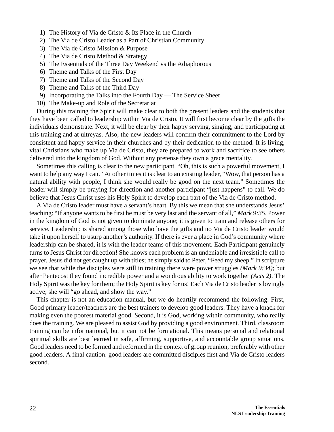- 1) The History of Via de Cristo & Its Place in the Church
- 2) The Via de Cristo Leader as a Part of Christian Community
- 3) The Via de Cristo Mission & Purpose
- 4) The Via de Cristo Method & Strategy
- 5) The Essentials of the Three Day Weekend vs the Adiaphorous
- 6) Theme and Talks of the First Day
- 7) Theme and Talks of the Second Day
- 8) Theme and Talks of the Third Day
- 9) Incorporating the Talks into the Fourth Day The Service Sheet
- 10) The Make-up and Role of the Secretariat

During this training the Spirit will make clear to both the present leaders and the students that they have been called to leadership within Via de Cristo. It will first become clear by the gifts the individuals demonstrate. Next, it will be clear by their happy serving, singing, and participating at this training and at ultreyas. Also, the new leaders will confirm their commitment to the Lord by consistent and happy service in their churches and by their dedication to the method. It is living, vital Christians who make up Via de Cristo, they are prepared to work and sacrifice to see others delivered into the kingdom of God. Without any pretense they own a grace mentality.

Sometimes this calling is clear to the new participant. "Oh, this is such a powerful movement, I want to help any way I can." At other times it is clear to an existing leader, "Wow, that person has a natural ability with people, I think she would really be good on the next team." Sometimes the leader will simply be praying for direction and another participant "just happens" to call. We do believe that Jesus Christ uses his Holy Spirit to develop each part of the Via de Cristo method.

A Via de Cristo leader must have a servant's heart. By this we mean that she understands Jesus' teaching: "If anyone wants to be first he must be very last and the servant of all," *Mark 9:35*. Power in the kingdom of God is not given to dominate anyone; it is given to train and release others for service. Leadership is shared among those who have the gifts and no Via de Cristo leader would take it upon herself to usurp another's authority. If there is ever a place in God's community where leadership can be shared, it is with the leader teams of this movement. Each Participant genuinely turns to Jesus Christ for direction! She knows each problem is an undeniable and irresistible call to prayer. Jesus did not get caught up with titles; he simply said to Peter, "Feed my sheep." In scripture we see that while the disciples were still in training there were power struggles *(Mark 9:34)*; but after Pentecost they found incredible power and a wondrous ability to work together *(Acts 2)*. The Holy Spirit was the key for them; the Holy Spirit is key for us! Each Via de Cristo leader is lovingly active; she will "go ahead, and show the way."

This chapter is not an education manual, but we do heartily recommend the following. First, Good primary leader/teachers are the best trainers to develop good leaders. They have a knack for making even the poorest material good. Second, it is God, working within community, who really does the training. We are pleased to assist God by providing a good environment. Third, classroom training can be informational, but it can not be formational. This means personal and relational spiritual skills are best learned in safe, affirming, supportive, and accountable group situations. Good leaders need to be formed and reformed in the context of group reunion, preferably with other good leaders. A final caution: good leaders are committed disciples first and Via de Cristo leaders second.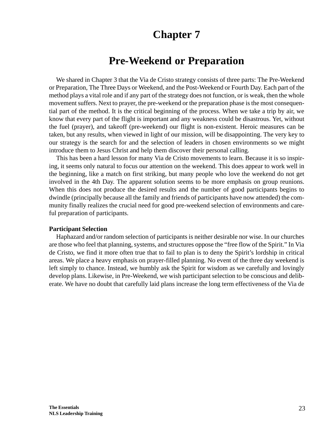# **Pre-Weekend or Preparation**

We shared in Chapter 3 that the Via de Cristo strategy consists of three parts: The Pre-Weekend or Preparation, The Three Days or Weekend, and the Post-Weekend or Fourth Day. Each part of the method plays a vital role and if any part of the strategy does not function, or is weak, then the whole movement suffers. Next to prayer, the pre-weekend or the preparation phase is the most consequential part of the method. It is the critical beginning of the process. When we take a trip by air, we know that every part of the flight is important and any weakness could be disastrous. Yet, without the fuel (prayer), and takeoff (pre-weekend) our flight is non-existent. Heroic measures can be taken, but any results, when viewed in light of our mission, will be disappointing. The very key to our strategy is the search for and the selection of leaders in chosen environments so we might introduce them to Jesus Christ and help them discover their personal calling.

This has been a hard lesson for many Via de Cristo movements to learn. Because it is so inspiring, it seems only natural to focus our attention on the weekend. This does appear to work well in the beginning, like a match on first striking, but many people who love the weekend do not get involved in the 4th Day. The apparent solution seems to be more emphasis on group reunions. When this does not produce the desired results and the number of good participants begins to dwindle (principally because all the family and friends of participants have now attended) the community finally realizes the crucial need for good pre-weekend selection of environments and careful preparation of participants.

## **Participant Selection**

Haphazard and/or random selection of participants is neither desirable nor wise. In our churches are those who feel that planning, systems, and structures oppose the "free flow of the Spirit." In Via de Cristo, we find it more often true that to fail to plan is to deny the Spirit's lordship in critical areas. We place a heavy emphasis on prayer-filled planning. No event of the three day weekend is left simply to chance. Instead, we humbly ask the Spirit for wisdom as we carefully and lovingly develop plans. Likewise, in Pre-Weekend, we wish participant selection to be conscious and deliberate. We have no doubt that carefully laid plans increase the long term effectiveness of the Via de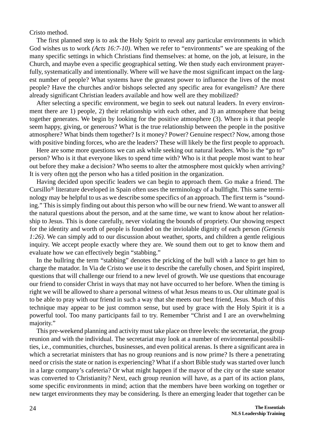Cristo method.

The first planned step is to ask the Holy Spirit to reveal any particular environments in which God wishes us to work *(Acts 16:7-10)*. When we refer to "environments" we are speaking of the many specific settings in which Christians find themselves: at home, on the job, at leisure, in the Church, and maybe even a specific geographical setting. We then study each environment prayerfully, systematically and intentionally. Where will we have the most significant impact on the largest number of people? What systems have the greatest power to influence the lives of the most people? Have the churches and/or bishops selected any specific area for evangelism? Are there already significant Christian leaders available and how well are they mobilized?

After selecting a specific environment, we begin to seek out natural leaders. In every environment there are 1) people, 2) their relationship with each other, and 3) an atmosphere that being together generates. We begin by looking for the positive atmosphere (3). Where is it that people seem happy, giving, or generous? What is the true relationship between the people in the positive atmosphere? What binds them together? Is it money? Power? Genuine respect? Now, among those with positive binding forces, who are the leaders? These will likely be the first people to approach.

Here are some more questions we can ask while seeking out natural leaders. Who is the "go to" person? Who is it that everyone likes to spend time with? Who is it that people most want to hear out before they make a decision? Who seems to alter the atmosphere most quickly when arriving? It is very often not the person who has a titled position in the organization.

Having decided upon specific leaders we can begin to approach them. Go make a friend. The Cursillo® literature developed in Spain often uses the terminology of a bullfight. This same terminology may be helpful to us as we describe some specifics of an approach. The first term is "sounding." This is simply finding out about this person who will be our new friend. We want to answer all the natural questions about the person, and at the same time, we want to know about her relationship to Jesus. This is done carefully, never violating the bounds of propriety. Our showing respect for the identity and worth of people is founded on the inviolable dignity of each person *(Genesis 1:26)*. We can simply add to our discussion about weather, sports, and children a gentle religious inquiry. We accept people exactly where they are. We sound them out to get to know them and evaluate how we can effectively begin "stabbing."

In the bullring the term "stabbing" denotes the pricking of the bull with a lance to get him to charge the matador. In Via de Cristo we use it to describe the carefully chosen, and Spirit inspired, questions that will challenge our friend to a new level of growth. We use questions that encourage our friend to consider Christ in ways that may not have occurred to her before. When the timing is right we will be allowed to share a personal witness of what Jesus means to us. Our ultimate goal is to be able to pray with our friend in such a way that she meets our best friend, Jesus. Much of this technique may appear to be just common sense, but used by grace with the Holy Spirit it is a powerful tool. Too many participants fail to try. Remember "Christ and I are an overwhelming majority."

This pre-weekend planning and activity must take place on three levels: the secretariat, the group reunion and with the individual. The secretariat may look at a number of environmental possibilities, i.e., communities, churches, businesses, and even political arenas. Is there a significant area in which a secretariat ministers that has no group reunions and is now prime? Is there a penetrating need or crisis the state or nation is experiencing? What if a short Bible study was started over lunch in a large company's cafeteria? Or what might happen if the mayor of the city or the state senator was converted to Christianity? Next, each group reunion will have, as a part of its action plans, some specific environments in mind; action that the members have been working on together or new target environments they may be considering. Is there an emerging leader that together can be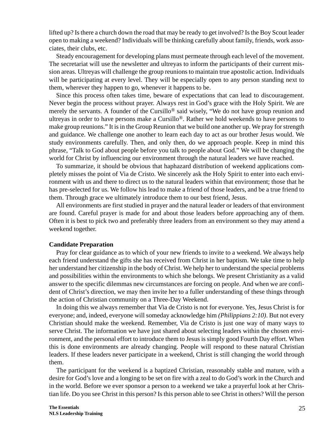lifted up? Is there a church down the road that may be ready to get involved? Is the Boy Scout leader open to making a weekend? Individuals will be thinking carefully about family, friends, work associates, their clubs, etc.

Steady encouragement for developing plans must permeate through each level of the movement. The secretariat will use the newsletter and ultreyas to inform the participants of their current mission areas. Ultreyas will challenge the group reunions to maintain true apostolic action. Individuals will be participating at every level. They will be especially open to any person standing next to them, wherever they happen to go, whenever it happens to be.

Since this process often takes time, beware of expectations that can lead to discouragement. Never begin the process without prayer. Always rest in God's grace with the Holy Spirit. We are merely the servants. A founder of the Cursillo<sup>®</sup> said wisely, "We do not have group reunion and ultreyas in order to have persons make a Cursillo®. Rather we hold weekends to have persons to make group reunions." It is in the Group Reunion that we build one another up. We pray for strength and guidance. We challenge one another to learn each day to act as our brother Jesus would. We study environments carefully. Then, and only then, do we approach people. Keep in mind this phrase, "Talk to God about people before you talk to people about God." We will be changing the world for Christ by influencing our environment through the natural leaders we have reached.

To summarize, it should be obvious that haphazard distribution of weekend applications completely misses the point of Via de Cristo. We sincerely ask the Holy Spirit to enter into each environment with us and there to direct us to the natural leaders within that environment; those that he has pre-selected for us. We follow his lead to make a friend of those leaders, and be a true friend to them. Through grace we ultimately introduce them to our best friend, Jesus.

All environments are first studied in prayer and the natural leader or leaders of that environment are found. Careful prayer is made for and about those leaders before approaching any of them. Often it is best to pick two and preferably three leaders from an environment so they may attend a weekend together.

### **Candidate Preparation**

Pray for clear guidance as to which of your new friends to invite to a weekend. We always help each friend understand the gifts she has received from Christ in her baptism. We take time to help her understand her citizenship in the body of Christ. We help her to understand the special problems and possibilities within the environments to which she belongs. We present Christianity as a valid answer to the specific dilemmas new circumstances are forcing on people. And when we are confident of Christ's direction, we may then invite her to a fuller understanding of these things through the action of Christian community on a Three-Day Weekend.

In doing this we always remember that Via de Cristo is not for everyone. Yes, Jesus Christ is for everyone; and, indeed, everyone will someday acknowledge him *(Philippians 2:10)*. But not every Christian should make the weekend. Remember, Via de Cristo is just one way of many ways to serve Christ. The information we have just shared about selecting leaders within the chosen environment, and the personal effort to introduce them to Jesus is simply good Fourth Day effort. When this is done environments are already changing. People will respond to these natural Christian leaders. If these leaders never participate in a weekend, Christ is still changing the world through them.

The participant for the weekend is a baptized Christian, reasonably stable and mature, with a desire for God's love and a longing to be set on fire with a zeal to do God's work in the Church and in the world. Before we ever sponsor a person to a weekend we take a prayerful look at her Christian life. Do you see Christ in this person? Is this person able to see Christ in others? Will the person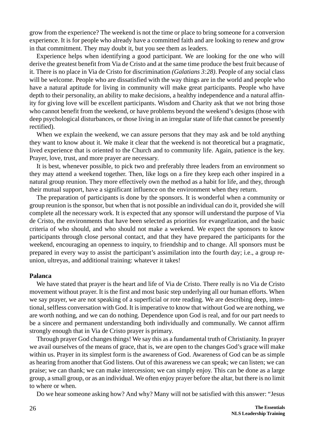grow from the experience? The weekend is not the time or place to bring someone for a conversion experience. It is for people who already have a committed faith and are looking to renew and grow in that commitment. They may doubt it, but you see them as leaders.

Experience helps when identifying a good participant. We are looking for the one who will derive the greatest benefit from Via de Cristo and at the same time produce the best fruit because of it. There is no place in Via de Cristo for discrimination *(Galatians 3:28)*. People of any social class will be welcome. People who are dissatisfied with the way things are in the world and people who have a natural aptitude for living in community will make great participants. People who have depth to their personality, an ability to make decisions, a healthy independence and a natural affinity for giving love will be excellent participants. Wisdom and Charity ask that we not bring those who cannot benefit from the weekend, or have problems beyond the weekend's designs (those with deep psychological disturbances, or those living in an irregular state of life that cannot be presently rectified).

When we explain the weekend, we can assure persons that they may ask and be told anything they want to know about it. We make it clear that the weekend is not theoretical but a pragmatic, lived experience that is oriented to the Church and to community life. Again, patience is the key. Prayer, love, trust, and more prayer are necessary.

It is best, whenever possible, to pick two and preferably three leaders from an environment so they may attend a weekend together. Then, like logs on a fire they keep each other inspired in a natural group reunion. They more effectively own the method as a habit for life, and they, through their mutual support, have a significant influence on the environment when they return.

The preparation of participants is done by the sponsors. It is wonderful when a community or group reunion is the sponsor, but when that is not possible an individual can do it, provided she will complete all the necessary work. It is expected that any sponsor will understand the purpose of Via de Cristo, the environments that have been selected as priorities for evangelization, and the basic criteria of who should, and who should not make a weekend. We expect the sponsors to know participants through close personal contact, and that they have prepared the participants for the weekend, encouraging an openness to inquiry, to friendship and to change. All sponsors must be prepared in every way to assist the participant's assimilation into the fourth day; i.e., a group reunion, ultreyas, and additional training: whatever it takes!

## **Palanca**

We have stated that prayer is the heart and life of Via de Cristo. There really is no Via de Cristo movement without prayer. It is the first and most basic step underlying all our human efforts. When we say prayer, we are not speaking of a superficial or rote reading. We are describing deep, intentional, selfless conversation with God. It is imperative to know that without God we are nothing, we are worth nothing, and we can do nothing. Dependence upon God is real, and for our part needs to be a sincere and permanent understanding both individually and communally. We cannot affirm strongly enough that in Via de Cristo prayer is primary.

Through prayer God changes things! We say this as a fundamental truth of Christianity. In prayer we avail ourselves of the means of grace, that is, we are open to the changes God's grace will make within us. Prayer in its simplest form is the awareness of God. Awareness of God can be as simple as hearing from another that God listens. Out of this awareness we can speak; we can listen; we can praise; we can thank; we can make intercession; we can simply enjoy. This can be done as a large group, a small group, or as an individual. We often enjoy prayer before the altar, but there is no limit to where or when.

Do we hear someone asking how? And why? Many will not be satisfied with this answer: "Jesus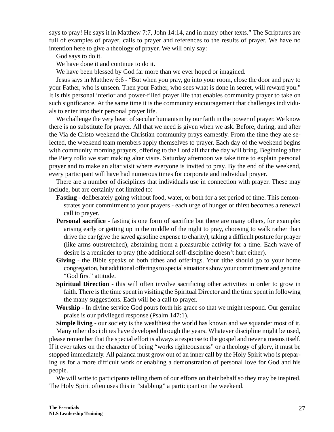says to pray! He says it in Matthew 7:7, John 14:14, and in many other texts." The Scriptures are full of examples of prayer, calls to prayer and references to the results of prayer. We have no intention here to give a theology of prayer. We will only say:

God says to do it.

We have done it and continue to do it.

We have been blessed by God far more than we ever hoped or imagined.

Jesus says in Matthew 6:6 - "But when you pray, go into your room, close the door and pray to your Father, who is unseen. Then your Father, who sees what is done in secret, will reward you." It is this personal interior and power-filled prayer life that enables community prayer to take on such significance. At the same time it is the community encouragement that challenges individuals to enter into their personal prayer life.

We challenge the very heart of secular humanism by our faith in the power of prayer. We know there is no substitute for prayer. All that we need is given when we ask. Before, during, and after the Via de Cristo weekend the Christian community prays earnestly. From the time they are selected, the weekend team members apply themselves to prayer. Each day of the weekend begins with community morning prayers, offering to the Lord all that the day will bring. Beginning after the Piety rollo we start making altar visits. Saturday afternoon we take time to explain personal prayer and to make an altar visit where everyone is invited to pray. By the end of the weekend, every participant will have had numerous times for corporate and individual prayer.

There are a number of disciplines that individuals use in connection with prayer. These may include, but are certainly not limited to:

- **Fasting** deliberately going without food, water, or both for a set period of time. This demonstrates your commitment to your prayers - each urge of hunger or thirst becomes a renewal call to prayer.
- **Personal sacrifice** fasting is one form of sacrifice but there are many others, for example: arising early or getting up in the middle of the night to pray, choosing to walk rather than drive the car (give the saved gasoline expense to charity), taking a difficult posture for prayer (like arms outstretched), abstaining from a pleasurable activity for a time. Each wave of desire is a reminder to pray (the additional self-discipline doesn't hurt either).
- **Giving** the Bible speaks of both tithes and offerings. Your tithe should go to your home congregation, but additional offerings to special situations show your commitment and genuine "God first" attitude.
- **Spiritual Direction**  this will often involve sacrificing other activities in order to grow in faith. There is the time spent in visiting the Spiritual Director and the time spent in following the many suggestions. Each will be a call to prayer.
- **Worship** In divine service God pours forth his grace so that we might respond. Our genuine praise is our privileged response (Psalm 147:1).

**Simple living** - our society is the wealthiest the world has known and we squander most of it. Many other disciplines have developed through the years. Whatever discipline might be used, please remember that the special effort is always a response to the gospel and never a means itself. If it ever takes on the character of being "works righteousness" or a theology of glory, it must be stopped immediately. All palanca must grow out of an inner call by the Holy Spirit who is preparing us for a more difficult work or enabling a demonstration of personal love for God and his people.

We will write to participants telling them of our efforts on their behalf so they may be inspired. The Holy Spirit often uses this in "stabbing" a participant on the weekend.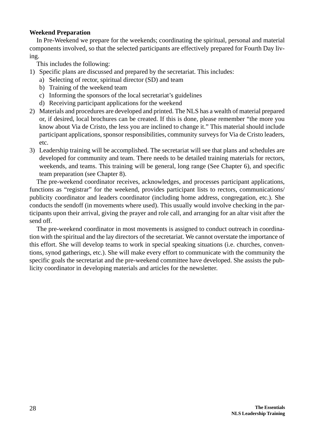## **Weekend Preparation**

In Pre-Weekend we prepare for the weekends; coordinating the spiritual, personal and material components involved, so that the selected participants are effectively prepared for Fourth Day living.

This includes the following:

- 1) Specific plans are discussed and prepared by the secretariat. This includes:
	- a) Selecting of rector, spiritual director (SD) and team
	- b) Training of the weekend team
	- c) Informing the sponsors of the local secretariat's guidelines
	- d) Receiving participant applications for the weekend
- 2) Materials and procedures are developed and printed. The NLS has a wealth of material prepared or, if desired, local brochures can be created. If this is done, please remember "the more you know about Via de Cristo, the less you are inclined to change it." This material should include participant applications, sponsor responsibilities, community surveys for Via de Cristo leaders, etc.
- 3) Leadership training will be accomplished. The secretariat will see that plans and schedules are developed for community and team. There needs to be detailed training materials for rectors, weekends, and teams. This training will be general, long range (See Chapter 6), and specific team preparation (see Chapter 8).

The pre-weekend coordinator receives, acknowledges, and processes participant applications, functions as "registrar" for the weekend, provides participant lists to rectors, communications/ publicity coordinator and leaders coordinator (including home address, congregation, etc.). She conducts the sendoff (in movements where used). This usually would involve checking in the participants upon their arrival, giving the prayer and role call, and arranging for an altar visit after the send off.

The pre-weekend coordinator in most movements is assigned to conduct outreach in coordination with the spiritual and the lay directors of the secretariat. We cannot overstate the importance of this effort. She will develop teams to work in special speaking situations (i.e. churches, conventions, synod gatherings, etc.). She will make every effort to communicate with the community the specific goals the secretariat and the pre-weekend committee have developed. She assists the publicity coordinator in developing materials and articles for the newsletter.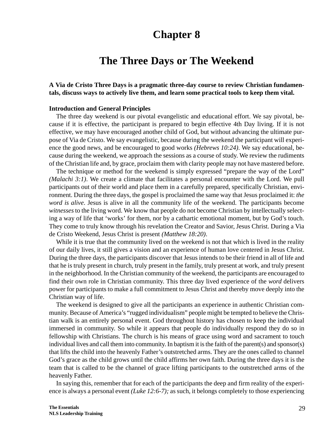# **The Three Days or The Weekend**

## **A Via de Cristo Three Days is a pragmatic three-day course to review Christian fundamentals, discuss ways to actively live them, and learn some practical tools to keep them vital.**

### **Introduction and General Principles**

The three day weekend is our pivotal evangelistic and educational effort. We say pivotal, because if it is effective, the participant is prepared to begin effective 4th Day living. If it is not effective, we may have encouraged another child of God, but without advancing the ultimate purpose of Via de Cristo. We say evangelistic, because during the weekend the participant will experience the good news, and be encouraged to good works *(Hebrews 10:24)*. We say educational, because during the weekend, we approach the sessions as a course of study. We review the rudiments of the Christian life and, by grace, proclaim them with clarity people may not have mastered before.

The technique or method for the weekend is simply expressed "prepare the way of the Lord" *(Malachi 3:1)*. We create a climate that facilitates a personal encounter with the Lord. We pull participants out of their world and place them in a carefully prepared, specifically Christian, environment. During the three days, the gospel is proclaimed the same way that Jesus proclaimed it: *the word is alive*. Jesus is alive in all the community life of the weekend. The participants become *witnesses* to the living word. We know that people do not become Christian by intellectually selecting a way of life that 'works' for them, nor by a cathartic emotional moment, but by God's touch. They come to truly know through his revelation the Creator and Savior, Jesus Christ. During a Via de Cristo Weekend, Jesus Christ is present *(Matthew 18:20)*.

While it is true that the community lived on the weekend is not that which is lived in the reality of our daily lives, it still gives a vision and an experience of human love centered in Jesus Christ. During the three days, the participants discover that Jesus intends to be their friend in all of life and that he is truly present in church, truly present in the family, truly present at work, and truly present in the neighborhood. In the Christian community of the weekend, the participants are encouraged to find their own role in Christian community. This three day lived experience of the *word* delivers power for participants to make a full commitment to Jesus Christ and thereby move deeply into the Christian way of life.

The weekend is designed to give all the participants an experience in authentic Christian community. Because of America's "rugged individualism" people might be tempted to believe the Christian walk is an entirely personal event. God throughout history has chosen to keep the individual immersed in community. So while it appears that people do individually respond they do so in fellowship with Christians. The church is his means of grace using word and sacrament to touch individual lives and call them into community. In baptism it is the faith of the parent(s) and sponsor(s) that lifts the child into the heavenly Father's outstretched arms. They are the ones called to channel God's grace as the child grows until the child affirms her own faith. During the three days it is the team that is called to be the channel of grace lifting participants to the outstretched arms of the heavenly Father.

In saying this, remember that for each of the participants the deep and firm reality of the experience is always a personal event *(Luke 12:6-7);* as such, it belongs completely to those experiencing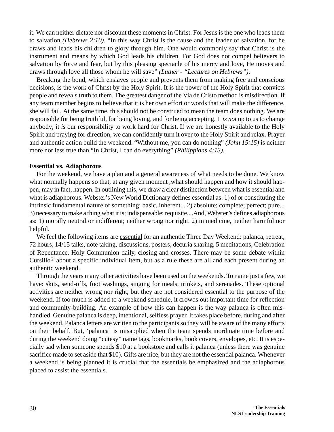it. We can neither dictate nor discount these moments in Christ. For Jesus is the one who leads them to salvation *(Hebrews 2:10)*. "In this way Christ is the cause and the leader of salvation, for he draws and leads his children to glory through him. One would commonly say that Christ is the instrument and means by which God leads his children. For God does not compel believers to salvation by force and fear, but by this pleasing spectacle of his mercy and love, He moves and draws through love all those whom he will save" *(Luther - "Lectures on Hebrews")*.

Breaking the bond, which enslaves people and prevents them from making free and conscious decisions, is the work of Christ by the Holy Spirit. It is the power of the Holy Spirit that convicts people and reveals truth to them. The greatest danger of the Via de Cristo method is misdirection. If any team member begins to believe that it is her own effort or words that will make the difference, she will fail. At the same time, this should not be construed to mean the team does nothing. We are responsible for being truthful, for being loving, and for being accepting. It *is not* up to us to change anybody; it *is* our responsibility to work hard for Christ. If we are honestly available to the Holy Spirit and praying for direction, we can confidently turn it over to the Holy Spirit and relax. Prayer and authentic action build the weekend. "Without me, you can do nothing" *(John 15:15)* is neither more nor less true than "In Christ, I can do everything" *(Philippians 4:13)*.

#### **Essential vs. Adiaphorous**

For the weekend, we have a plan and a general awareness of what needs to be done. We know what normally happens so that, at any given moment, what should happen and how it should happen, may in fact, happen. In outlining this, we draw a clear distinction between what is essential and what is adiaphorous. Webster's New World Dictionary defines essential as: 1) of or constituting the intrinsic fundamental nature of something: basic, inherent... 2) absolute; complete; perfect; pure... 3) necessary to make a thing what it is; indispensable; requisite....And, Webster's defines adiaphorous as: 1) morally neutral or indifferent; neither wrong nor right. 2) in medicine, neither harmful nor helpful.

We feel the following items are essential for an authentic Three Day Weekend: palanca, retreat, 72 hours, 14/15 talks, note taking, discussions, posters, decuria sharing, 5 meditations, Celebration of Repentance, Holy Communion daily, closing and crosses. There may be some debate within Cursillo® about a specific individual item, but as a rule these are all and each present during an authentic weekend.

Through the years many other activities have been used on the weekends. To name just a few, we have: skits, send-offs, foot washings, singing for meals, trinkets, and serenades. These optional activities are neither wrong nor right, but they are not considered essential to the purpose of the weekend. If too much is added to a weekend schedule, it crowds out important time for reflection and community-building. An example of how this can happen is the way palanca is often mishandled. Genuine palanca is deep, intentional, selfless prayer. It takes place before, during and after the weekend. Palanca letters are written to the participants so they will be aware of the many efforts on their behalf. But, 'palanca' is misapplied when the team spends inordinate time before and during the weekend doing "cutesy" name tags, bookmarks, book covers, envelopes, etc. It is especially sad when someone spends \$10 at a bookstore and calls it palanca (unless there was genuine sacrifice made to set aside that \$10). Gifts are nice, but they are not the essential palanca. Whenever a weekend is being planned it is crucial that the essentials be emphasized and the adiaphorous placed to assist the essentials.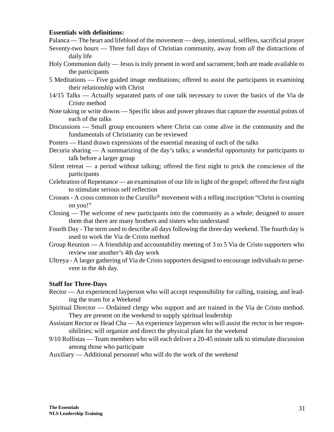## **Essentials with definitions:**

Palanca — The heart and lifeblood of the movement — deep, intentional, selfless, sacrificial prayer

- Seventy-two hours Three full days of Christian community, away from *all* the distractions of daily life
- Holy Communion daily Jesus is truly present in word and sacrament; both are made available to the participants
- 5 Meditations Five guided image meditations; offered to assist the participants in examining their relationship with Christ
- 14/15 Talks Actually separated parts of one talk necessary to cover the basics of the Via de Cristo method
- Note taking or write downs Specific ideas and power phrases that capture the essential points of each of the talks
- Discussions Small group encounters where Christ can come alive in the community and the fundamentals of Christianity can be reviewed
- Posters Hand drawn expressions of the essential meaning of each of the talks
- Decuria sharing A summarizing of the day's talks; a wonderful opportunity for participants to talk before a larger group
- Silent retreat a period without talking; offered the first night to prick the conscience of the participants
- Celebration of Repentance an examination of our life in light of the gospel; offered the first night to stimulate serious self reflection
- Crosses A cross common to the Cursillo® movement with a telling inscription "Christ is counting on you!"
- Closing The welcome of new participants into the community as a whole; designed to assure them that there are many brothers and sisters who understand
- Fourth Day The term used to describe all days following the three day weekend. The fourth day is used to work the Via de Cristo method
- Group Reunion A friendship and accountability meeting of 3 to 5 Via de Cristo supporters who review one another's 4th day work
- Ultreya A larger gathering of Via de Cristo supporters designed to encourage individuals to persevere in the 4th day.

### **Staff for Three-Days**

- Rector An experienced layperson who will accept responsibility for calling, training, and leading the team for a Weekend
- Spiritual Director Ordained clergy who support and are trained in the Via de Cristo method. They are present on the weekend to supply spiritual leadership
- Assistant Rector or Head Cha An experience layperson who will assist the rector in her responsibilities; will organize and direct the physical plant for the weekend
- 9/10 Rollistas Team members who will each deliver a 20-45 minute talk to stimulate discussion among those who participate
- Auxiliary Additional personnel who will do the work of the weekend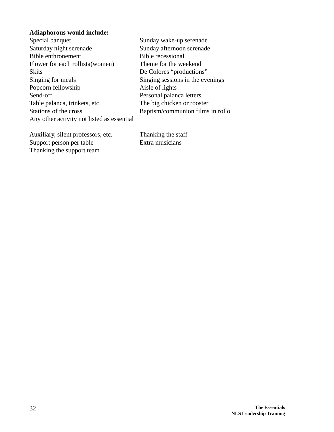## **Adiaphorous would include:**

| Special banquet                            | Sunday wake-up serenade          |
|--------------------------------------------|----------------------------------|
| Saturday night serenade                    | Sunday afternoon serenade        |
| Bible enthronement                         | <b>Bible recessional</b>         |
| Flower for each rollista (women)           | Theme for the weekend            |
| <b>Skits</b>                               | De Colores "productions"         |
| Singing for meals                          | Singing sessions in the evenings |
| Popcorn fellowship                         | Aisle of lights                  |
| Send-off                                   | Personal palanca letters         |
| Table palanca, trinkets, etc.              | The big chicken or rooster       |
| Stations of the cross                      | Baptism/communion films in rollo |
| Any other activity not listed as essential |                                  |
|                                            |                                  |

Auxiliary, silent professors, etc.<br>
Thanking the staff<br>
Support person per table<br>
Extra musicians Support person per table Thanking the support team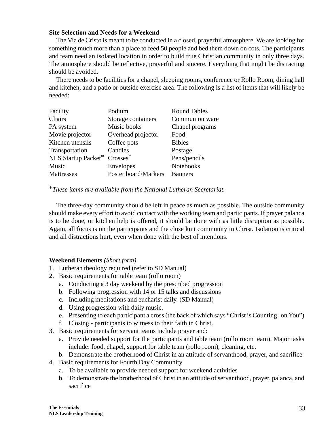## **Site Selection and Needs for a Weekend**

The Via de Cristo is meant to be conducted in a closed, prayerful atmosphere. We are looking for something much more than a place to feed 50 people and bed them down on cots. The participants and team need an isolated location in order to build true Christian community in only three days. The atmosphere should be reflective, prayerful and sincere. Everything that might be distracting should be avoided.

There needs to be facilities for a chapel, sleeping rooms, conference or Rollo Room, dining hall and kitchen, and a patio or outside exercise area. The following is a list of items that will likely be needed:

| Facility            | Podium               | <b>Round Tables</b> |
|---------------------|----------------------|---------------------|
| Chairs              | Storage containers   | Communion ware      |
| PA system           | Music books          | Chapel programs     |
| Movie projector     | Overhead projector   | Food                |
| Kitchen utensils    | Coffee pots          | <b>Bibles</b>       |
| Transportation      | Candles              | Postage             |
| NLS Startup Packet* | $Crosses^*$          | Pens/pencils        |
| Music               | Envelopes            | Notebooks           |
| Mattresses          | Poster board/Markers | <b>Banners</b>      |

## \**These items are available from the National Lutheran Secretariat.*

The three-day community should be left in peace as much as possible. The outside community should make every effort to avoid contact with the working team and participants. If prayer palanca is to be done, or kitchen help is offered, it should be done with as little disruption as possible. Again, all focus is on the participants and the close knit community in Christ. Isolation is critical and all distractions hurt, even when done with the best of intentions.

## **Weekend Elements** *(Short form)*

- 1. Lutheran theology required (refer to SD Manual)
- 2. Basic requirements for table team (rollo room)
	- a. Conducting a 3 day weekend by the prescribed progression
	- b. Following progression with 14 or 15 talks and discussions
	- c. Including meditations and eucharist daily. (SD Manual)
	- d. Using progression with daily music.
	- e. Presenting to each participant a cross (the back of which says "Christ is Counting on You")
	- f. Closing participants to witness to their faith in Christ.
- 3. Basic requirements for servant teams include prayer and:
	- a. Provide needed support for the participants and table team (rollo room team). Major tasks include: food, chapel, support for table team (rollo room), cleaning, etc.
	- b. Demonstrate the brotherhood of Christ in an attitude of servanthood, prayer, and sacrifice
- 4. Basic requirements for Fourth Day Community
	- a. To be available to provide needed support for weekend activities
	- b. To demonstrate the brotherhood of Christ in an attitude of servanthood, prayer, palanca, and sacrifice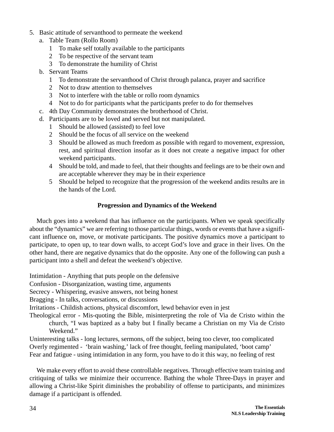- 5. Basic attitude of servanthood to permeate the weekend
	- a. Table Team (Rollo Room)
		- 1 To make self totally available to the participants
		- 2 To be respective of the servant team
		- 3 To demonstrate the humility of Christ
	- b. Servant Teams
		- 1 To demonstrate the servanthood of Christ through palanca, prayer and sacrifice
		- 2 Not to draw attention to themselves
		- 3 Not to interfere with the table or rollo room dynamics
		- 4 Not to do for participants what the participants prefer to do for themselves
	- c. 4th Day Community demonstrates the brotherhood of Christ.
	- d. Participants are to be loved and served but not manipulated.
		- 1 Should be allowed (assisted) to feel love
		- 2 Should be the focus of all service on the weekend
		- 3 Should be allowed as much freedom as possible with regard to movement, expression, rest, and spiritual direction insofar as it does not create a negative impact for other weekend participants.
		- 4 Should be told, and made to feel, that their thoughts and feelings are to be their own and are acceptable wherever they may be in their experience
		- 5 Should be helped to recognize that the progression of the weekend andits results are in the hands of the Lord.

## **Progression and Dynamics of the Weekend**

Much goes into a weekend that has influence on the participants. When we speak specifically about the "dynamics" we are referring to those particular things, words or events that have a significant influence on, move, or motivate participants. The positive dynamics move a participant to participate, to open up, to tear down walls, to accept God's love and grace in their lives. On the other hand, there are negative dynamics that do the opposite. Any one of the following can push a participant into a shell and defeat the weekend's objective.

Intimidation - Anything that puts people on the defensive

Confusion - Disorganization, wasting time, arguments

Secrecy - Whispering, evasive answers, not being honest

Bragging - In talks, conversations, or discussions

Irritations - Childish actions, physical discomfort, lewd behavior even in jest

Theological error - Mis-quoting the Bible, misinterpreting the role of Via de Cristo within the church, "I was baptized as a baby but I finally became a Christian on my Via de Cristo Weekend."

Uninteresting talks - long lectures, sermons, off the subject, being too clever, too complicated Overly regimented - 'brain washing,' lack of free thought, feeling manipulated, 'boot camp' Fear and fatigue - using intimidation in any form, you have to do it this way, no feeling of rest

We make every effort to avoid these controllable negatives. Through effective team training and critiquing of talks we minimize their occurrence. Bathing the whole Three-Days in prayer and allowing a Christ-like Spirit diminishes the probability of offense to participants, and minimizes damage if a participant is offended.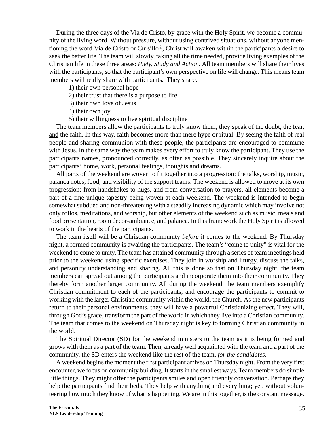During the three days of the Via de Cristo, by grace with the Holy Spirit, we become a community of the living word. Without pressure, without using contrived situations, without anyone mentioning the word Via de Cristo or Cursillo®, Christ will awaken within the participants a desire to seek the better life. The team will slowly, taking all the time needed, provide living examples of the Christian life in these three areas: *Piety, Study and Action*. All team members will share their lives with the participants, so that the participant's own perspective on life will change. This means team members will really share with participants. They share:

1) their own personal hope

2) their trust that there is a purpose to life

3) their own love of Jesus

4) their own joy

5) their willingness to live spiritual discipline

The team members allow the participants to truly know them; they speak of the doubt, the fear, and the faith. In this way, faith becomes more than mere hype or ritual. By seeing the faith of real people and sharing communion with these people, the participants are encouraged to commune with Jesus. In the same way the team makes every effort to truly know the participant. They use the participants names, pronounced correctly, as often as possible. They sincerely inquire about the participants' home, work, personal feelings, thoughts and dreams.

All parts of the weekend are woven to fit together into a progression: the talks, worship, music, palanca notes, food, and visibility of the support teams. The weekend is allowed to move at its own progression; from handshakes to hugs, and from conversation to prayers, all elements become a part of a fine unique tapestry being woven at each weekend. The weekend is intended to begin somewhat subdued and non-threatening with a steadily increasing dynamic which may involve not only rollos, meditations, and worship, but other elements of the weekend such as music, meals and food presentation, room decor-ambiance, and palanca. In this framework the Holy Spirit is allowed to work in the hearts of the participants.

The team itself will be a Christian community *before* it comes to the weekend. By Thursday night, a formed community is awaiting the participants. The team's "come to unity" is vital for the weekend to come to unity. The team has attained community through a series of team meetings held prior to the weekend using specific exercises. They join in worship and liturgy, discuss the talks, and personify understanding and sharing. All this is done so that on Thursday night, the team members can spread out among the participants and incorporate them into their community. They thereby form another larger community. All during the weekend, the team members exemplify Christian commitment to each of the participants; and encourage the participants to commit to working with the larger Christian community within the world, the Church. As the new participants return to their personal environments, they will have a powerful Christianizing effect. They will, through God's grace, transform the part of the world in which they live into a Christian community. The team that comes to the weekend on Thursday night is key to forming Christian community in the world.

The Spiritual Director (SD) for the weekend ministers to the team as it is being formed and grows with them as a part of the team. Then, already well acquainted with the team and a part of the community, the SD enters the weekend like the rest of the team, *for the candidates*.

A weekend begins the moment the first participant arrives on Thursday night. From the very first encounter, we focus on community building. It starts in the smallest ways. Team members do simple little things. They might offer the participants smiles and open friendly conversation. Perhaps they help the participants find their beds. They help with anything and everything; yet, without volunteering how much they know of what is happening. We are in this together, is the constant message.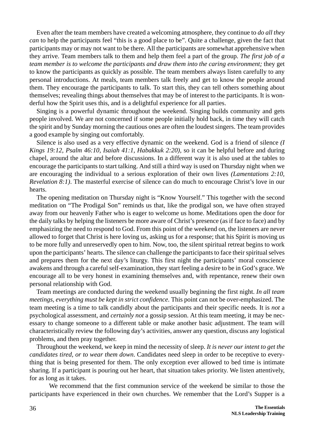Even after the team members have created a welcoming atmosphere, they continue to *do all they can* to help the participants feel "this is a good place to be". Quite a challenge, given the fact that participants may or may not want to be there. All the participants are somewhat apprehensive when they arrive. Team members talk to them and help them feel a part of the group. *The first job of a team member is to welcome the participants and draw them into the caring environment;* they get to know the participants as quickly as possible. The team members always listen carefully to any personal introductions. At meals, team members talk freely and get to know the people around them. They encourage the participants to talk. To start this, they can tell others something about themselves; revealing things about themselves that may be of interest to the participants. It is wonderful how the Spirit uses this, and is a delightful experience for all parties.

Singing is a powerful dynamic throughout the weekend. Singing builds community and gets people involved. We are not concerned if some people initially hold back, in time they will catch the spirit and by Sunday morning the cautious ones are often the loudest singers. The team provides a good example by singing out comfortably.

Silence is also used as a very effective dynamic on the weekend. God is a friend of silence *(I Kings 19:12, Psalm 46:10, Isaiah 41:1, Habakkuk 2:20),* so it can be helpful before and during chapel, around the altar and before discussions. In a different way it is also used at the tables to encourage the participants to start talking. And still a third way is used on Thursday night when we are encouraging the individual to a serious exploration of their own lives *(Lamentations 2:10, Revelation 8:1)*. The masterful exercise of silence can do much to encourage Christ's love in our hearts.

The opening meditation on Thursday night is "Know Yourself." This together with the second meditation on "The Prodigal Son" reminds us that, like the prodigal son, we have often strayed away from our heavenly Father who is eager to welcome us home. Meditations open the door for the daily talks by helping the listeners be more aware of Christ's presence (as if face to face) and by emphasizing the need to respond to God. From this point of the weekend on, the listeners are never allowed to forget that Christ is here loving us, asking us for a response; that his Spirit is moving us to be more fully and unreservedly open to him. Now, too, the silent spiritual retreat begins to work upon the participants' hearts. The silence can challenge the participants to face their spiritual selves and prepares them for the next day's liturgy. This first night the participants' moral conscience awakens and through a careful self-examination, they start feeling a desire to be in God's grace. We encourage all to be very honest in examining themselves and, with repentance, renew their own personal relationship with God.

Team meetings are conducted during the weekend usually beginning the first night. *In all team meetings, everything must be kept in strict confidence.* This point can not be over-emphasized. The team meeting is a time to talk candidly about the participants and their specific needs. It is *not* a psychological assessment, and *certainly not* a gossip session. At this team meeting, it may be necessary to change someone to a different table or make another basic adjustment. The team will characteristically review the following day's activities, answer any question, discuss any logistical problems, and then pray together.

Throughout the weekend, we keep in mind the necessity of sleep. *It is never our intent to get the candidates tired, or to wear them down*. Candidates need sleep in order to be receptive to everything that is being presented for them. The only exception ever allowed to bed time is intimate sharing. If a participant is pouring out her heart, that situation takes priority. We listen attentively, for as long as it takes.

We recommend that the first communion service of the weekend be similar to those the participants have experienced in their own churches. We remember that the Lord's Supper is a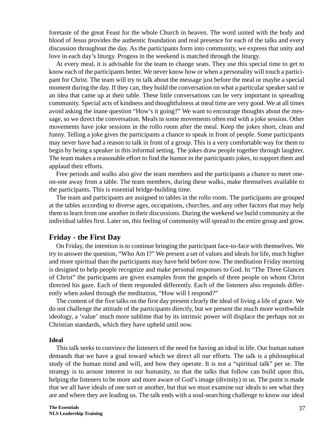foretaste of the great Feast for the whole Church in heaven. The word united with the body and blood of Jesus provides the authentic foundation and real presence for each of the talks and every discussion throughout the day. As the participants form into community, we express that unity and love in each day's liturgy. Progess in the weekend is matched through the liturgy.

At every meal, it is advisable for the team to change seats. They use this special time to get to know each of the participants better. We never know how or when a personality will touch a participant for Christ. The team will try to talk about the message just before the meal or maybe a special moment during the day. If they can, they build the conversation on what a particular speaker said or an idea that came up at their table. These little conversations can be very important in spreading community. Special acts of kindness and thoughtfulness at meal time are very good. We at all times avoid asking the inane question "How's it going?" We want to encourage thoughts about the message, so we direct the conversation. Meals in some movements often end with a joke session. Other movements have joke sessions in the rollo room after the meal. Keep the jokes short, clean and funny. Telling a joke gives the participants a chance to speak in front of people. Some participants may never have had a reason to talk in front of a group. This is a very comfortable way for them to begin by being a speaker in this informal setting. The jokes draw people together through laughter. The team makes a reasonable effort to find the humor in the participants jokes, to support them and applaud their efforts.

Free periods and walks also give the team members and the participants a chance to meet oneon-one away from a table. The team members, during these walks, make themselves available to the participants. This is essential bridge-building time.

The team and participants are assigned to tables in the rollo room. The participants are grouped at the tables according to diverse ages, occupations, churches, and any other factors that may help them to learn from one another in their discussions. During the weekend we build community at the individual tables first. Later on, this feeling of community will spread to the entire group and grow.

## **Friday - the First Day**

On Friday, the intention is to continue bringing the participant face-to-face with themselves. We try to answer the question, "Who Am I?" We present a set of values and ideals for life, much higher and more spiritual than the participants may have held before now. The meditation Friday morning is designed to help people recognize and make personal responses to God. In "The Three Glances of Christ" the participants are given examples from the gospels of three people on whom Christ directed his gaze. Each of them responded differently. Each of the listeners also responds differently when asked through the meditation, "How will I respond?"

The content of the five talks on the first day present clearly the ideal of living a life of grace. We do not challenge the attitude of the participants directly, but we present the much more worthwhile ideology, a 'value' much more sublime that by its intrinsic power will displace the perhaps not so Christian standards, which they have upheld until now.

#### **Ideal**

This talk seeks to convince the listeners of the need for having an ideal in life. Our human nature demands that we have a goal toward which we direct all our efforts. The talk is a philosophical study of the human mind and will, and how they operate. It is not a "spiritual talk" per se. The strategy is to arouse interest in our humanity, so that the talks that follow can build upon this, helping the listeners to be more and more aware of God's image (divinity) in us. The point is made that we all have ideals of one sort or another, but that we must examine our ideals to see what they are and where they are leading us. The talk ends with a soul-searching challenge to know our ideal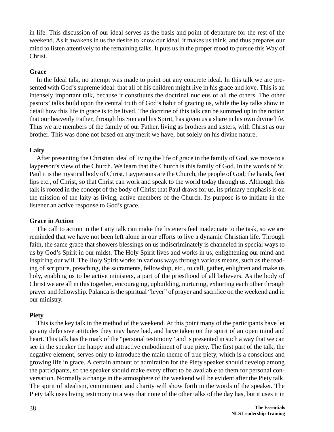in life. This discussion of our ideal serves as the basis and point of departure for the rest of the weekend. As it awakens in us the desire to know our ideal, it makes us think, and thus prepares our mind to listen attentively to the remaining talks. It puts us in the proper mood to pursue this Way of Christ.

## **Grace**

In the Ideal talk, no attempt was made to point out any concrete ideal. In this talk we are presented with God's supreme ideal: that all of his children might live in his grace and love. This is an intensely important talk, because it constitutes the doctrinal nucleus of all the others. The other pastors' talks build upon the central truth of God's habit of gracing us, while the lay talks show in detail how this life in grace is to be lived. The doctrine of this talk can be summed up in the notion that our heavenly Father, through his Son and his Spirit, has given us a share in his own divine life. Thus we are members of the family of our Father, living as brothers and sisters, with Christ as our brother. This was done not based on any merit we have, but solely on his divine nature.

## **Laity**

After presenting the Christian ideal of living the life of grace in the family of God, we move to a layperson's view of the Church. We learn that the Church is this family of God. In the words of St. Paul it is the mystical body of Christ. Laypersons are the Church, the people of God; the hands, feet lips etc., of Christ, so that Christ can work and speak to the world today through us. Although this talk is rooted in the concept of the body of Christ that Paul draws for us, its primary emphasis is on the mission of the laity as living, active members of the Church. Its purpose is to initiate in the listener an active response to God's grace.

## **Grace in Action**

The call to action in the Laity talk can make the listeners feel inadequate to the task, so we are reminded that we have not been left alone in our efforts to live a dynamic Christian life. Through faith, the same grace that showers blessings on us indiscriminately is channeled in special ways to us by God's Spirit in our midst. The Holy Spirit lives and works in us, enlightening our mind and inspiring our will. The Holy Spirit works in various ways through various means, such as the reading of scripture, preaching, the sacraments, fellowship, etc., to call, gather, enlighten and make us holy, enabling us to be active ministers, a part of the priesthood of all believers. As the body of Christ we are all in this together, encouraging, upbuilding, nurturing, exhorting each other through prayer and fellowship. Palanca is the spiritual "lever" of prayer and sacrifice on the weekend and in our ministry.

## **Piety**

This is the key talk in the method of the weekend. At this point many of the participants have let go any defensive attitudes they may have had, and have taken on the spirit of an open mind and heart. This talk has the mark of the "personal testimony" and is presented in such a way that we can see in the speaker the happy and attractive embodiment of true piety. The first part of the talk, the negative element, serves only to introduce the main theme of true piety, which is a conscious and growing life in grace. A certain amount of admiration for the Piety speaker should develop among the participants, so the speaker should make every effort to be available to them for personal conversation. Normally a change in the atmosphere of the weekend will be evident after the Piety talk. The spirit of idealism, commitment and charity will show forth in the words of the speaker. The Piety talk uses living testimony in a way that none of the other talks of the day has, but it uses it in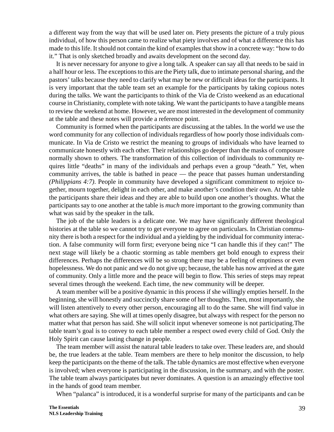a different way from the way that will be used later on. Piety presents the picture of a truly pious individual, of how this person came to realize what piety involves and of what a difference this has made to this life. It should not contain the kind of examples that show in a concrete way: "how to do it." That is only sketched broadly and awaits development on the second day.

It is never necessary for anyone to give a long talk. A speaker can say all that needs to be said in a half hour or less. The exceptions to this are the Piety talk, due to intimate personal sharing, and the pastors' talks because they need to clarify what may be new or difficult ideas for the participants. It is very important that the table team set an example for the participants by taking copious notes during the talks. We want the participants to think of the Via de Cristo weekend as an educational course in Christianity, complete with note taking. We want the participants to have a tangible means to review the weekend at home. However, we are most interested in the development of community at the table and these notes will provide a reference point.

Community is formed when the participants are discussing at the tables. In the world we use the word community for any collection of individuals regardless of how poorly those individuals communicate. In Via de Cristo we restrict the meaning to groups of individuals who have learned to communicate honestly with each other. Their relationships go deeper than the masks of composure normally shown to others. The transformation of this collection of individuals to community requires little "deaths" in many of the individuals and perhaps even a group "death." Yet, when community arrives, the table is bathed in peace — the peace that passes human understanding *(Philippians 4:7)*. People in community have developed a significant commitment to rejoice together, mourn together, delight in each other, and make another's condition their own. At the table the participants share their ideas and they are able to build upon one another's thoughts. What the participants say to one another at the table is *much* more important to the growing community than what was said by the speaker in the talk.

The job of the table leaders is a delicate one. We may have significanly different theological histories at the table so we cannot try to get everyone to agree on particulars. In Christian community there is both a respect for the individual and a yielding by the individual for community interaction. A false community will form first; everyone being nice "I can handle this if they can!" The next stage will likely be a chaotic storming as table members get bold enough to express their differences. Perhaps the differences will be so strong there may be a feeling of emptiness or even hopelessness. We do not panic and we do not give up; because, the table has now arrived at the gate of community. Only a little more and the peace will begin to flow. This series of steps may repeat several times through the weekend. Each time, the new community will be deeper.

A team member will be a positive dynamic in this process if she willingly empties herself. In the beginning, she will honestly and succinctly share some of her thoughts. Then, most importantly, she will listen attentively to every other person, encouraging all to do the same. She will find value in what others are saying. She will at times openly disagree, but always with respect for the person no matter what that person has said. She will solicit input whenever someone is not participating.The table team's goal is to convey to each table member a respect owed every child of God. Only the Holy Spirit can cause lasting change in people.

The team member will assist the natural table leaders to take over. These leaders are, and should be, the true leaders at the table. Team members are there to help monitor the discussion, to help keep the participants on the theme of the talk. The table dynamics are most effective when everyone is involved; when everyone is participating in the discussion, in the summary, and with the poster. The table team always participates but never dominates. A question is an amazingly effective tool in the hands of good team member.

When "palanca" is introduced, it is a wonderful surprise for many of the participants and can be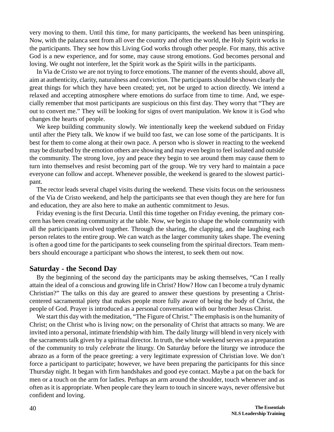very moving to them. Until this time, for many participants, the weekend has been uninspiring. Now, with the palanca sent from all over the country and often the world, the Holy Spirit works in the participants. They see how this Living God works through other people. For many, this active God is a new experience, and for some, may cause strong emotions. God becomes personal and loving. We ought not interfere, let the Spirit work as the Spirit wills in the participants.

In Via de Cristo we are not trying to force emotions. The manner of the events should, above all, aim at authenticity, clarity, naturalness and conviction. The participants should be shown clearly the great things for which they have been created; yet, not be urged to action directly. We intend a relaxed and accepting atmosphere where emotions do surface from time to time. And, we especially remember that most participants are suspicious on this first day. They worry that "They are out to convert me." They will be looking for signs of overt manipulation. We know it is God who changes the hearts of people.

We keep building community slowly. We intentionally keep the weekend subdued on Friday until after the Piety talk. We know if we build too fast, we can lose some of the participants. It is best for them to come along at their own pace. A person who is slower in reacting to the weekend may be disturbed by the emotion others are showing and may even begin to feel isolated and outside the community. The strong love, joy and peace they begin to see around them may cause them to turn into themselves and resist becoming part of the group. We try very hard to maintain a pace everyone can follow and accept. Whenever possible, the weekend is geared to the slowest participant.

The rector leads several chapel visits during the weekend. These visits focus on the seriousness of the Via de Cristo weekend, and help the participants see that even though they are here for fun and education, they are also here to make an authentic commitment to Jesus.

Friday evening is the first Decuria. Until this time together on Friday evening, the primary concern has been creating community at the table. Now, we begin to shape the whole community with all the participants involved together. Through the sharing, the clapping, and the laughing each person relates to the entire group. We can watch as the larger community takes shape. The evening is often a good time for the participants to seek counseling from the spiritual directors. Team members should encourage a participant who shows the interest, to seek them out now.

## **Saturday - the Second Day**

By the beginning of the second day the participants may be asking themselves, "Can I really attain the ideal of a conscious and growing life in Christ? How? How can I become a truly dynamic Christian?" The talks on this day are geared to answer these questions by presenting a Christcentered sacramental piety that makes people more fully aware of being the body of Christ, the people of God. Prayer is introduced as a personal conversation with our brother Jesus Christ.

We start this day with the meditation, "The Figure of Christ." The emphasis is on the humanity of Christ; on the Christ who is living now; on the personality of Christ that attracts so many. We are invited into a personal, intimate friendship with him. The daily liturgy will blend in very nicely with the sacraments talk given by a spiritual director. In truth, the whole weekend serves as a preparation of the community to truly *celebrate* the liturgy. On Saturday before the liturgy we introduce the abrazo as a form of the peace greeting: a very legitimate expression of Christian love. We don't force a participant to participate; however, we have been preparing the participants for this since Thursday night. It began with firm handshakes and good eye contact. Maybe a pat on the back for men or a touch on the arm for ladies. Perhaps an arm around the shoulder, touch whenever and as often as it is appropriate. When people care they learn to touch in sincere ways, never offensive but confident and loving.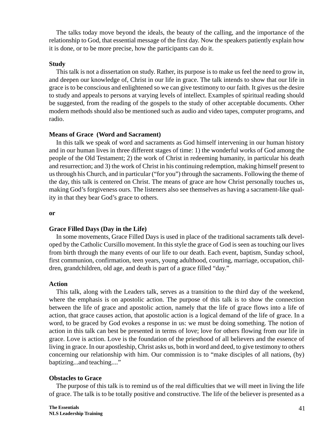The talks today move beyond the ideals, the beauty of the calling, and the importance of the relationship to God, that essential message of the first day. Now the speakers patiently explain how it is done, or to be more precise, how the participants can do it.

#### **Study**

This talk is not a dissertation on study. Rather, its purpose is to make us feel the need to grow in, and deepen our knowledge of, Christ in our life in grace. The talk intends to show that our life in grace is to be conscious and enlightened so we can give testimony to our faith. It gives us the desire to study and appeals to persons at varying levels of intellect. Examples of spiritual reading should be suggested, from the reading of the gospels to the study of other acceptable documents. Other modern methods should also be mentioned such as audio and video tapes, computer programs, and radio.

#### **Means of Grace (Word and Sacrament)**

In this talk we speak of word and sacraments as God himself intervening in our human history and in our human lives in three different stages of time: 1) the wonderful works of God among the people of the Old Testament; 2) the work of Christ in redeeming humanity, in particular his death and resurrection; and 3) the work of Christ in his continuing redemption, making himself present to us through his Church, and in particular ("for you") through the sacraments. Following the theme of the day, this talk is centered on Christ. The means of grace are how Christ personally touches us, making God's forgiveness ours. The listeners also see themselves as having a sacrament-like quality in that they bear God's grace to others.

#### **or**

#### **Grace Filled Days (Day in the Life)**

In some movements, Grace Filled Days is used in place of the traditional sacraments talk developed by the Catholic Cursillo movement. In this style the grace of God is seen as touching our lives from birth through the many events of our life to our death. Each event, baptism, Sunday school, first communion, confirmation, teen years, young adulthood, courting, marriage, occupation, children, grandchildren, old age, and death is part of a grace filled "day."

#### **Action**

This talk, along with the Leaders talk, serves as a transition to the third day of the weekend, where the emphasis is on apostolic action. The purpose of this talk is to show the connection between the life of grace and apostolic action, namely that the life of grace flows into a life of action, that grace causes action, that apostolic action is a logical demand of the life of grace. In a word, to be graced by God evokes a response in us: we must be doing something. The notion of action in this talk can best be presented in terms of love; love for others flowing from our life in grace. Love is action. Love is the foundation of the priesthood of all believers and the essence of living in grace. In our apostleship, Christ asks us, both in word and deed, to give testimony to others concerning our relationship with him. Our commission is to "make disciples of all nations, (by) baptizing...and teaching...."

## **Obstacles to Grace**

The purpose of this talk is to remind us of the real difficulties that we will meet in living the life of grace. The talk is to be totally positive and constructive. The life of the believer is presented as a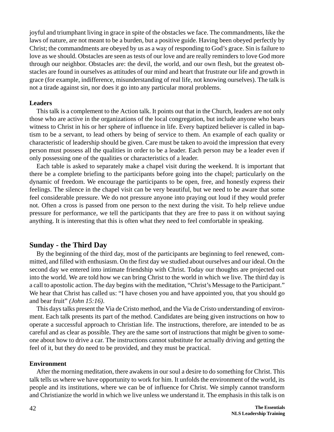joyful and triumphant living in grace in spite of the obstacles we face. The commandments, like the laws of nature, are not meant to be a burden, but a positive guide. Having been obeyed perfectly by Christ; the commandments are obeyed by us as a way of responding to God's grace. Sin is failure to love as we should. Obstacles are seen as tests of our love and are really reminders to love God more through our neighbor. Obstacles are: the devil, the world, and our own flesh, but the greatest obstacles are found in ourselves as attitudes of our mind and heart that frustrate our life and growth in grace (for example, indifference, misunderstanding of real life, not knowing ourselves). The talk is not a tirade against sin, nor does it go into any particular moral problems.

## **Leaders**

This talk is a complement to the Action talk. It points out that in the Church, leaders are not only those who are active in the organizations of the local congregation, but include anyone who bears witness to Christ in his or her sphere of influence in life. Every baptized believer is called in baptism to be a servant, to lead others by being of service to them. An example of each quality or characteristic of leadership should be given. Care must be taken to avoid the impression that every person must possess all the qualities in order to be a leader. Each person may be a leader even if only possessing one of the qualities or characteristics of a leader.

Each table is asked to separately make a chapel visit during the weekend. It is important that there be a complete briefing to the participants before going into the chapel; particularly on the dynamic of freedom. We encourage the participants to be open, free, and honestly express their feelings. The silence in the chapel visit can be very beautiful, but we need to be aware that some feel considerable pressure. We do not pressure anyone into praying out loud if they would prefer not. Often a cross is passed from one person to the next during the visit. To help relieve undue pressure for performance, we tell the participants that they are free to pass it on without saying anything. It is interesting that this is often what they need to feel comfortable in speaking.

## **Sunday - the Third Day**

By the beginning of the third day, most of the participants are beginning to feel renewed, committed, and filled with enthusiasm. On the first day we studied about ourselves and our ideal. On the second day we entered into intimate friendship with Christ. Today our thoughts are projected out into the world. We are told how we can bring Christ to the world in which we live. The third day is a call to apostolic action. The day begins with the meditation, "Christ's Message to the Participant." We hear that Christ has called us: "I have chosen you and have appointed you, that you should go and bear fruit" *(John 15:16)*.

This days talks present the Via de Cristo method, and the Via de Cristo understanding of environment. Each talk presents its part of the method. Candidates are being given instructions on how to operate a successful approach to Christian life. The instructions, therefore, are intended to be as careful and as clear as possible. They are the same sort of instructions that might be given to someone about how to drive a car. The instructions cannot substitute for actually driving and getting the feel of it, but they do need to be provided, and they must be practical.

#### **Environment**

After the morning meditation, there awakens in our soul a desire to do something for Christ. This talk tells us where we have opportunity to work for him. It unfolds the environment of the world, its people and its institutions, where we can be of influence for Christ. We simply cannot transform and Christianize the world in which we live unless we understand it. The emphasis in this talk is on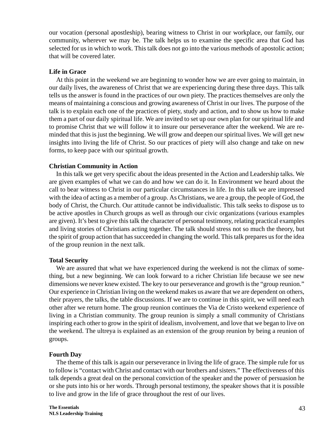our vocation (personal apostleship), bearing witness to Christ in our workplace, our family, our community, wherever we may be. The talk helps us to examine the specific area that God has selected for us in which to work. This talk does not go into the various methods of apostolic action; that will be covered later.

#### **Life in Grace**

At this point in the weekend we are beginning to wonder how we are ever going to maintain, in our daily lives, the awareness of Christ that we are experiencing during these three days. This talk tells us the answer is found in the practices of our own piety. The practices themselves are only the means of maintaining a conscious and growing awareness of Christ in our lives. The purpose of the talk is to explain each one of the practices of piety, study and action, and to show us how to make them a part of our daily spiritual life. We are invited to set up our own plan for our spiritual life and to promise Christ that we will follow it to insure our perseverance after the weekend. We are reminded that this is just the beginning. We will grow and deepen our spiritual lives. We will get new insights into living the life of Christ. So our practices of piety will also change and take on new forms, to keep pace with our spiritual growth.

## **Christian Community in Action**

In this talk we get very specific about the ideas presented in the Action and Leadership talks. We are given examples of what we can do and how we can do it. In Environment we heard about the call to bear witness to Christ in our particular circumstances in life. In this talk we are impressed with the idea of acting as a member of a group. As Christians, we are a group, the people of God, the body of Christ, the Church. Our attitude cannot be individualistic. This talk seeks to dispose us to be active apostles in Church groups as well as through our civic organizations (various examples are given). It's best to give this talk the character of personal testimony, relating practical examples and living stories of Christians acting together. The talk should stress not so much the theory, but the spirit of group action that has succeeded in changing the world. This talk prepares us for the idea of the group reunion in the next talk.

#### **Total Security**

We are assured that what we have experienced during the weekend is not the climax of something, but a new beginning. We can look forward to a richer Christian life because we see new dimensions we never knew existed. The key to our perseverance and growth is the "group reunion." Our experience in Christian living on the weekend makes us aware that we are dependent on others, their prayers, the talks, the table discussions. If we are to continue in this spirit, we will need each other after we return home. The group reunion continues the Via de Cristo weekend experience of living in a Christian community. The group reunion is simply a small community of Christians inspiring each other to grow in the spirit of idealism, involvement, and love that we began to live on the weekend. The ultreya is explained as an extension of the group reunion by being a reunion of groups.

## **Fourth Day**

The theme of this talk is again our perseverance in living the life of grace. The simple rule for us to follow is "contact with Christ and contact with our brothers and sisters." The effectiveness of this talk depends a great deal on the personal conviction of the speaker and the power of persuasion he or she puts into his or her words. Through personal testimony, the speaker shows that it is possible to live and grow in the life of grace throughout the rest of our lives.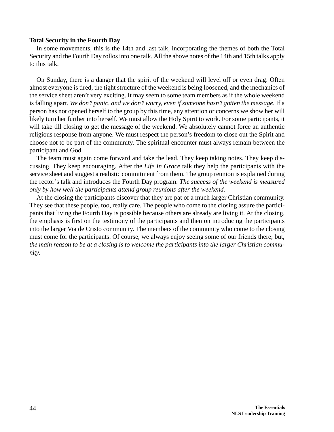#### **Total Security in the Fourth Day**

In some movements, this is the 14th and last talk, incorporating the themes of both the Total Security and the Fourth Day rollos into one talk. All the above notes of the 14th and 15th talks apply to this talk.

On Sunday, there is a danger that the spirit of the weekend will level off or even drag. Often almost everyone is tired, the tight structure of the weekend is being loosened, and the mechanics of the service sheet aren't very exciting. It may seem to some team members as if the whole weekend is falling apart. *We don't panic, and we don't worry, even if someone hasn't gotten the message*. If a person has not opened herself to the group by this time, any attention or concerns we show her will likely turn her further into herself. We must allow the Holy Spirit to work. For some participants, it will take till closing to get the message of the weekend. We absolutely cannot force an authentic religious response from anyone. We must respect the person's freedom to close out the Spirit and choose not to be part of the community. The spiritual encounter must always remain between the participant and God.

The team must again come forward and take the lead. They keep taking notes. They keep discussing. They keep encouraging. After the *Life In Grace* talk they help the participants with the service sheet and suggest a realistic commitment from them. The group reunion is explained during the rector's talk and introduces the Fourth Day program. *The success of the weekend is measured only by how well the participants attend group reunions after the weekend.*

At the closing the participants discover that they are pat of a much larger Christian community. They see that these people, too, really care. The people who come to the closing assure the participants that living the Fourth Day is possible because others are already are living it. At the closing, the emphasis is first on the testimony of the participants and then on introducing the participants into the larger Via de Cristo community. The members of the community who come to the closing must come for the participants. Of course, we always enjoy seeing some of our friends there; but, *the main reason to be at a closing is to welcome the participants into the larger Christian community*.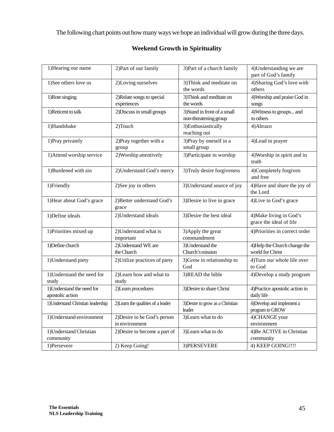The following chart points out how many ways we hope an individual will grow during the three days.

# **Weekend Growth in Spirituality**

| 1) Hearing our name                            | 2) Part of our family                          | 3) Part of a church family                            | 4) Understanding we are<br>part of God's family    |
|------------------------------------------------|------------------------------------------------|-------------------------------------------------------|----------------------------------------------------|
| 1)See others love us                           | 2)Loving ourselves                             | 3) Think and meditate on<br>the words                 | 4) Sharing God's love with<br>others               |
| 1) Rote singing                                | 2) Relate songs to special<br>experiences      | 3) Think and meditate on<br>the words                 | 4) Worship and praise God in<br>songs              |
| 1) Reticent to talk                            | 2) Discuss in small groups                     | 3) Stand in front of a small<br>non-threatening group | 4) Witness to groups and<br>to others              |
| 1)Handshake                                    | 2)Touch                                        | 3) Enthusiastically<br>reaching out                   | 4) Abrazo                                          |
| 1) Pray privately                              | 2) Pray together with a<br>group               | 3) Pray by oneself in a<br>small group                | 4) Lead in prayer                                  |
| 1) Attend worship service                      | 2) Worship attentively                         | 3) Participate in worship                             | 4) Worship in spirit and in<br>truth               |
| 1)Burdened with sin                            | 2) Understand God's mercy                      | 3) Truly desire forgiveness                           | 4)Completely forgiven<br>and free                  |
| 1)Friendly                                     | 2)See joy in others                            | 3) Understand source of joy                           | 4) Have and share the joy of<br>the Lord           |
| 1) Hear about God's grace                      | 2) Better understand God's<br>grace            | 3) Desire to live in grace                            | 4)Live in God's grace                              |
| 1) Define ideals                               | 2) Understand ideals                           | 3) Desire the best ideal                              | 4) Make living in God's<br>grace the ideal of life |
| 1) Priorities mixed up                         | 2) Understand what is<br>important             | 3) Apply the great<br>commandment                     | 4) Priorities in correct order                     |
| 1) Define church                               | 2) Understand WE are<br>the Church             | 3) Understand the<br>Church's mission                 | 4) Help the Church change the<br>world for Christ  |
| 1) Understand piety                            | 2) Utilize practices of piety                  | 3) Grow in relationship to<br>God                     | 4) Turn our whole life over<br>to God              |
| 1) Understand the need for<br>study            | 2)Learn how and what to<br>study               | 3)READ the bible                                      | 4) Develop a study program                         |
| 1) Understand the need for<br>apostolic action | 2) Learn procedures                            | 3) Desire to share Christ                             | 4) Practice apostolic action in<br>daily life      |
| 1) Understand Christian leadership             | 2) Learn the qualities of a leader             | 3) Desire to grow as a Christian<br>leader            | 4) Develop and implement a<br>program to GROW      |
| 1) Understand environment                      | 2) Desire to be God's person<br>in environment | 3) Learn what to do                                   | 4)CHANGE your<br>environment                       |
| 1) Understand Christian<br>community           | 2) Desire to become a part of                  | 3) Learn what to do                                   | 4) Be ACTIVE in Christian<br>community             |
| 1)Persevere                                    | 2) Keep Going!                                 | 3) PERSEVERE                                          | 4) KEEP GOING !!!!                                 |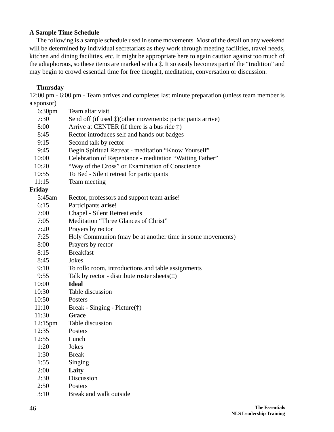## **A Sample Time Schedule**

The following is a sample schedule used in some movements. Most of the detail on any weekend will be determined by individual secretariats as they work through meeting facilities, travel needs, kitchen and dining facilities, etc. It might be appropriate here to again caution against too much of the adiaphorous, so these items are marked with a ‡. It so easily becomes part of the "tradition" and may begin to crowd essential time for free thought, meditation, conversation or discussion.

## **Thursday**

12:00 pm - 6:00 pm - Team arrives and completes last minute preparation (unless team member is a sponsor)

| 6:30 <sub>pm</sub> | Team altar visit                                                     |
|--------------------|----------------------------------------------------------------------|
| 7:30               | Send off (if used $\ddagger$ )(other movements: participants arrive) |
| 8:00               | Arrive at CENTER (if there is a bus ride $\ddagger$ )                |
| 8:45               | Rector introduces self and hands out badges                          |
| 9:15               | Second talk by rector                                                |
| 9:45               | Begin Spiritual Retreat - meditation "Know Yourself"                 |
| 10:00              | Celebration of Repentance - meditation "Waiting Father"              |
| 10:20              | "Way of the Cross" or Examination of Conscience                      |
| 10:55              | To Bed - Silent retreat for participants                             |
| 11:15              | Team meeting                                                         |
| Friday             |                                                                      |
| 5:45am             | Rector, professors and support team arise!                           |
| 6:15               | Participants arise!                                                  |
| 7:00               | Chapel - Silent Retreat ends                                         |
| 7:05               | Meditation "Three Glances of Christ"                                 |
| 7:20               | Prayers by rector                                                    |
| 7:25               | Holy Communion (may be at another time in some movements)            |
| 8:00               | Prayers by rector                                                    |
| 8:15               | <b>Breakfast</b>                                                     |
| 8:45               | Jokes                                                                |
| 9:10               | To rollo room, introductions and table assignments                   |
| 9:55               | Talk by rector - distribute roster sheets $(\ddagger)$               |
| 10:00              | <b>Ideal</b>                                                         |
| 10:30              | Table discussion                                                     |
| 10:50              | Posters                                                              |
| 11:10              | Break - Singing - Picture $(\ddagger)$                               |
| 11:30              | <b>Grace</b>                                                         |
| $12:15 \text{pm}$  | Table discussion                                                     |
| 12:35              | Posters                                                              |
| 12:55              | Lunch                                                                |
| 1:20               | Jokes                                                                |
| 1:30               | <b>Break</b>                                                         |
| 1:55               | Singing                                                              |
| 2:00               | Laity                                                                |
| 2:30               | Discussion                                                           |
| 2:50               | Posters                                                              |
| 3:10               | Break and walk outside                                               |
|                    |                                                                      |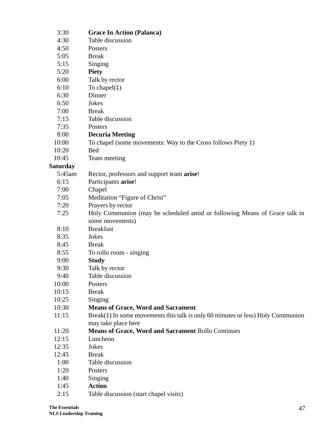| 3:30            | <b>Grace In Action (Palanca)</b>                                                          |
|-----------------|-------------------------------------------------------------------------------------------|
| 4:30            | Table discussion                                                                          |
| 4:50            | Posters                                                                                   |
| 5:05            | <b>Break</b>                                                                              |
| 5:15            | Singing                                                                                   |
| 5:20            | <b>Piety</b>                                                                              |
| 6:00            | Talk by rector                                                                            |
| 6:10            | To chapel $(\ddagger)$                                                                    |
| 6:30            | Dinner                                                                                    |
| 6:50            | Jokes                                                                                     |
| 7:00            | <b>Break</b>                                                                              |
| 7:15            | Table discussion                                                                          |
| 7:35            | Posters                                                                                   |
| 8:00            | <b>Decuria Meeting</b>                                                                    |
| 10:00           | To chapel (some movements: Way to the Cross follows Piety $\ddagger$ )                    |
| 10:20           | <b>Bed</b>                                                                                |
| 10:45           | Team meeting                                                                              |
| <b>Saturday</b> |                                                                                           |
| 5:45am          | Rector, professors and support team arise!                                                |
| 6:15            | Participants arise!                                                                       |
| 7:00            | Chapel                                                                                    |
| 7:05            | Meditation "Figure of Christ"                                                             |
| 7:20            | Prayers by rector                                                                         |
| 7:25            | Holy Communion (may be scheduled amid or following Means of Grace talk in                 |
|                 | some movements)                                                                           |
| 8:10            | <b>Breakfast</b>                                                                          |
| 8:35            | Jokes                                                                                     |
| 8:45            | <b>Break</b>                                                                              |
| 8:55            | To rollo room - singing                                                                   |
| 9:00            | <b>Study</b>                                                                              |
| 9:30            | Talk by rector                                                                            |
| 9:40            | Table discussion                                                                          |
| 10:00           | Posters                                                                                   |
| 10:15           | <b>Break</b>                                                                              |
| 10:25           | Singing                                                                                   |
| 10:30           | <b>Means of Grace, Word and Sacrament</b>                                                 |
| 11:15           | Break $(\ddagger)$ In some movements this talk is only 60 minutes or less) Holy Communion |
|                 | may take place here                                                                       |
| 11:20           | <b>Means of Grace, Word and Sacrament Rollo Continues</b>                                 |
| 12:15           | Luncheon                                                                                  |
| 12:35           | Jokes                                                                                     |
| 12:45           | <b>Break</b>                                                                              |
| 1:00            | Table discussion                                                                          |
| 1:20            | Posters                                                                                   |
| 1:40            | Singing                                                                                   |
| 1:45            | <b>Action</b>                                                                             |
| 2:15            | Table discussion (start chapel visits)                                                    |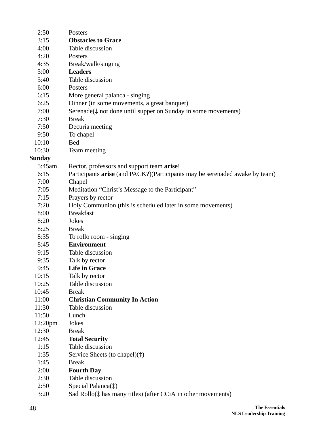| 2:50                | Posters                                                                     |
|---------------------|-----------------------------------------------------------------------------|
| 3:15                | <b>Obstacles to Grace</b>                                                   |
| 4:00                | Table discussion                                                            |
| 4:20                | Posters                                                                     |
| 4:35                | Break/walk/singing                                                          |
| 5:00                | <b>Leaders</b>                                                              |
| 5:40                | Table discussion                                                            |
| 6:00                | Posters                                                                     |
| 6:15                | More general palanca - singing                                              |
| 6:25                | Dinner (in some movements, a great banquet)                                 |
| 7:00                | Serenade( $\ddagger$ not done until supper on Sunday in some movements)     |
| 7:30                | <b>Break</b>                                                                |
| 7:50                | Decuria meeting                                                             |
| 9:50                | To chapel                                                                   |
| 10:10               | <b>Bed</b>                                                                  |
| 10:30               | Team meeting                                                                |
| <b>Sunday</b>       |                                                                             |
| 5:45am              | Rector, professors and support team arise!                                  |
| 6:15                | Participants arise (and PACK?)(Participants may be serenaded awake by team) |
| 7:00                | Chapel                                                                      |
| 7:05                | Meditation "Christ's Message to the Participant"                            |
| 7:15                | Prayers by rector                                                           |
| 7:20                | Holy Communion (this is scheduled later in some movements)                  |
| 8:00                | <b>Breakfast</b>                                                            |
| 8:20                | Jokes                                                                       |
| 8:25                | <b>Break</b>                                                                |
| 8:35                | To rollo room - singing                                                     |
| 8:45                | <b>Environment</b>                                                          |
| 9:15                | Table discussion                                                            |
| 9:35                | Talk by rector                                                              |
| 9:45                | <b>Life in Grace</b>                                                        |
| 10:15               | Talk by rector                                                              |
| 10:25               | Table discussion                                                            |
| 10:45               | <b>Break</b>                                                                |
| 11:00               | <b>Christian Community In Action</b>                                        |
| 11:30               | Table discussion                                                            |
| 11:50               | Lunch                                                                       |
| 12:20 <sub>pm</sub> | Jokes                                                                       |
| 12:30               | <b>Break</b>                                                                |
| 12:45               | <b>Total Security</b>                                                       |
| 1:15                | Table discussion                                                            |
| 1:35                | Service Sheets (to chapel) $(\ddagger)$                                     |
| 1:45                | <b>Break</b>                                                                |
| 2:00                | <b>Fourth Day</b>                                                           |
| 2:30                | Table discussion                                                            |
| 2:50                | Special Palanca $(\ddagger)$                                                |
| 3:20                | Sad Rollo( $\ddagger$ has many titles) (after CCiA in other movements)      |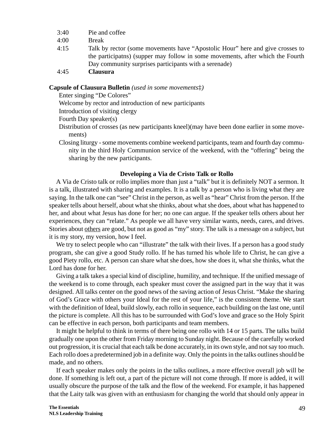- 3:40 Pie and coffee
- 4:00 Break
- 4:15 Talk by rector (some movements have "Apostolic Hour" here and give crosses to the participatns) (supper may follow in some movements, after which the Fourth Day community surprises participants with a serenade)
- 4:45 **Clausura**

#### **Capsule of Clausura Bulletin** *(used in some movements*‡*)*

Enter singing "De Colores"

Welcome by rector and introduction of new participants

Introduction of visiting clergy

Fourth Day speaker(s)

- Distribution of crosses (as new participants kneel)(may have been done earlier in some movements)
- Closing liturgy some movements combine weekend participants, team and fourth day community in the third Holy Communion service of the weekend, with the "offering" being the sharing by the new participants.

#### **Developing a Via de Cristo Talk or Rollo**

A Via de Cristo talk or rollo implies more than just a "talk" but it is definitely NOT a sermon. It is a talk, illustrated with sharing and examples. It is a talk by a person who is living what they are saying. In the talk one can "see" Christ in the person, as well as "hear" Christ from the person. If the speaker tells about herself, about what she thinks, about what she does, about what has happened to her, and about what Jesus has done for her; no one can argue. If the speaker tells others about her experiences, they can "relate." As people we all have very similar wants, needs, cares, and drives. Stories about others are good, but not as good as "my" story. The talk is a message on a subject, but it is my story, my version, how I feel.

We try to select people who can "illustrate" the talk with their lives. If a person has a good study program, she can give a good Study rollo. If he has turned his whole life to Christ, he can give a good Piety rollo, etc. A person can share what she does, how she does it, what she thinks, what the Lord has done for her.

Giving a talk takes a special kind of discipline, humility, and technique. If the unified message of the weekend is to come through, each speaker must cover the assigned part in the way that it was designed. All talks center on the good news of the saving action of Jesus Christ. "Make the sharing of God's Grace with others your Ideal for the rest of your life," is the consistent theme. We start with the definition of Ideal, build slowly, each rollo in sequence, each building on the last one, until the picture is complete. All this has to be surrounded with God's love and grace so the Holy Spirit can be effective in each person, both participants and team members.

It might be helpful to think in terms of there being one rollo with 14 or 15 parts. The talks build gradually one upon the other from Friday morning to Sunday night. Because of the carefully worked out progression, it is crucial that each talk be done accurately, in its own style, and not say too much. Each rollo does a predetermined job in a definite way. Only the points in the talks outlines should be made, and no others.

If each speaker makes only the points in the talks outlines, a more effective overall job will be done. If something is left out, a part of the picture will not come through. If more is added, it will usually obscure the purpose of the talk and the flow of the weekend. For example, it has happened that the Laity talk was given with an enthusiasm for changing the world that should only appear in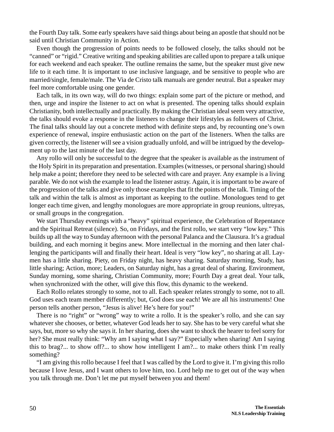the Fourth Day talk. Some early speakers have said things about being an apostle that should not be said until Christian Community in Action.

Even though the progression of points needs to be followed closely, the talks should not be "canned" or "rigid." Creative writing and speaking abilities are called upon to prepare a talk unique for each weekend and each speaker. The outline remains the same, but the speaker must give new life to it each time. It is important to use inclusive language, and be sensitive to people who are married/single, female/male. The Via de Cristo talk manuals are gender neutral. But a speaker may feel more comfortable using one gender.

Each talk, in its own way, will do two things: explain some part of the picture or method, and then, urge and inspire the listener to act on what is presented. The opening talks should explain Christianity, both intellectually and practically. By making the Christian ideal seem very attractive, the talks should evoke a response in the listeners to change their lifestyles as followers of Christ. The final talks should lay out a concrete method with definite steps and, by recounting one's own experience of renewal, inspire enthusiastic action on the part of the listeners. When the talks are given correctly, the listener will see a vision gradually unfold, and will be intrigued by the development up to the last minute of the last day.

Any rollo will only be successful to the degree that the speaker is available as the instrument of the Holy Spirit in its preparation and presentation. Examples (witnesses, or personal sharing) should help make a point; therefore they need to be selected with care and prayer. Any example is a living parable. We do not wish the example to lead the listener astray. Again, it is important to be aware of the progression of the talks and give only those examples that fit the points of the talk. Timing of the talk and within the talk is almost as important as keeping to the outline. Monologues tend to get longer each time given, and lengthy monologues are more appropriate in group reunions, ultreyas, or small groups in the congregation.

We start Thursday evenings with a "heavy" spiritual experience, the Celebration of Repentance and the Spiritual Retreat (silence). So, on Fridays, and the first rollo, we start very "low key." This builds up all the way to Sunday afternoon with the personal Palanca and the Clausura. It's a gradual building, and each morning it begins anew. More intellectual in the morning and then later challenging the participants will and finally their heart. Ideal is very "low key", no sharing at all. Laymen has a little sharing. Piety, on Friday night, has heavy sharing. Saturday morning, Study, has little sharing; Action, more; Leaders, on Saturday night, has a great deal of sharing. Environment, Sunday morning, some sharing, Christian Community, more; Fourth Day a great deal. Your talk, when synchronized with the other, will give this flow, this dynamic to the weekend.

Each Rollo relates strongly to some, not to all. Each speaker relates strongly to some, not to all. God uses each team member differently; but, God does use each! We are all his instruments! One person tells another person, "Jesus is alive! He's here for you!"

There is no "right" or "wrong" way to write a rollo. It is the speaker's rollo, and she can say whatever she chooses, or better, whatever God leads her to say. She has to be very careful what she says, but, more so why she says it. In her sharing, does she want to shock the hearer to feel sorry for her? She must really think: "Why am I saying what I say?" Especially when sharing! Am I saying this to brag?... to show off?... to show how intelligent I am?... to make others think I'm really something?

"I am giving this rollo because I feel that I was called by the Lord to give it. I'm giving this rollo because I love Jesus, and I want others to love him, too. Lord help me to get out of the way when you talk through me. Don't let me put myself between you and them!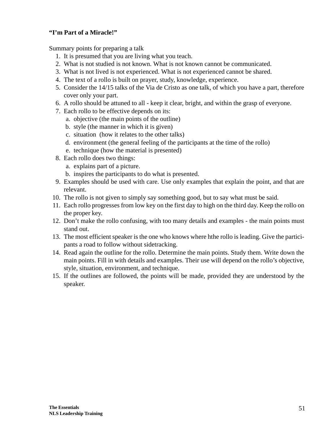## **"I'm Part of a Miracle!"**

Summary points for preparing a talk

- 1. It is presumed that you are living what you teach.
- 2. What is not studied is not known. What is not known cannot be communicated.
- 3. What is not lived is not experienced. What is not experienced cannot be shared.
- 4. The text of a rollo is built on prayer, study, knowledge, experience.
- 5. Consider the 14/15 talks of the Via de Cristo as one talk, of which you have a part, therefore cover only your part.
- 6. A rollo should be attuned to all keep it clear, bright, and within the grasp of everyone.
- 7. Each rollo to be effective depends on its:
	- a. objective (the main points of the outline)
	- b. style (the manner in which it is given)
	- c. situation (how it relates to the other talks)
	- d. environment (the general feeling of the participants at the time of the rollo)
	- e. technique (how the material is presented)
- 8. Each rollo does two things:
	- a. explains part of a picture.
	- b. inspires the participants to do what is presented.
- 9. Examples should be used with care. Use only examples that explain the point, and that are relevant.
- 10. The rollo is not given to simply say something good, but to say what must be said.
- 11. Each rollo progresses from low key on the first day to high on the third day. Keep the rollo on the proper key.
- 12. Don't make the rollo confusing, with too many details and examples the main points must stand out.
- 13. The most efficient speaker is the one who knows where hthe rollo is leading. Give the participants a road to follow without sidetracking.
- 14. Read again the outline for the rollo. Determine the main points. Study them. Write down the main points. Fill in with details and examples. Their use will depend on the rollo's objective, style, situation, environment, and technique.
- 15. If the outlines are followed, the points will be made, provided they are understood by the speaker.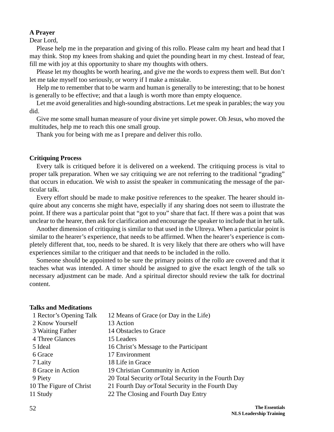#### **A Prayer**

Dear Lord,

Please help me in the preparation and giving of this rollo. Please calm my heart and head that I may think. Stop my knees from shaking and quiet the pounding heart in my chest. Instead of fear, fill me with joy at this opportunity to share my thoughts with others.

Please let my thoughts be worth hearing, and give me the words to express them well. But don't let me take myself too seriously, or worry if I make a mistake.

Help me to remember that to be warm and human is generally to be interesting; that to be honest is generally to be effective; and that a laugh is worth more than empty eloquence.

Let me avoid generalities and high-sounding abstractions. Let me speak in parables; the way you did.

Give me some small human measure of your divine yet simple power. Oh Jesus, who moved the multitudes, help me to reach this one small group.

Thank you for being with me as I prepare and deliver this rollo.

#### **Critiquing Process**

Every talk is critiqued before it is delivered on a weekend. The critiquing process is vital to proper talk preparation. When we say critiquing we are not referring to the traditional "grading" that occurs in education. We wish to assist the speaker in communicating the message of the particular talk.

Every effort should be made to make positive references to the speaker. The hearer should inquire about any concerns she might have, especially if any sharing does not seem to illustrate the point. If there was a particular point that "got to you" share that fact. If there was a point that was unclear to the hearer, then ask for clarification and encourage the speaker to include that in her talk.

Another dimension of critiquing is similar to that used in the Ultreya. When a particular point is similar to the hearer's experience, that needs to be affirmed. When the hearer's experience is completely different that, too, needs to be shared. It is very likely that there are others who will have experiences similar to the critiquer and that needs to be included in the rollo.

Someone should be appointed to be sure the primary points of the rollo are covered and that it teaches what was intended. A timer should be assigned to give the exact length of the talk so necessary adjustment can be made. And a spiritual director should review the talk for doctrinal content.

#### **Talks and Meditations**

| 1 Rector's Opening Talk | 12 Means of Grace (or Day in the Life)                |
|-------------------------|-------------------------------------------------------|
| 2 Know Yourself         | 13 Action                                             |
| 3 Waiting Father        | 14 Obstacles to Grace                                 |
| 4 Three Glances         | 15 Leaders                                            |
| 5 Ideal                 | 16 Christ's Message to the Participant                |
| 6 Grace                 | 17 Environment                                        |
| 7 Laity                 | 18 Life in Grace                                      |
| 8 Grace in Action       | 19 Christian Community in Action                      |
| 9 Piety                 | 20 Total Security or Total Security in the Fourth Day |
| 10 The Figure of Christ | 21 Fourth Day or Total Security in the Fourth Day     |
| 11 Study                | 22 The Closing and Fourth Day Entry                   |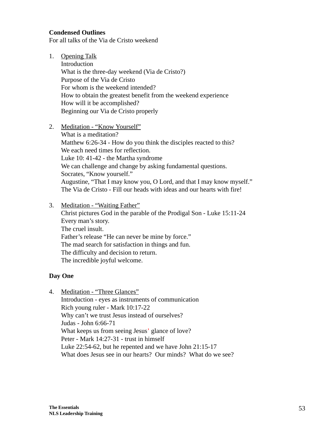## **Condensed Outlines**

For all talks of the Via de Cristo weekend

1. Opening Talk

Introduction What is the three-day weekend (Via de Cristo?) Purpose of the Via de Cristo For whom is the weekend intended? How to obtain the greatest benefit from the weekend experience How will it be accomplished? Beginning our Via de Cristo properly

2. Meditation - "Know Yourself"

What is a meditation? Matthew 6:26-34 - How do you think the disciples reacted to this? We each need times for reflection. Luke 10: 41-42 - the Martha syndrome We can challenge and change by asking fundamental questions. Socrates, "Know yourself." Augustine, "That I may know you, O Lord, and that I may know myself." The Via de Cristo - Fill our heads with ideas and our hearts with fire!

3. Meditation - "Waiting Father"

Christ pictures God in the parable of the Prodigal Son - Luke 15:11-24 Every man's story. The cruel insult. Father's release "He can never be mine by force." The mad search for satisfaction in things and fun. The difficulty and decision to return. The incredible joyful welcome.

## **Day One**

4. Meditation - "Three Glances"

Introduction - eyes as instruments of communication Rich young ruler - Mark 10:17-22 Why can't we trust Jesus instead of ourselves? Judas - John 6:66-71 What keeps us from seeing Jesus' glance of love? Peter - Mark 14:27-31 - trust in himself Luke 22:54-62, but he repented and we have John 21:15-17 What does Jesus see in our hearts? Our minds? What do we see?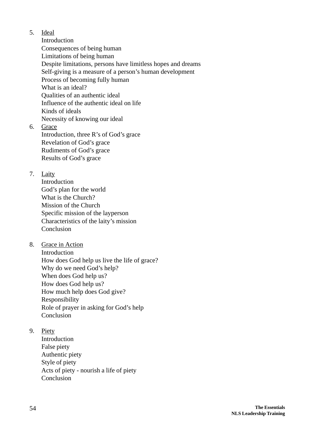5. Ideal

Introduction Consequences of being human Limitations of being human Despite limitations, persons have limitless hopes and dreams Self-giving is a measure of a person's human development Process of becoming fully human What is an ideal? Qualities of an authentic ideal Influence of the authentic ideal on life Kinds of ideals Necessity of knowing our ideal

6. Grace Introduction, three R's of God's grace Revelation of God's grace Rudiments of God's grace Results of God's grace

7. Laity

Introduction God's plan for the world What is the Church? Mission of the Church Specific mission of the layperson Characteristics of the laity's mission **Conclusion** 

8. Grace in Action

Introduction How does God help us live the life of grace? Why do we need God's help? When does God help us? How does God help us? How much help does God give? Responsibility Role of prayer in asking for God's help Conclusion

9. Piety

Introduction False piety Authentic piety Style of piety Acts of piety - nourish a life of piety Conclusion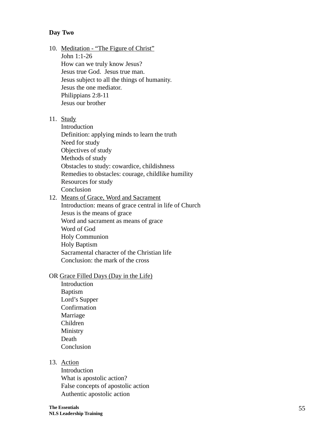### **Day Two**

- 10. Meditation "The Figure of Christ" John 1:1-26 How can we truly know Jesus? Jesus true God. Jesus true man. Jesus subject to all the things of humanity. Jesus the one mediator. Philippians 2:8-11 Jesus our brother
- 11. Study

Introduction Definition: applying minds to learn the truth Need for study Objectives of study Methods of study Obstacles to study: cowardice, childishness Remedies to obstacles: courage, childlike humility Resources for study Conclusion

12. Means of Grace, Word and Sacrament Introduction: means of grace central in life of Church Jesus is the means of grace Word and sacrament as means of grace Word of God Holy Communion Holy Baptism Sacramental character of the Christian life Conclusion: the mark of the cross

#### OR Grace Filled Days (Day in the Life)

Introduction Baptism Lord's Supper Confirmation Marriage Children Ministry Death Conclusion

#### 13. Action

Introduction What is apostolic action? False concepts of apostolic action Authentic apostolic action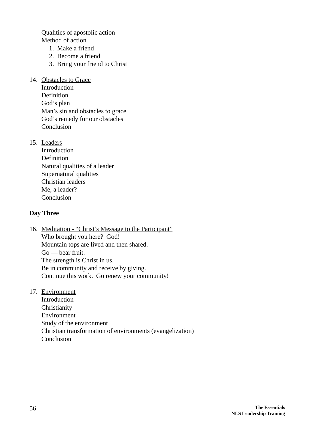Qualities of apostolic action Method of action

- 1. Make a friend
- 2. Become a friend
- 3. Bring your friend to Christ
- 14. Obstacles to Grace
	- Introduction Definition God's plan Man's sin and obstacles to grace God's remedy for our obstacles Conclusion
- 15. Leaders
	- Introduction Definition Natural qualities of a leader Supernatural qualities Christian leaders Me, a leader? Conclusion

## **Day Three**

- 16. Meditation "Christ's Message to the Participant" Who brought you here? God! Mountain tops are lived and then shared. Go — bear fruit. The strength is Christ in us. Be in community and receive by giving. Continue this work. Go renew your community!
- 17. Environment

Introduction Christianity Environment Study of the environment Christian transformation of environments (evangelization) Conclusion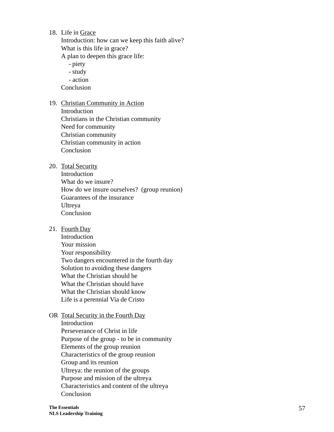18. Life in Grace

Introduction: how can we keep this faith alive? What is this life in grace?

A plan to deepen this grace life:

- piety - study

- action

Conclusion

19. Christian Community in Action

Introduction Christians in the Christian community Need for community Christian community Christian community in action Conclusion

20. Total Security

Introduction What do we insure? How do we insure ourselves? (group reunion) Guarantees of the insurance Ultreya Conclusion

21. Fourth Day

Introduction Your mission Your responsibility Two dangers encountered in the fourth day Solution to avoiding these dangers What the Christian should be What the Christian should have What the Christian should know Life is a perennial Via de Cristo

OR Total Security in the Fourth Day Introduction Perseverance of Christ in life Purpose of the group - to be in community Elements of the group reunion Characteristics of the group reunion Group and its reunion Ultreya: the reunion of the groups Purpose and mission of the ultreya Characteristics and content of the ultreya Conclusion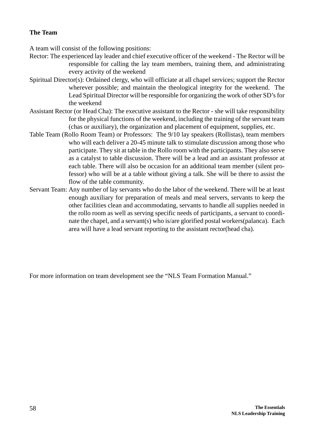## **The Team**

A team will consist of the following positions:

- Rector: The experienced lay leader and chief executive officer of the weekend The Rector will be responsible for calling the lay team members, training them, and administrating every activity of the weekend
- Spiritual Director(s): Ordained clergy, who will officiate at all chapel services; support the Rector wherever possible; and maintain the theological integrity for the weekend. The Lead Spiritual Director will be responsible for organizing the work of other SD's for the weekend
- Assistant Rector (or Head Cha): The executive assistant to the Rector she will take responsibility for the physical functions of the weekend, including the training of the servant team (chas or auxiliary), the organization and placement of equipment, supplies, etc.
- Table Team (Rollo Room Team) or Professors: The 9/10 lay speakers (Rollistas), team members who will each deliver a 20-45 minute talk to stimulate discussion among those who participate. They sit at table in the Rollo room with the participants. They also serve as a catalyst to table discussion. There will be a lead and an assistant professor at each table. There will also be occasion for an additional team member (silent professor) who will be at a table without giving a talk. She will be there to assist the flow of the table community.
- Servant Team: Any number of lay servants who do the labor of the weekend. There will be at least enough auxiliary for preparation of meals and meal servers, servants to keep the other facilities clean and accommodating, servants to handle all supplies needed in the rollo room as well as serving specific needs of participants, a servant to coordinate the chapel, and a servant(s) who is/are glorified postal workers(palanca). Each area will have a lead servant reporting to the assistant rector(head cha).

For more information on team development see the "NLS Team Formation Manual."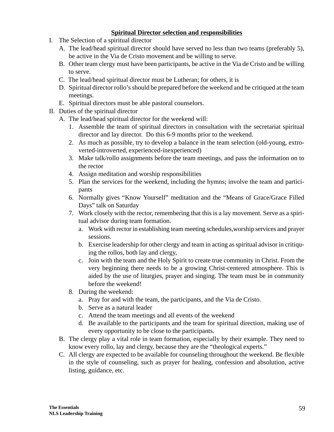## **Spiritual Director selection and responsibilities**

- I. The Selection of a spiritual director
	- A. The lead/head spiritual director should have served no less than two teams (preferably 5), be active in the Via de Cristo movement and be willing to serve.
	- B. Other team clergy must have been participants, be active in the Via de Cristo and be willing to serve.
	- C. The lead/head spiritual director must be Lutheran; for others, it is
	- D. Spiritual director rollo's should be prepared before the weekend and be critiqued at the team meetings.
	- E. Spiritual directors must be able pastoral counselors.
- II. Duties of the spiritual director
	- A. The lead/head spiritual director for the weekend will:
		- 1. Assemble the team of spiritual directors in consultation with the secretariat spiritual director and lay director. Do this 6-9 months prior to the weekend.
		- 2. As much as possible, try to develop a balance in the team selection (old-young, extroverted-introverted, experienced-inexperienced)
		- 3. Make talk/rollo assignments before the team meetings, and pass the information on to the rector
		- 4. Assign meditation and worship responsibilities
		- 5. Plan the services for the weekend, including the hymns; involve the team and participants
		- 6. Normally gives "Know Yourself" meditation and the "Means of Grace/Grace Filled Days" talk on Saturday
		- 7. Work closely with the rector, remembering that this is a lay movement. Serve as a spiritual advisor during team formation.
			- a. Work with rector in establishing team meeting schedules,worship services and prayer sessions.
			- b. Exercise leadership for other clergy and team in acting as spiritual advisor in critiquing the rollos, both lay and clergy,
			- c. Join with the team and the Holy Spirit to create true community in Christ. From the very beginning there needs to be a growing Christ-centered atmosphere. This is aided by the use of liturgies, prayer and singing. The team must be in community before the weekend!
		- 8. During the weekend:
			- a. Pray for and with the team, the participants, and the Via de Cristo.
			- b. Serve as a natural leader
			- c. Attend the team meetings and all events of the weekend
			- d. Be available to the participants and the team for spiritual direction, making use of every opportunity to be close to the participants.
	- B. The clergy play a vital role in team formation, especially by their example. They need to know every rollo, lay and clergy, because they are the "theological experts."
	- C. All clergy are expected to be available for counseling throughout the weekend. Be flexible in the style of counseling, such as prayer for healing, confession and absolution, active listing, guidance, etc.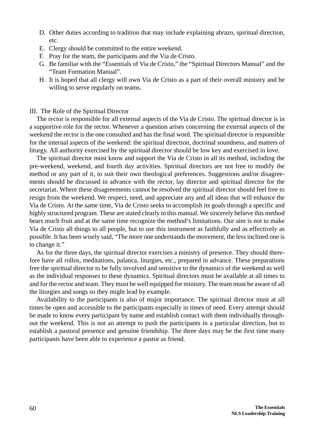- D. Other duties according to tradition that may include explaining abrazo, spiritual direction, etc.
- E. Clergy should be committed to the entire weekend.
- F. Pray for the team, the participants and the Via de Cristo.
- G. Be familiar with the "Essentials of Via de Cristo," the "Spiritual Directors Manual" and the "Team Formation Manual".
- H. It is hoped that all clergy will own Via de Cristo as a part of their overall ministry and be willing to serve regularly on teams.

## III. The Role of the Spiritual Director

The rector is responsible for all external aspects of the Via de Cristo. The spiritual director is in a supportive role for the rector. Whenever a question arises concerning the external aspects of the weekend the rector is the one consulted and has the final word. The spiritual director is responsible for the internal aspects of the weekend: the spiritual direction, doctrinal soundness, and matters of liturgy. All authority exercised by the spiritual director should be low key and exercised in love.

The spiritual director must know and support the Via de Cristo in all its method, including the pre-weekend, weekend, and fourth day activities. Spiritual directors are not free to modify the method or any part of it, to suit their own theological preferences. Suggestions and/or disagreements should be discussed in advance with the rector, lay director and spiritual director for the secretariat. Where these disagreements cannot be resolved the spiritual director should feel free to resign from the weekend. We respect, need, and appreciate any and all ideas that will enhance the Via de Cristo. At the same time, Via de Cristo seeks to accomplish its goals through a specific and highly structured program. These are stated clearly in this manual. We sincerely believe this method bears much fruit and at the same time recognize the method's limitations. Our aim is not to make Via de Cristo all things to all people, but to use this instrument as faithfully and as effectively as possible. It has been wisely said, "The more one understands the movement, the less inclined one is to change it."

As for the three days, the spiritual director exercises a ministry of presence. They should therefore have all rollos, meditations, palanca, liturgies, etc., prepared in advance. These preparations free the spiritual director to be fully involved and sensitive to the dynamics of the weekend as well as the individual responses to these dynamics. Spiritual directors must be available at all times to and for the rector and team. They must be well equipped for ministry. The team must be aware of all the liturgies and songs so they might lead by example.

Availability to the participants is also of major importance. The spiritual director must at all times be open and accessible to the participants especially in times of need. Every attempt should be made to know every participant by name and establish contact with them individually throughout the weekend. This is not an attempt to push the participants in a particular direction, but to establish a pastoral presence and genuine friendship. The three days may be the first time many participants have been able to experience a pastor as friend.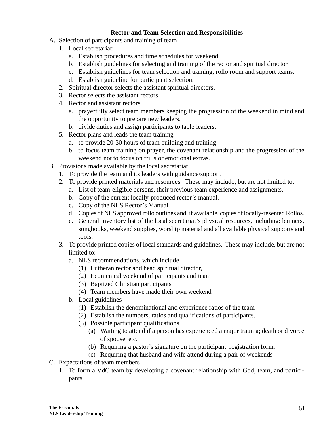## **Rector and Team Selection and Responsibilities**

- A. Selection of participants and training of team
	- 1. Local secretariat:
		- a. Establish procedures and time schedules for weekend.
		- b. Establish guidelines for selecting and training of the rector and spiritual director
		- c. Establish guidelines for team selection and training, rollo room and support teams.
		- d. Establish guideline for participant selection.
	- 2. Spiritual director selects the assistant spiritual directors.
	- 3. Rector selects the assistant rectors.
	- 4. Rector and assistant rectors
		- a. prayerfully select team members keeping the progression of the weekend in mind and the opportunity to prepare new leaders.
		- b. divide duties and assign participants to table leaders.
	- 5. Rector plans and leads the team training
		- a. to provide 20-30 hours of team building and training
		- b. to focus team training on prayer, the covenant relationship and the progression of the weekend not to focus on frills or emotional extras.
- B. Provisions made available by the local secretariat
	- 1. To provide the team and its leaders with guidance/support.
	- 2. To provide printed materials and resources. These may include, but are not limited to:
		- a. List of team-eligible persons, their previous team experience and assignments.
		- b. Copy of the current locally-produced rector's manual.
		- c. Copy of the NLS Rector's Manual.
		- d. Copies of NLS approved rollo outlines and, if available, copies of locally-resented Rollos.
		- e. General inventory list of the local secretariat's physical resources, including: banners, songbooks, weekend supplies, worship material and all available physical supports and tools.
	- 3. To provide printed copies of local standards and guidelines. These may include, but are not limited to:
		- a. NLS recommendations, which include
			- (1) Lutheran rector and head spiritual director,
			- (2) Ecumenical weekend of participants and team
			- (3) Baptized Christian participants
			- (4) Team members have made their own weekend
		- b. Local guidelines
			- (1) Establish the denominational and experience ratios of the team
			- (2) Establish the numbers, ratios and qualifications of participants.
			- (3) Possible participant qualifications
				- (a) Waiting to attend if a person has experienced a major trauma; death or divorce of spouse, etc.
				- (b) Requiring a pastor's signature on the participant registration form.
				- (c) Requiring that husband and wife attend during a pair of weekends
- C. Expectations of team members
	- 1. To form a VdC team by developing a covenant relationship with God, team, and participants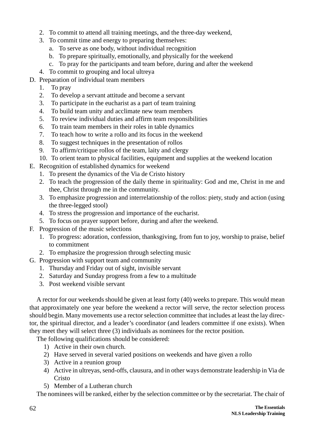- 2. To commit to attend all training meetings, and the three-day weekend,
- 3. To commit time and energy to preparing themselves:
	- a. To serve as one body, without individual recognition
	- b. To prepare spiritually, emotionally, and physically for the weekend
	- c. To pray for the participants and team before, during and after the weekend
- 4. To commit to grouping and local ultreya
- D. Preparation of individual team members
	- 1. To pray
	- 2. To develop a servant attitude and become a servant
	- 3. To participate in the eucharist as a part of team training
	- 4. To build team unity and acclimate new team members
	- 5. To review individual duties and affirm team responsibilities
	- 6. To train team members in their roles in table dynamics
	- 7. To teach how to write a rollo and its focus in the weekend
	- 8. To suggest techniques in the presentation of rollos
	- 9. To affirm/critique rollos of the team, laity and clergy
	- 10. To orient team to physical facilities, equipment and supplies at the weekend location
- E. Recognition of established dynamics for weekend
	- 1. To present the dynamics of the Via de Cristo history
	- 2. To teach the progression of the daily theme in spirituality: God and me, Christ in me and thee, Christ through me in the community.
	- 3. To emphasize progression and interrelationship of the rollos: piety, study and action (using the three-legged stool)
	- 4. To stress the progression and importance of the eucharist.
	- 5. To focus on prayer support before, during and after the weekend.
- F. Progression of the music selections
	- 1. To progress: adoration, confession, thanksgiving, from fun to joy, worship to praise, belief to commitment
	- 2. To emphasize the progression through selecting music
- G. Progression with support team and community
	- 1. Thursday and Friday out of sight, invisible servant
	- 2. Saturday and Sunday progress from a few to a multitude
	- 3. Post weekend visible servant

A rector for our weekends should be given at least forty (40) weeks to prepare. This would mean that approximately one year before the weekend a rector will serve, the rector selection process should begin. Many movements use a rector selection committee that includes at least the lay director, the spiritual director, and a leader's coordinator (and leaders committee if one exists). When they meet they will select three (3) individuals as nominees for the rector position.

The following qualifications should be considered:

- 1) Active in their own church.
- 2) Have served in several varied positions on weekends and have given a rollo
- 3) Active in a reunion group
- 4) Active in ultreyas, send-offs, clausura, and in other ways demonstrate leadership in Via de Cristo
- 5) Member of a Lutheran church

The nominees will be ranked, either by the selection committee or by the secretariat. The chair of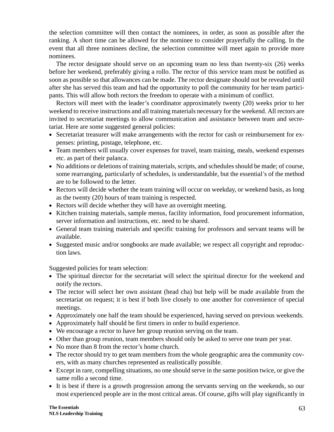the selection committee will then contact the nominees, in order, as soon as possible after the ranking. A short time can be allowed for the nominee to consider prayerfully the calling. In the event that all three nominees decline, the selection committee will meet again to provide more nominees.

The rector designate should serve on an upcoming team no less than twenty-six (26) weeks before her weekend, preferably giving a rollo. The rector of this service team must be notified as soon as possible so that allowances can be made. The rector designate should not be revealed until after she has served this team and had the opportunity to poll the community for her team participants. This will allow both rectors the freedom to operate with a minimum of conflict.

Rectors will meet with the leader's coordinator approximately twenty (20) weeks prior to her weekend to receive instructions and all training materials necessary for the weekend. All rectors are invited to secretariat meetings to allow communication and assistance between team and secretariat. Here are some suggested general policies:

- Secretariat treasurer will make arrangements with the rector for cash or reimbursement for expenses: printing, postage, telephone, etc.
- Team members will usually cover expenses for travel, team training, meals, weekend expenses etc. as part of their palanca.
- No additions or deletions of training materials, scripts, and schedules should be made; of course, some rearranging, particularly of schedules, is understandable, but the essential's of the method are to be followed to the letter.
- Rectors will decide whether the team training will occur on weekday, or weekend basis, as long as the twenty (20) hours of team training is respected.
- Rectors will decide whether they will have an overnight meeting.
- Kitchen training materials, sample menus, facility information, food procurement information, server information and instructions, etc. need to be shared.
- General team training materials and specific training for professors and servant teams will be available.
- Suggested music and/or songbooks are made available; we respect all copyright and reproduction laws.

Suggested policies for team selection:

- The spiritual director for the secretariat will select the spiritual director for the weekend and notify the rectors.
- The rector will select her own assistant (head cha) but help will be made available from the secretariat on request; it is best if both live closely to one another for convenience of special meetings.
- Approximately one half the team should be experienced, having served on previous weekends.
- Approximately half should be first timers in order to build experience.
- We encourage a rector to have her group reunion serving on the team.
- Other than group reunion, team members should only be asked to serve one team per year.
- No more than 8 from the rector's home church.
- The rector should try to get team members from the whole geographic area the community covers, with as many churches represented as realistically possible.
- Except in rare, compelling situations, no one should serve in the same position twice, or give the same rollo a second time.
- It is best if there is a growth progression among the servants serving on the weekends, so our most experienced people are in the most critical areas. Of course, gifts will play significantly in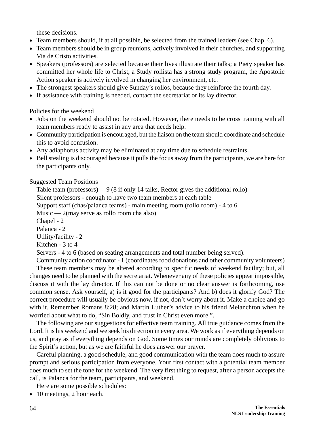these decisions.

- Team members should, if at all possible, be selected from the trained leaders (see Chap. 6).
- Team members should be in group reunions, actively involved in their churches, and supporting Via de Cristo activities.
- Speakers (professors) are selected because their lives illustrate their talks; a Piety speaker has committed her whole life to Christ, a Study rollista has a strong study program, the Apostolic Action speaker is actively involved in changing her environment, etc.
- The strongest speakers should give Sunday's rollos, because they reinforce the fourth day.
- If assistance with training is needed, contact the secretariat or its lay director.

Policies for the weekend

- Jobs on the weekend should not be rotated. However, there needs to be cross training with all team members ready to assist in any area that needs help.
- Community participation is encouraged, but the liaison on the team should coordinate and schedule this to avoid confusion.
- Any adiaphorus activity may be eliminated at any time due to schedule restraints.
- Bell stealing is discouraged because it pulls the focus away from the participants, we are here for the participants only.

Suggested Team Positions

Table team (professors) —9 (8 if only 14 talks, Rector gives the additional rollo) Silent professors - enough to have two team members at each table Support staff (chas/palanca teams) - main meeting room (rollo room) - 4 to 6 Music —  $2$ (may serve as rollo room cha also) Chapel - 2 Palanca - 2 Utility/facility - 2 Kitchen - 3 to 4 Servers - 4 to 6 (based on seating arrangements and total number being served).

Community action coordinator - 1 (coordinates food donations and other community volunteers) These team members may be altered according to specific needs of weekend facility; but, all changes need to be planned with the secretariat. Whenever any of these policies appear impossible, discuss it with the lay director. If this can not be done or no clear answer is forthcoming, use common sense. Ask yourself, a) is it good for the participants? And b) does it glorify God? The correct procedure will usually be obvious now, if not, don't worry about it. Make a choice and go with it. Remember Romans 8:28; and Martin Luther's advice to his friend Melanchton when he worried about what to do, "Sin Boldly, and trust in Christ even more.".

The following are our suggestions for effective team training. All true guidance comes from the Lord. It is his weekend and we seek his direction in every area. We work as if everything depends on us, and pray as if everything depends on God. Some times our minds are completely oblivious to the Spirit's action, but as we are faithful he does answer our prayer.

Careful planning, a good schedule, and good communication with the team does much to assure prompt and serious participation from everyone. Your first contact with a potential team member does much to set the tone for the weekend. The very first thing to request, after a person accepts the call, is Palanca for the team, participants, and weekend.

Here are some possible schedules:

• 10 meetings, 2 hour each.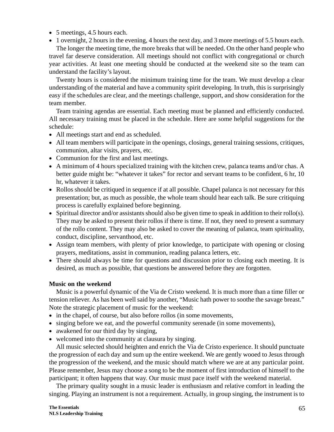- 5 meetings, 4.5 hours each.
- 1 overnight, 2 hours in the evening, 4 hours the next day, and 3 more meetings of 5.5 hours each.

The longer the meeting time, the more breaks that will be needed. On the other hand people who travel far deserve consideration. All meetings should not conflict with congregational or church year activities. At least one meeting should be conducted at the weekend site so the team can understand the facility's layout.

Twenty hours is considered the minimum training time for the team. We must develop a clear understanding of the material and have a community spirit developing. In truth, this is surprisingly easy if the schedules are clear, and the meetings challenge, support, and show consideration for the team member.

Team training agendas are essential. Each meeting must be planned and efficiently conducted. All necessary training must be placed in the schedule. Here are some helpful suggestions for the schedule:

- All meetings start and end as scheduled.
- All team members will participate in the openings, closings, general training sessions, critiques, communion, altar visits, prayers, etc.
- Communion for the first and last meetings.
- A minimum of 4 hours specialized training with the kitchen crew, palanca teams and/or chas. A better guide might be: "whatever it takes" for rector and servant teams to be confident, 6 hr, 10 hr, whatever it takes.
- Rollos should be critiqued in sequence if at all possible. Chapel palanca is not necessary for this presentation; but, as much as possible, the whole team should hear each talk. Be sure critiquing process is carefully explained before beginning.
- Spiritual director and/or assistants should also be given time to speak in addition to their rollo(s). They may be asked to present their rollos if there is time. If not, they need to present a summary of the rollo content. They may also be asked to cover the meaning of palanca, team spirituality, conduct, discipline, servanthood, etc.
- Assign team members, with plenty of prior knowledge, to participate with opening or closing prayers, meditations, assist in communion, reading palanca letters, etc.
- There should always be time for questions and discussion prior to closing each meeting. It is desired, as much as possible, that questions be answered before they are forgotten.

## **Music on the weekend**

Music is a powerful dynamic of the Via de Cristo weekend. It is much more than a time filler or tension reliever. As has been well said by another, "Music hath power to soothe the savage breast." Note the strategic placement of music for the weekend:

- in the chapel, of course, but also before rollos (in some movements,
- singing before we eat, and the powerful community serenade (in some movements),
- awakened for our third day by singing,
- welcomed into the community at clausura by singing.

All music selected should heighten and enrich the Via de Cristo experience. It should punctuate the progression of each day and sum up the entire weekend. We are gently wooed to Jesus through the progression of the weekend, and the music should match where we are at any particular point. Please remember, Jesus may choose a song to be the moment of first introduction of himself to the participant; it often happens that way. Our music must pace itself with the weekend material.

The primary quality sought in a music leader is enthusiasm and relative comfort in leading the singing. Playing an instrument is not a requirement. Actually, in group singing, the instrument is to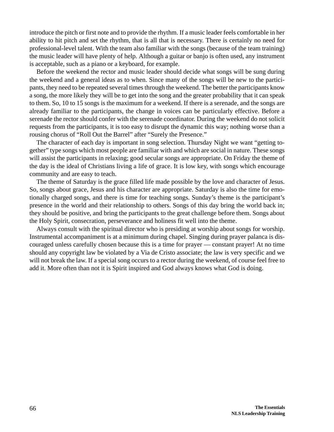introduce the pitch or first note and to provide the rhythm. If a music leader feels comfortable in her ability to hit pitch and set the rhythm, that is all that is necessary. There is certainly no need for professional-level talent. With the team also familiar with the songs (because of the team training) the music leader will have plenty of help. Although a guitar or banjo is often used, any instrument is acceptable, such as a piano or a keyboard, for example.

Before the weekend the rector and music leader should decide what songs will be sung during the weekend and a general ideas as to when. Since many of the songs will be new to the participants, they need to be repeated several times through the weekend. The better the participants know a song, the more likely they will be to get into the song and the greater probability that it can speak to them. So, 10 to 15 songs is the maximum for a weekend. If there is a serenade, and the songs are already familiar to the participants, the change in voices can be particularly effective. Before a serenade the rector should confer with the serenade coordinator. During the weekend do not solicit requests from the participants, it is too easy to disrupt the dynamic this way; nothing worse than a rousing chorus of "Roll Out the Barrel" after "Surely the Presence."

The character of each day is important in song selection. Thursday Night we want "getting together" type songs which most people are familiar with and which are social in nature. These songs will assist the participants in relaxing; good secular songs are appropriate. On Friday the theme of the day is the ideal of Christians living a life of grace. It is low key, with songs which encourage community and are easy to teach.

The theme of Saturday is the grace filled life made possible by the love and character of Jesus. So, songs about grace, Jesus and his character are appropriate. Saturday is also the time for emotionally charged songs, and there is time for teaching songs. Sunday's theme is the participant's presence in the world and their relationship to others. Songs of this day bring the world back in; they should be positive, and bring the participants to the great challenge before them. Songs about the Holy Spirit, consecration, perseverance and holiness fit well into the theme.

Always consult with the spiritual director who is presiding at worship about songs for worship. Instrumental accompaniment is at a minimum during chapel. Singing during prayer palanca is discouraged unless carefully chosen because this is a time for prayer — constant prayer! At no time should any copyright law be violated by a Via de Cristo associate; the law is very specific and we will not break the law. If a special song occurs to a rector during the weekend, of course feel free to add it. More often than not it is Spirit inspired and God always knows what God is doing.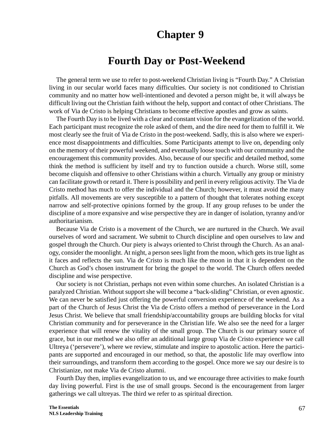# **Chapter 9**

# **Fourth Day or Post-Weekend**

The general term we use to refer to post-weekend Christian living is "Fourth Day." A Christian living in our secular world faces many difficulties. Our society is not conditioned to Christian community and no matter how well-intentioned and devoted a person might be, it will always be difficult living out the Christian faith without the help, support and contact of other Christians. The work of Via de Cristo is helping Christians to become effective apostles and grow as saints.

The Fourth Day is to be lived with a clear and constant vision for the evangelization of the world. Each participant must recognize the role asked of them, and the dire need for them to fulfill it. We most clearly see the fruit of Via de Cristo in the post-weekend. Sadly, this is also where we experience most disappointments and difficulties. Some Participants attempt to live on, depending only on the memory of their powerful weekend, and eventually loose touch with our community and the encouragement this community provides. Also, because of our specific and detailed method, some think the method is sufficient by itself and try to function outside a church. Worse still, some become cliquish and offensive to other Christians within a church. Virtually any group or ministry can facilitate growth or retard it. There is possibility and peril in every religious activity. The Via de Cristo method has much to offer the individual and the Church; however, it must avoid the many pitfalls. All movements are very susceptible to a pattern of thought that tolerates nothing except narrow and self-protective opinions formed by the group. If any group refuses to be under the discipline of a more expansive and wise perspective they are in danger of isolation, tyranny and/or authoritarianism.

Because Via de Cristo is a movement of the Church, we are nurtured in the Church. We avail ourselves of word and sacrament. We submit to Church discipline and open ourselves to law and gospel through the Church. Our piety is always oriented to Christ through the Church. As an analogy, consider the moonlight. At night, a person sees light from the moon, which gets its true light as it faces and reflects the sun. Via de Cristo is much like the moon in that it is dependent on the Church as God's chosen instrument for bring the gospel to the world. The Church offers needed discipline and wise perspective.

Our society is not Christian, perhaps not even within some churches. An isolated Christian is a paralyzed Christian. Without support she will become a "back-sliding" Christian, or even agnostic. We can never be satisfied just offering the powerful conversion experience of the weekend. As a part of the Church of Jesus Christ the Via de Cristo offers a method of perseverance in the Lord Jesus Christ. We believe that small friendship/accountability groups are building blocks for vital Christian community and for perseverance in the Christian life. We also see the need for a larger experience that will renew the vitality of the small group. The Church is our primary source of grace, but in our method we also offer an additional large group Via de Cristo experience we call Ultreya ('persevere'), where we review, stimulate and inspire to apostolic action. Here the participants are supported and encouraged in our method, so that, the apostolic life may overflow into their surroundings, and transform them according to the gospel. Once more we say our desire is to Christianize, not make Via de Cristo alumni.

Fourth Day then, implies evangelization to us, and we encourage three activities to make fourth day living powerful. First is the use of small groups. Second is the encouragement from larger gatherings we call ultreyas. The third we refer to as spiritual direction.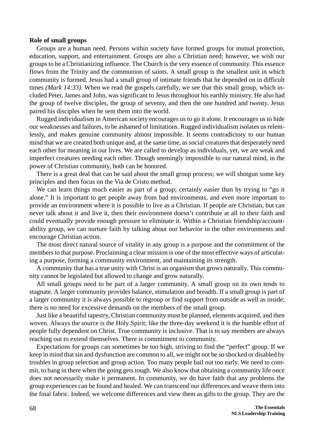#### **Role of small groups**

Groups are a human need. Persons within society have formed groups for mutual protection, education, support, and entertainment. Groups are also a Christian need; however, we wish our groups to be a Christianizing influence. The Church is the very essence of community. This essence flows from the Trinity and the communion of saints. A small group is the smallest unit in which community is formed. Jesus had a small group of intimate friends that he depended on in difficult times *(Mark 14:33)*. When we read the gospels carefully, we see that this small group, which included Peter, James and John, was significant to Jesus throughout his earthly ministry. He also had the group of twelve disciples, the group of seventy, and then the one hundred and twenty. Jesus paired his disciples when he sent them into the world.

Rugged individualism in American society encourages us to go it alone. It encourages us to hide our weaknesses and failures, to be ashamed of limitations. Rugged individualism isolates us relentlessly, and makes genuine community almost impossible. It seems contradictory to our human mind that we are created both unique and, at the same time, as social creatures that desperately need each other for meaning in our lives. We are called to develop as individuals, yet, we are weak and imperfect creatures needing each other. Though seemingly impossible to our natural mind, in the power of Christian community, both can be honored.

There is a great deal that can be said about the small group process; we will shotgun some key principles and then focus on the Via de Cristo method.

We can learn things much easier as part of a group; certainly easier than by trying to "go it alone." It is important to get people away from bad environments, and even more important to provide an environment where it is possible to live as a Christian. If people are Christian, but can never talk about it and live it, then their environment doesn't contribute at all to their faith and could eventually provide enough pressure to eliminate it. Within a Christian friendship/accountability group, we can nurture faith by talking about our behavior in the other environments and encourage Christian action.

The most direct natural source of vitality in any group is a purpose and the commitment of the members to that purpose. Proclaiming a clear mission is one of the most effective ways of articulating a purpose, forming a community environment, and maintaining its strength.

A community that has a true unity with Christ is an organism that grows naturally. This community cannot be legislated but allowed to change and grow naturally.

All small groups need to be part of a larger community. A small group on its own tends to stagnate. A larger community provides balance, stimulation and breadth. If a small group is part of a larger community it is always possible to regroup or find support from outside as well as inside; there is no need for excessive demands on the members of the small group.

Just like a beautiful tapestry, Christian community must be planned, elements acquired, and then woven. Always the source is the Holy Spirit; like the three-day weekend it is the humble effort of people fully dependent on Christ. True community is inclusive. That is to say members are always reaching out to extend themselves. There is commitment to community.

Expectations for groups can sometimes be too high, striving to find the "perfect" group. If we keep in mind that sin and dysfunction are common to all, we might not be so shocked or disabled by troubles in group selection and group action. Too many people bail out too early. We need to commit, to hang in there when the going gets tough. We also know that obtaining a community life once does not necessarily make it permanent. In community, we do have faith that any problems the group experiences can be found and healed. We can transcend our differences and weave them into the final fabric. Indeed, we welcome differences and view them as gifts to the group. They are the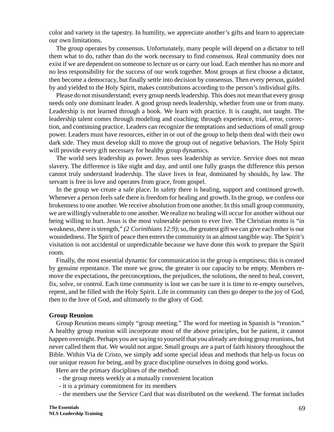color and variety in the tapestry. In humility, we appreciate another's gifts and learn to appreciate our own limitations.

The group operates by consensus. Unfortunately, many people will depend on a dictator to tell them what to do, rather than do the work necessary to find consensus. Real community does not exist if we are dependent on someone to lecture us or carry our load. Each member has no more and no less responsibility for the success of our work together. Most groups at first choose a dictator, then become a democracy, but finally settle into decision by consensus. Then every person, guided by and yielded to the Holy Spirit, makes contributions according to the person's individual gifts.

Please do not misunderstand; every group needs leadership. This does not mean that every group needs only one dominant leader. A good group needs leadership, whether from one or from many. Leadership is not learned through a book. We learn with practice. It is caught, not taught. The leadership talent comes through modeling and coaching; through experience, trial, error, correction, and continuing practice. Leaders can recognize the temptations and seductions of small group power. Leaders must have resources, either in or out of the group to help them deal with their own dark side. They must develop skill to move the group out of negative behaviors. The Holy Spirit will provide every gift necessary for healthy group dynamics.

The world sees leadership as power. Jesus sees leadership as service. Service does not mean slavery. The difference is like night and day, and until one fully grasps the difference this person cannot truly understand leadership. The slave lives in fear, dominated by shoulds, by law. The servant is free in love and operates from grace, from gospel.

In the group we create a safe place. In safety there is healing, support and continued growth. Whenever a person feels safe there is freedom for healing and growth. In the group, we confess our brokenness to one another. We receive absolution from one another. In this small group community, we are willingly vulnerable to one another. We realize no healing will occur for another without our being willing to hurt. Jesus is the most vulnerable person to ever live. The Christian motto is "in weakness, there is strength," *(2 Corinthians 12:9)*; so, the greatest gift we can give each other is our woundedness. The Spirit of peace then enters the community in an almost tangible way. The Spirit's visitation is not accidental or unpredictable because we have done this work to prepare the Spirit room.

Finally, the most essential dynamic for communication in the group is emptiness; this is created by genuine repentance. The more we grow, the greater is our capacity to be empty. Members remove the expectations, the preconceptions, the prejudices, the solutions, the need to heal, convert, fix, solve, or control. Each time community is lost we can be sure it is time to re-empty ourselves, repent, and be filled with the Holy Spirit. Life in community can then go deeper to the joy of God, then to the love of God, and ultimately to the glory of God.

#### **Group Reunion**

Group Reunion means simply "group meeting." The word for meeting in Spanish is "reunion." A healthy group reunion will incorporate most of the above principles, but be patient, it cannot happen overnight. Perhaps you are saying to yourself that you already are doing group reunions, but never called them that. We would not argue. Small groups are a part of faith history throughout the Bible. Within Via de Cristo, we simply add some special ideas and methods that help us focus on our unique reason for being, and by grace discipline ourselves in doing good works.

Here are the primary disciplines of the method:

- the group meets weekly at a mutually convenient location
- it is a primary commitment for its members
- the members use the Service Card that was distributed on the weekend. The format includes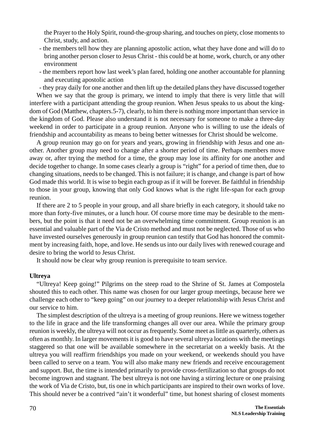the Prayer to the Holy Spirit, round-the-group sharing, and touches on piety, close moments to Christ, study, and action.

- the members tell how they are planning apostolic action, what they have done and will do to bring another person closer to Jesus Christ - this could be at home, work, church, or any other environment
- the members report how last week's plan fared, holding one another accountable for planning and executing apostolic action
- they pray daily for one another and then lift up the detailed plans they have discussed together

When we say that the group is primary, we intend to imply that there is very little that will interfere with a participant attending the group reunion. When Jesus speaks to us about the kingdom of God (Matthew, chapters.5-7), clearly, to him there is nothing more important than service in the kingdom of God. Please also understand it is not necessary for someone to make a three-day weekend in order to participate in a group reunion. Anyone who is willing to use the ideals of friendship and accountability as means to being better witnesses for Christ should be welcome.

A group reunion may go on for years and years, growing in friendship with Jesus and one another. Another group may need to change after a shorter period of time. Perhaps members move away or, after trying the method for a time, the group may lose its affinity for one another and decide together to change. In some cases clearly a group is "right" for a period of time then, due to changing situations, needs to be changed. This is not failure; it is change, and change is part of how God made this world. It is wise to begin each group as if it will be forever. Be faithful in friendship to those in your group, knowing that only God knows what is the right life-span for each group reunion.

If there are 2 to 5 people in your group, and all share briefly in each category, it should take no more than forty-five minutes, or a lunch hour. Of course more time may be desirable to the members, but the point is that it need not be an overwhelming time commitment. Group reunion is an essential and valuable part of the Via de Cristo method and must not be neglected. Those of us who have invested ourselves generously in group reunion can testify that God has honored the commitment by increasing faith, hope, and love. He sends us into our daily lives with renewed courage and desire to bring the world to Jesus Christ.

It should now be clear why group reunion is prerequisite to team service.

## **Ultreya**

"Ultreya! Keep going!" Pilgrims on the steep road to the Shrine of St. James at Compostela shouted this to each other. This name was chosen for our larger group meetings, because here we challenge each other to "keep going" on our journey to a deeper relationship with Jesus Christ and our service to him.

The simplest description of the ultreya is a meeting of group reunions. Here we witness together to the life in grace and the life transforming changes all over our area. While the primary group reunion is weekly, the ultreya will not occur as frequently. Some meet as little as quarterly, others as often as monthly. In larger movements it is good to have several ultreya locations with the meetings staggered so that one will be available somewhere in the secretariat on a weekly basis. At the ultreya you will reaffirm friendships you made on your weekend, or weekends should you have been called to serve on a team. You will also make many new friends and receive encouragement and support. But, the time is intended primarily to provide cross-fertilization so that groups do not become ingrown and stagnant. The best ultreya is not one having a stirring lecture or one praising the work of Via de Cristo, but, tis one in which participants are inspired to their own works of love. This should never be a contrived "ain't it wonderful" time, but honest sharing of closest moments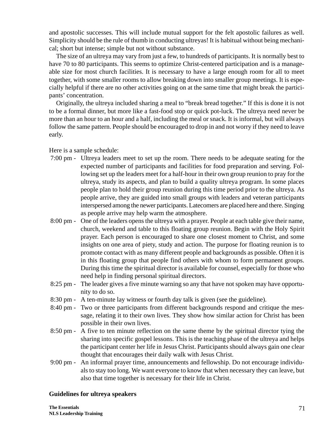and apostolic successes. This will include mutual support for the felt apostolic failures as well. Simplicity should be the rule of thumb in conducting ultreyas! It is habitual without being mechanical; short but intense; simple but not without substance.

The size of an ultreya may vary from just a few, to hundreds of participants. It is normally best to have 70 to 80 participants. This seems to optimize Christ-centered participation and is a manageable size for most church facilities. It is necessary to have a large enough room for all to meet together, with some smaller rooms to allow breaking down into smaller group meetings. It is especially helpful if there are no other activities going on at the same time that might break the participants' concentration.

Originally, the ultreya included sharing a meal to "break bread together." If this is done it is not to be a formal dinner, but more like a fast-food stop or quick pot-luck. The ultreya need never be more than an hour to an hour and a half, including the meal or snack. It is informal, but will always follow the same pattern. People should be encouraged to drop in and not worry if they need to leave early.

Here is a sample schedule:

- 7:00 pm Ultreya leaders meet to set up the room. There needs to be adequate seating for the expected number of participants and facilities for food preparation and serving. Following set up the leaders meet for a half-hour in their own group reunion to pray for the ultreya, study its aspects, and plan to build a quality ultreya program. In some places people plan to hold their group reunion during this time period prior to the ultreya. As people arrive, they are guided into small groups with leaders and veteran participants interspersed among the newer participants. Latecomers are placed here and there. Singing as people arrive may help warm the atmosphere.
- 8:00 pm One of the leaders opens the ultreya with a prayer. People at each table give their name, church, weekend and table to this floating group reunion. Begin with the Holy Spirit prayer. Each person is encouraged to share one closest moment to Christ, and some insights on one area of piety, study and action. The purpose for floating reunion is to promote contact with as many different people and backgrounds as possible. Often it is in this floating group that people find others with whom to form permanent groups. During this time the spiritual director is available for counsel, especially for those who need help in finding personal spiritual directors.
- 8:25 pm The leader gives a five minute warning so any that have not spoken may have opportunity to do so.
- 8:30 pm A ten-minute lay witness or fourth day talk is given (see the guideline).
- 8:40 pm Two or three participants from different backgrounds respond and critique the message, relating it to their own lives. They show how similar action for Christ has been possible in their own lives.
- 8:50 pm A five to ten minute reflection on the same theme by the spiritual director tying the sharing into specific gospel lessons. This is the teaching phase of the ultreya and helps the participant center her life in Jesus Christ. Participants should always gain one clear thought that encourages their daily walk with Jesus Christ.
- 9:00 pm An informal prayer time, announcements and fellowship. Do not encourage individuals to stay too long. We want everyone to know that when necessary they can leave, but also that time together is necessary for their life in Christ.

## **Guidelines for ultreya speakers**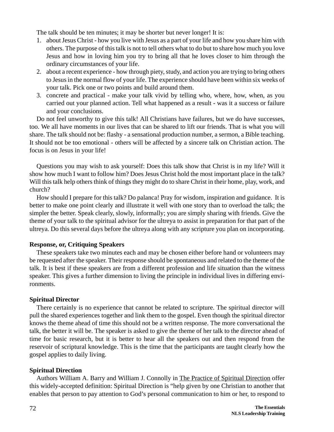The talk should be ten minutes; it may be shorter but never longer! It is:

- 1. about Jesus Christ how you live with Jesus as a part of your life and how you share him with others. The purpose of this talk is not to tell others what to do but to share how much you love Jesus and how in loving him you try to bring all that he loves closer to him through the ordinary circumstances of your life.
- 2. about a recent experience how through piety, study, and action you are trying to bring others to Jesus in the normal flow of your life. The experience should have been within six weeks of your talk. Pick one or two points and build around them.
- 3. concrete and practical make your talk vivid by telling who, where, how, when, as you carried out your planned action. Tell what happened as a result - was it a success or failure and your conclusions.

Do not feel unworthy to give this talk! All Christians have failures, but we do have successes, too. We all have moments in our lives that can be shared to lift our friends. That is what you will share. The talk should not be: flashy - a sensational production number, a sermon, a Bible teaching. It should not be too emotional - others will be affected by a sincere talk on Christian action. The focus is on Jesus in your life!

Questions you may wish to ask yourself: Does this talk show that Christ is in my life? Will it show how much I want to follow him? Does Jesus Christ hold the most important place in the talk? Will this talk help others think of things they might do to share Christ in their home, play, work, and church?

How should I prepare for this talk? Do palanca! Pray for wisdom, inspiration and guidance. It is better to make one point clearly and illustrate it well with one story than to overload the talk; the simpler the better. Speak clearly, slowly, informally; you are simply sharing with friends. Give the theme of your talk to the spiritual advisor for the ultreya to assist in preparation for that part of the ultreya. Do this several days before the ultreya along with any scripture you plan on incorporating.

## **Response, or, Critiquing Speakers**

These speakers take two minutes each and may be chosen either before hand or volunteers may be requested after the speaker. Their response should be spontaneous and related to the theme of the talk. It is best if these speakers are from a different profession and life situation than the witness speaker. This gives a further dimension to living the principle in individual lives in differing environments.

# **Spiritual Director**

There certainly is no experience that cannot be related to scripture. The spiritual director will pull the shared experiences together and link them to the gospel. Even though the spiritual director knows the theme ahead of time this should not be a written response. The more conversational the talk, the better it will be. The speaker is asked to give the theme of her talk to the director ahead of time for basic research, but it is better to hear all the speakers out and then respond from the reservoir of scriptural knowledge. This is the time that the participants are taught clearly how the gospel applies to daily living.

# **Spiritual Direction**

Authors William A. Barry and William J. Connolly in The Practice of Spiritual Direction offer this widely-accepted definition: Spiritual Direction is "help given by one Christian to another that enables that person to pay attention to God's personal communication to him or her, to respond to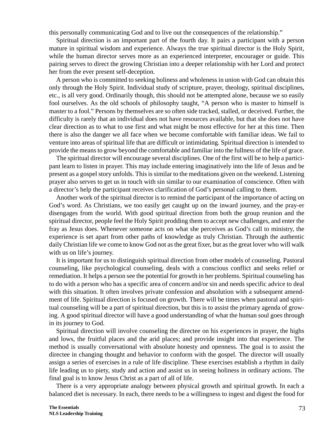this personally communicating God and to live out the consequences of the relationship."

Spiritual direction is an important part of the fourth day. It pairs a participant with a person mature in spiritual wisdom and experience. Always the true spiritual director is the Holy Spirit, while the human director serves more as an experienced interpreter, encourager or guide. This pairing serves to direct the growing Christian into a deeper relationship with her Lord and protect her from the ever present self-deception.

A person who is committed to seeking holiness and wholeness in union with God can obtain this only through the Holy Spirit. Individual study of scripture, prayer, theology, spiritual disciplines, etc., is all very good. Ordinarily though, this should not be attempted alone, because we so easily fool ourselves. As the old schools of philosophy taught, "A person who is master to himself is master to a fool." Persons by themselves are so often side tracked, stalled, or deceived. Further, the difficulty is rarely that an individual does not have resources available, but that she does not have clear direction as to what to use first and what might be most effective for her at this time. Then there is also the danger we all face when we become comfortable with familiar ideas. We fail to venture into areas of spiritual life that are difficult or intimidating. Spiritual direction is intended to provide the means to grow beyond the comfortable and familiar into the fullness of the life of grace.

The spiritual director will encourage several disciplines. One of the first will be to help a participant learn to listen in prayer. This may include entering imaginatively into the life of Jesus and be present as a gospel story unfolds. This is similar to the meditations given on the weekend. Listening prayer also serves to get us in touch with sin similar to our examination of conscience. Often with a director's help the participant receives clarification of God's personal calling to them.

Another work of the spiritual director is to remind the participant of the importance of acting on God's word. As Christians, we too easily get caught up on the inward journey, and the pray-er disengages from the world. With good spiritual direction from both the group reunion and the spiritual director, people feel the Holy Spirit prodding them to accept new challenges, and enter the fray as Jesus does. Whenever someone acts on what she perceives as God's call to ministry, the experience is set apart from other paths of knowledge as truly Christian. Through the authentic daily Christian life we come to know God not as the great fixer, but as the great lover who will walk with us on life's journey.

It is important for us to distinguish spiritual direction from other models of counseling. Pastoral counseling, like psychological counseling, deals with a conscious conflict and seeks relief or remediation. It helps a person see the potential for growth in her problems. Spiritual counseling has to do with a person who has a specific area of concern and/or sin and needs specific advice to deal with this situation. It often involves private confession and absolution with a subsequent amendment of life. Spiritual direction is focused on growth. There will be times when pastoral and spiritual counseling will be a part of spiritual direction, but this is to assist the primary agenda of growing. A good spiritual director will have a good understanding of what the human soul goes through in its journey to God.

Spiritual direction will involve counseling the directee on his experiences in prayer, the highs and lows, the fruitful places and the arid places; and provide insight into that experience. The method is usually conversational with absolute honesty and openness. The goal is to assist the directee in changing thought and behavior to conform with the gospel. The director will usually assign a series of exercises in a rule of life discipline. These exercises establish a rhythm in daily life leading us to piety, study and action and assist us in seeing holiness in ordinary actions. The final goal is to know Jesus Christ as a part of all of life.

There is a very appropriate analogy between physical growth and spiritual growth. In each a balanced diet is necessary. In each, there needs to be a willingness to ingest and digest the food for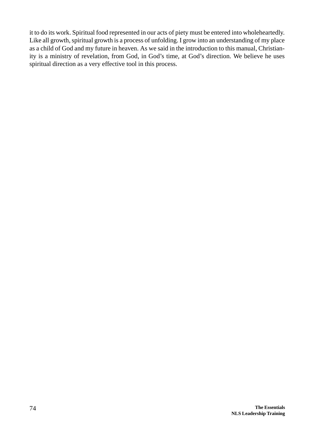it to do its work. Spiritual food represented in our acts of piety must be entered into wholeheartedly. Like all growth, spiritual growth is a process of unfolding. I grow into an understanding of my place as a child of God and my future in heaven. As we said in the introduction to this manual, Christianity is a ministry of revelation, from God, in God's time, at God's direction. We believe he uses spiritual direction as a very effective tool in this process.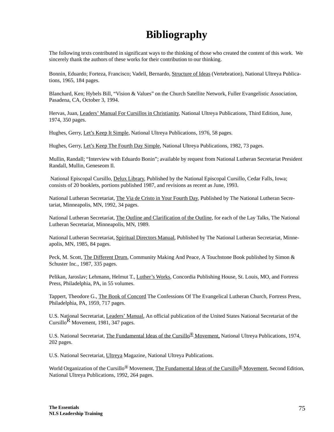## **Bibliography**

The following texts contributed in significant ways to the thinking of those who created the content of this work. We sincerely thank the authors of these works for their contribution to our thinking.

Bonnin, Eduardo; Forteza, Francisco; Vadell, Bernardo, Structure of Ideas (Vertebration), National Ultreya Publications, 1965, 184 pages.

Blanchard, Ken; Hybels Bill, "Vision & Values" on the Church Satellite Network, Fuller Evangelistic Association, Pasadena, CA, October 3, 1994.

Hervas, Juan, Leaders' Manual For Cursillos in Christianity, National Ultreya Publications, Third Edition, June, 1974, 350 pages.

Hughes, Gerry, Let's Keep It Simple, National Ultreya Publications, 1976, 58 pages.

Hughes, Gerry, Let's Keep The Fourth Day Simple, National Ultreya Publications, 1982, 73 pages.

Mullin, Randall; "Interview with Eduardo Bonin"; available by request from National Lutheran Secretariat President Randall, Mullin, Geneseom Il.

 National Episcopal Cursillo, Delux Library, Published by the National Episcopal Cursillo, Cedar Falls, Iowa; consists of 20 booklets, portions published 1987, and revisions as recent as June, 1993.

National Lutheran Secretariat, The Via de Cristo in Your Fourth Day, Published by The National Lutheran Secretariat, Minneapolis, MN, 1992, 34 pages.

National Lutheran Secretariat, The Outline and Clarification of the Outline, for each of the Lay Talks, The National Lutheran Secretariat, Minneapolis, MN, 1989.

National Lutheran Secretariat, Spiritual Directors Manual, Published by The National Lutheran Secretariat, Minneapolis, MN, 1985, 84 pages.

Peck, M. Scott, The Different Drum, Community Making And Peace, A Touchstone Book published by Simon & Schuster Inc., 1987, 335 pages.

Pelikan, Jaroslav; Lehmann, Helmut T., Luther's Works, Concordia Publishing House, St. Louis, MO, and Fortress Press, Philadelphia, PA, in 55 volumes.

Tappert, Theodore G., The Book of Concord The Confessions Of The Evangelical Lutheran Church, Fortress Press, Philadelphia, PA, 1959, 717 pages.

U.S. National Secretariat, Leaders' Manual, An official publication of the United States National Secretariat of the Cursillo<sup>R</sup> Movement, 1981, 347 pages.

U.S. National Secretariat, The Fundamental Ideas of the Cursillo<sup>®</sup> Movement, National Ultreya Publications, 1974, 202 pages.

U.S. National Secretariat, Ultreya Magazine, National Ultreya Publications.

World Organization of the Cursillo<sup>®</sup> Movement, The Fundamental Ideas of the Cursillo<sup>®</sup> Movement, Second Edition, National Ultreya Publications, 1992, 264 pages.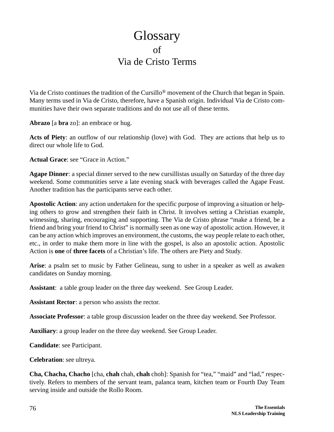## **Glossary** of Via de Cristo Terms

Via de Cristo continues the tradition of the Cursillo® movement of the Church that began in Spain. Many terms used in Via de Cristo, therefore, have a Spanish origin. Individual Via de Cristo communities have their own separate traditions and do not use all of these terms.

**Abrazo** [a **bra** zo]: an embrace or hug.

**Acts of Piety**: an outflow of our relationship (love) with God. They are actions that help us to direct our whole life to God.

**Actual Grace**: see "Grace in Action."

**Agape Dinner**: a special dinner served to the new cursillistas usually on Saturday of the three day weekend. Some communities serve a late evening snack with beverages called the Agape Feast. Another tradition has the participants serve each other.

**Apostolic Action**: any action undertaken for the specific purpose of improving a situation or helping others to grow and strengthen their faith in Christ. It involves setting a Christian example, witnessing, sharing, encouraging and supporting. The Via de Cristo phrase "make a friend, be a friend and bring your friend to Christ" is normally seen as one way of apostolic action. However, it can be any action which improves an environment, the customs, the way people relate to each other, etc., in order to make them more in line with the gospel, is also an apostolic action. Apostolic Action is **one** of **three facets** of a Christian's life. The others are Piety and Study.

**Arise**: a psalm set to music by Father Gelineau, sung to usher in a speaker as well as awaken candidates on Sunday morning.

**Assistant**: a table group leader on the three day weekend. See Group Leader.

**Assistant Rector**: a person who assists the rector.

**Associate Professor**: a table group discussion leader on the three day weekend. See Professor.

**Auxiliary**: a group leader on the three day weekend. See Group Leader.

**Candidate**: see Participant.

**Celebration**: see ultreya.

**Cha, Chacha, Chacho** [cha, **chah** chah, **chah** choh]: Spanish for "tea," "maid" and "lad," respectively. Refers to members of the servant team, palanca team, kitchen team or Fourth Day Team serving inside and outside the Rollo Room.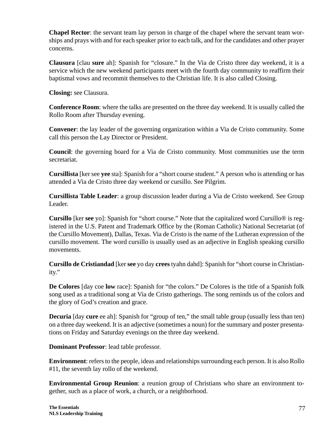**Chapel Rector**: the servant team lay person in charge of the chapel where the servant team worships and prays with and for each speaker prior to each talk, and for the candidates and other prayer concerns.

**Clausura** [clau **sure** ah]: Spanish for "closure." In the Via de Cristo three day weekend, it is a service which the new weekend participants meet with the fourth day community to reaffirm their baptismal vows and recommit themselves to the Christian life. It is also called Closing.

**Closing:** see Clausura.

**Conference Room**: where the talks are presented on the three day weekend. It is usually called the Rollo Room after Thursday evening.

**Convener**: the lay leader of the governing organization within a Via de Cristo community. Some call this person the Lay Director or President.

**Council**: the governing board for a Via de Cristo community. Most communities use the term secretariat.

**Cursillista** [ker see **yee** sta]: Spanish for a "short course student." A person who is attending or has attended a Via de Cristo three day weekend or cursillo. See Pilgrim.

**Cursillista Table Leader**: a group discussion leader during a Via de Cristo weekend. See Group Leader.

**Cursillo** [ker **see** yo]: Spanish for "short course." Note that the capitalized word Cursillo® is registered in the U.S. Patent and Trademark Office by the (Roman Catholic) National Secretariat (of the Cursillo Movement), Dallas, Texas. Via de Cristo is the name of the Lutheran expression of the cursillo movement. The word cursillo is usually used as an adjective in English speaking cursillo movements.

**Cursillo de Cristiandad** [ker **see** yo day **crees** tyahn dahd]: Spanish for "short course in Christianity."

**De Colores** [day coe **low** race]: Spanish for "the colors." De Colores is the title of a Spanish folk song used as a traditional song at Via de Cristo gatherings. The song reminds us of the colors and the glory of God's creation and grace.

**Decuria** [day **cure** ee ah]: Spanish for "group of ten," the small table group (usually less than ten) on a three day weekend. It is an adjective (sometimes a noun) for the summary and poster presentations on Friday and Saturday evenings on the three day weekend.

**Dominant Professor**: lead table professor.

**Environment**: refers to the people, ideas and relationships surrounding each person. It is also Rollo #11, the seventh lay rollo of the weekend.

**Environmental Group Reunion**: a reunion group of Christians who share an environment together, such as a place of work, a church, or a neighborhood.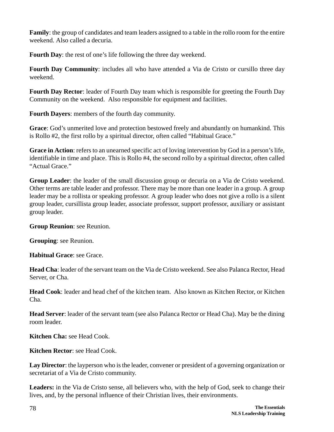**Family**: the group of candidates and team leaders assigned to a table in the rollo room for the entire weekend. Also called a decuria.

**Fourth Day**: the rest of one's life following the three day weekend.

**Fourth Day Community**: includes all who have attended a Via de Cristo or cursillo three day weekend.

**Fourth Day Rector**: leader of Fourth Day team which is responsible for greeting the Fourth Day Community on the weekend. Also responsible for equipment and facilities.

**Fourth Dayers**: members of the fourth day community.

**Grace**: God's unmerited love and protection bestowed freely and abundantly on humankind. This is Rollo #2, the first rollo by a spiritual director, often called "Habitual Grace."

**Grace in Action**: refers to an unearned specific act of loving intervention by God in a person's life, identifiable in time and place. This is Rollo #4, the second rollo by a spiritual director, often called "Actual Grace."

**Group Leader**: the leader of the small discussion group or decuria on a Via de Cristo weekend. Other terms are table leader and professor. There may be more than one leader in a group. A group leader may be a rollista or speaking professor. A group leader who does not give a rollo is a silent group leader, cursillista group leader, associate professor, support professor, auxiliary or assistant group leader.

**Group Reunion**: see Reunion.

**Grouping**: see Reunion.

**Habitual Grace**: see Grace.

**Head Cha**: leader of the servant team on the Via de Cristo weekend. See also Palanca Rector, Head Server, or Cha.

**Head Cook**: leader and head chef of the kitchen team. Also known as Kitchen Rector, or Kitchen Cha.

**Head Server**: leader of the servant team (see also Palanca Rector or Head Cha). May be the dining room leader.

**Kitchen Cha:** see Head Cook.

**Kitchen Rector**: see Head Cook.

**Lay Director**: the layperson who is the leader, convener or president of a governing organization or secretariat of a Via de Cristo community.

**Leaders:** in the Via de Cristo sense, all believers who, with the help of God, seek to change their lives, and, by the personal influence of their Christian lives, their environments.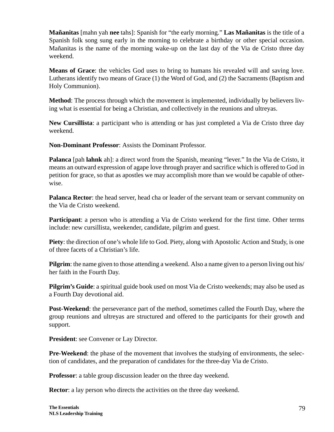**Mañanitas** [mahn yah **nee** tahs]: Spanish for "the early morning." **Las Mañanitas** is the title of a Spanish folk song sung early in the morning to celebrate a birthday or other special occasion. Mañanitas is the name of the morning wake-up on the last day of the Via de Cristo three day weekend.

**Means of Grace**: the vehicles God uses to bring to humans his revealed will and saving love. Lutherans identify two means of Grace (1) the Word of God, and (2) the Sacraments (Baptism and Holy Communion).

**Method**: The process through which the movement is implemented, individually by believers living what is essential for being a Christian, and collectively in the reunions and ultreyas.

**New Cursillista**: a participant who is attending or has just completed a Via de Cristo three day weekend.

**Non-Dominant Professor**: Assists the Dominant Professor.

**Palanca** [pah **lahnk** ah]: a direct word from the Spanish, meaning "lever." In the Via de Cristo, it means an outward expression of agape love through prayer and sacrifice which is offered to God in petition for grace, so that as apostles we may accomplish more than we would be capable of otherwise.

**Palanca Rector:** the head server, head cha or leader of the servant team or servant community on the Via de Cristo weekend.

**Participant**: a person who is attending a Via de Cristo weekend for the first time. Other terms include: new cursillista, weekender, candidate, pilgrim and guest.

**Piety**: the direction of one's whole life to God. Piety, along with Apostolic Action and Study, is one of three facets of a Christian's life.

**Pilgrim**: the name given to those attending a weekend. Also a name given to a person living out his/ her faith in the Fourth Day.

**Pilgrim's Guide**: a spiritual guide book used on most Via de Cristo weekends; may also be used as a Fourth Day devotional aid.

**Post-Weekend**: the perseverance part of the method, sometimes called the Fourth Day, where the group reunions and ultreyas are structured and offered to the participants for their growth and support.

**President**: see Convener or Lay Director.

**Pre-Weekend**: the phase of the movement that involves the studying of environments, the selection of candidates, and the preparation of candidates for the three-day Via de Cristo.

**Professor**: a table group discussion leader on the three day weekend.

**Rector:** a lay person who directs the activities on the three day weekend.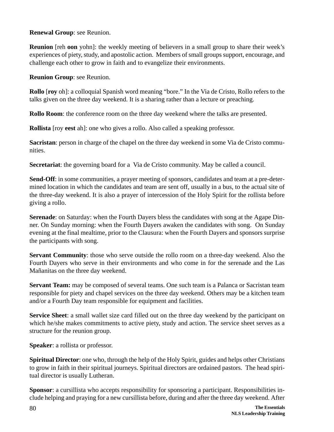**Renewal Group**: see Reunion.

**Reunion** [reh **oon** yohn]: the weekly meeting of believers in a small group to share their week's experiences of piety, study, and apostolic action. Members of small groups support, encourage, and challenge each other to grow in faith and to evangelize their environments.

**Reunion Group**: see Reunion.

**Rollo** [**roy** oh]: a colloquial Spanish word meaning "bore." In the Via de Cristo, Rollo refers to the talks given on the three day weekend. It is a sharing rather than a lecture or preaching.

**Rollo Room**: the conference room on the three day weekend where the talks are presented.

**Rollista** [roy **eest** ah]: one who gives a rollo. Also called a speaking professor.

**Sacristan**: person in charge of the chapel on the three day weekend in some Via de Cristo communities.

**Secretariat**: the governing board for a Via de Cristo community. May be called a council.

**Send-Off**: in some communities, a prayer meeting of sponsors, candidates and team at a pre-determined location in which the candidates and team are sent off, usually in a bus, to the actual site of the three-day weekend. It is also a prayer of intercession of the Holy Spirit for the rollista before giving a rollo.

**Serenade**: on Saturday: when the Fourth Dayers bless the candidates with song at the Agape Dinner. On Sunday morning: when the Fourth Dayers awaken the candidates with song. On Sunday evening at the final mealtime, prior to the Clausura: when the Fourth Dayers and sponsors surprise the participants with song.

**Servant Community**: those who serve outside the rollo room on a three-day weekend. Also the Fourth Dayers who serve in their environments and who come in for the serenade and the Las Mañanitas on the three day weekend.

**Servant Team:** may be composed of several teams. One such team is a Palanca or Sacristan team responsible for piety and chapel services on the three day weekend. Others may be a kitchen team and/or a Fourth Day team responsible for equipment and facilities.

**Service Sheet**: a small wallet size card filled out on the three day weekend by the participant on which he/she makes commitments to active piety, study and action. The service sheet serves as a structure for the reunion group.

**Speaker**: a rollista or professor.

**Spiritual Director**: one who, through the help of the Holy Spirit, guides and helps other Christians to grow in faith in their spiritual journeys. Spiritual directors are ordained pastors. The head spiritual director is usually Lutheran.

**Sponsor**: a cursillista who accepts responsibility for sponsoring a participant. Responsibilities include helping and praying for a new cursillista before, during and after the three day weekend. After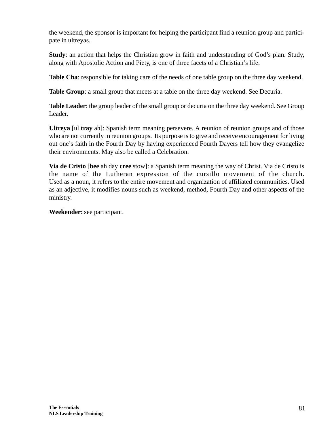the weekend, the sponsor is important for helping the participant find a reunion group and participate in ultreyas.

**Study**: an action that helps the Christian grow in faith and understanding of God's plan. Study, along with Apostolic Action and Piety, is one of three facets of a Christian's life.

**Table Cha**: responsible for taking care of the needs of one table group on the three day weekend.

**Table Group**: a small group that meets at a table on the three day weekend. See Decuria.

**Table Leader**: the group leader of the small group or decuria on the three day weekend. See Group Leader.

**Ultreya** [ul **tray** ah]: Spanish term meaning persevere. A reunion of reunion groups and of those who are not currently in reunion groups. Its purpose is to give and receive encouragement for living out one's faith in the Fourth Day by having experienced Fourth Dayers tell how they evangelize their environments. May also be called a Celebration.

**Via de Cristo** [**bee** ah day **cree** stow]: a Spanish term meaning the way of Christ. Via de Cristo is the name of the Lutheran expression of the cursillo movement of the church. Used as a noun, it refers to the entire movement and organization of affiliated communities. Used as an adjective, it modifies nouns such as weekend, method, Fourth Day and other aspects of the ministry.

**Weekender**: see participant.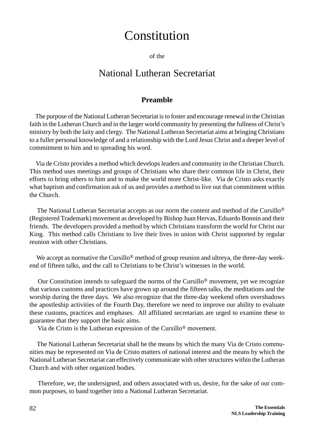# Constitution

of the

## National Lutheran Secretariat

#### **Preamble**

 The purpose of the National Lutheran Secretariat is to foster and encourage renewal in the Christian faith in the Lutheran Church and in the larger world community by presenting the fullness of Christ's ministry by both the laity and clergy. The National Lutheran Secretariat aims at bringing Christians to a fuller personal knowledge of and a relationship with the Lord Jesus Christ and a deeper level of commitment to him and to spreading his word.

 Via de Cristo provides a method which develops leaders and community in the Christian Church. This method uses meetings and groups of Christians who share their common life in Christ, their efforts to bring others to him and to make the world more Christ-like. Via de Cristo asks exactly what baptism and confirmation ask of us and provides a method to live out that commitment within the Church.

The National Lutheran Secretariat accepts as our norm the content and method of the Cursillo<sup>®</sup> (Registered Trademark) movement as developed by Bishop Juan Hervas, Eduardo Bonnin and their friends. The developers provided a method by which Christians transform the world for Christ our King. This method calls Christians to live their lives in union with Christ supported by regular reunion with other Christians.

We accept as normative the Cursillo<sup>®</sup> method of group reunion and ultreya, the three-day weekend of fifteen talks, and the call to Christians to be Christ's witnesses in the world.

 Our Constitution intends to safeguard the norms of the Cursillo® movement, yet we recognize that various customs and practices have grown up around the fifteen talks, the meditations and the worship during the three days. We also recognize that the three-day weekend often overshadows the apostleship activities of the Fourth Day, therefore we need to improve our ability to evaluate these customs, practices and emphases. All affiliated secretariats are urged to examine these to guarantee that they support the basic aims.

Via de Cristo is the Lutheran expression of the Cursillo® movement.

 The National Lutheran Secretariat shall be the means by which the many Via de Cristo communities may be represented on Via de Cristo matters of national interest and the means by which the National Lutheran Secretariat can effectively communicate with other structures within the Lutheran Church and with other organized bodies.

 Therefore, we, the undersigned, and others associated with us, desire, for the sake of our common purposes, to band together into a National Lutheran Secretariat.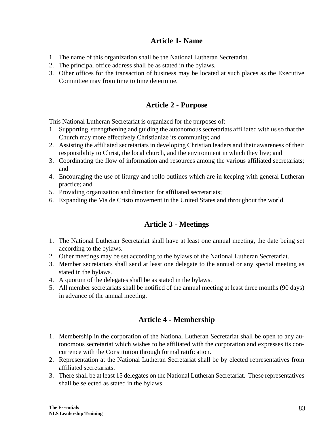## **Article 1- Name**

- 1. The name of this organization shall be the National Lutheran Secretariat.
- 2. The principal office address shall be as stated in the bylaws.
- 3. Other offices for the transaction of business may be located at such places as the Executive Committee may from time to time determine.

## **Article 2 - Purpose**

This National Lutheran Secretariat is organized for the purposes of:

- 1. Supporting, strengthening and guiding the autonomous secretariats affiliated with us so that the Church may more effectively Christianize its community; and
- 2. Assisting the affiliated secretariats in developing Christian leaders and their awareness of their responsibility to Christ, the local church, and the environment in which they live; and
- 3. Coordinating the flow of information and resources among the various affiliated secretariats; and
- 4. Encouraging the use of liturgy and rollo outlines which are in keeping with general Lutheran practice; and
- 5. Providing organization and direction for affiliated secretariats;
- 6. Expanding the Via de Cristo movement in the United States and throughout the world.

## **Article 3 - Meetings**

- 1. The National Lutheran Secretariat shall have at least one annual meeting, the date being set according to the bylaws.
- 2. Other meetings may be set according to the bylaws of the National Lutheran Secretariat.
- 3. Member secretariats shall send at least one delegate to the annual or any special meeting as stated in the bylaws.
- 4. A quorum of the delegates shall be as stated in the bylaws.
- 5. All member secretariats shall be notified of the annual meeting at least three months (90 days) in advance of the annual meeting.

## **Article 4 - Membership**

- 1. Membership in the corporation of the National Lutheran Secretariat shall be open to any autonomous secretariat which wishes to be affiliated with the corporation and expresses its concurrence with the Constitution through formal ratification.
- 2. Representation at the National Lutheran Secretariat shall be by elected representatives from affiliated secretariats.
- 3. There shall be at least 15 delegates on the National Lutheran Secretariat. These representatives shall be selected as stated in the bylaws.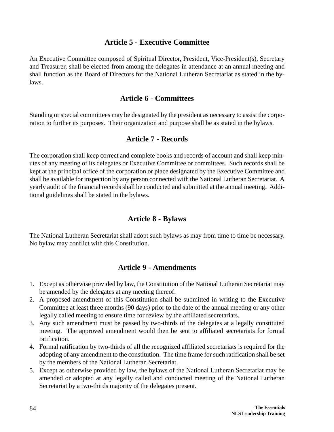### **Article 5 - Executive Committee**

An Executive Committee composed of Spiritual Director, President, Vice-President(s), Secretary and Treasurer, shall be elected from among the delegates in attendance at an annual meeting and shall function as the Board of Directors for the National Lutheran Secretariat as stated in the bylaws.

## **Article 6 - Committees**

Standing or special committees may be designated by the president as necessary to assist the corporation to further its purposes. Their organization and purpose shall be as stated in the bylaws.

## **Article 7 - Records**

The corporation shall keep correct and complete books and records of account and shall keep minutes of any meeting of its delegates or Executive Committee or committees. Such records shall be kept at the principal office of the corporation or place designated by the Executive Committee and shall be available for inspection by any person connected with the National Lutheran Secretariat. A yearly audit of the financial records shall be conducted and submitted at the annual meeting. Additional guidelines shall be stated in the bylaws.

## **Article 8 - Bylaws**

The National Lutheran Secretariat shall adopt such bylaws as may from time to time be necessary. No bylaw may conflict with this Constitution.

## **Article 9 - Amendments**

- 1. Except as otherwise provided by law, the Constitution of the National Lutheran Secretariat may be amended by the delegates at any meeting thereof.
- 2. A proposed amendment of this Constitution shall be submitted in writing to the Executive Committee at least three months (90 days) prior to the date of the annual meeting or any other legally called meeting to ensure time for review by the affiliated secretariats.
- 3. Any such amendment must be passed by two-thirds of the delegates at a legally constituted meeting. The approved amendment would then be sent to affiliated secretariats for formal ratification.
- 4. Formal ratification by two-thirds of all the recognized affiliated secretariats is required for the adopting of any amendment to the constitution. The time frame for such ratification shall be set by the members of the National Lutheran Secretariat.
- 5. Except as otherwise provided by law, the bylaws of the National Lutheran Secretariat may be amended or adopted at any legally called and conducted meeting of the National Lutheran Secretariat by a two-thirds majority of the delegates present.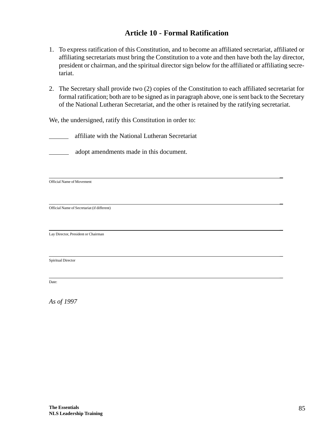## **Article 10 - Formal Ratification**

- 1. To express ratification of this Constitution, and to become an affiliated secretariat, affiliated or affiliating secretariats must bring the Constitution to a vote and then have both the lay director, president or chairman, and the spiritual director sign below for the affiliated or affiliating secretariat.
- 2. The Secretary shall provide two (2) copies of the Constitution to each affiliated secretariat for formal ratification; both are to be signed as in paragraph above, one is sent back to the Secretary of the National Lutheran Secretariat, and the other is retained by the ratifying secretariat.

\_

\_

\_

We, the undersigned, ratify this Constitution in order to:

affiliate with the National Lutheran Secretariat

adopt amendments made in this document.

Official Name of Movement

 \_ Official Name of Secretariat (if different)

Lay Director, President or Chairman

Spiritual Director

Date:

*As of 1997*

\_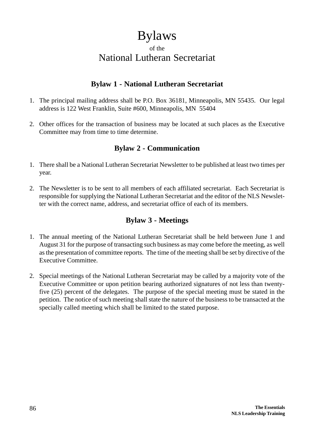# Bylaws

## of the National Lutheran Secretariat

## **Bylaw 1 - National Lutheran Secretariat**

- 1. The principal mailing address shall be P.O. Box 36181, Minneapolis, MN 55435. Our legal address is 122 West Franklin, Suite #600, Minneapolis, MN 55404
- 2. Other offices for the transaction of business may be located at such places as the Executive Committee may from time to time determine.

## **Bylaw 2 - Communication**

- 1. There shall be a National Lutheran Secretariat Newsletter to be published at least two times per year.
- 2. The Newsletter is to be sent to all members of each affiliated secretariat. Each Secretariat is responsible for supplying the National Lutheran Secretariat and the editor of the NLS Newsletter with the correct name, address, and secretariat office of each of its members.

## **Bylaw 3 - Meetings**

- 1. The annual meeting of the National Lutheran Secretariat shall be held between June 1 and August 31 for the purpose of transacting such business as may come before the meeting, as well as the presentation of committee reports. The time of the meeting shall be set by directive of the Executive Committee.
- 2. Special meetings of the National Lutheran Secretariat may be called by a majority vote of the Executive Committee or upon petition bearing authorized signatures of not less than twentyfive (25) percent of the delegates. The purpose of the special meeting must be stated in the petition. The notice of such meeting shall state the nature of the business to be transacted at the specially called meeting which shall be limited to the stated purpose.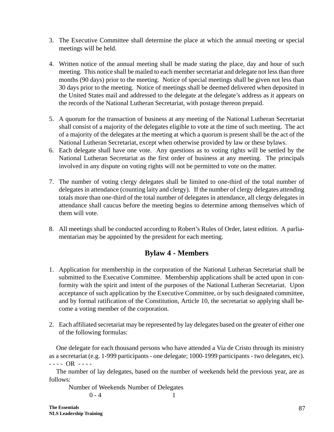- 3. The Executive Committee shall determine the place at which the annual meeting or special meetings will be held.
- 4. Written notice of the annual meeting shall be made stating the place, day and hour of such meeting. This notice shall be mailed to each member secretariat and delegate not less than three months (90 days) prior to the meeting. Notice of special meetings shall be given not less than 30 days prior to the meeting. Notice of meetings shall be deemed delivered when deposited in the United States mail and addressed to the delegate at the delegate's address as it appears on the records of the National Lutheran Secretariat, with postage thereon prepaid.
- 5. A quorum for the transaction of business at any meeting of the National Lutheran Secretariat shall consist of a majority of the delegates eligible to vote at the time of such meeting. The act of a majority of the delegates at the meeting at which a quorum is present shall be the act of the National Lutheran Secretariat, except when otherwise provided by law or these bylaws.
- 6. Each delegate shall have one vote. Any questions as to voting rights will be settled by the National Lutheran Secretariat as the first order of business at any meeting. The principals involved in any dispute on voting rights will not be permitted to vote on the matter.
- 7. The number of voting clergy delegates shall be limited to one-third of the total number of delegates in attendance (counting laity and clergy). If the number of clergy delegates attending totals more than one-third of the total number of delegates in attendance, all clergy delegates in attendance shall caucus before the meeting begins to determine among themselves which of them will vote.
- 8. All meetings shall be conducted according to Robert's Rules of Order, latest edition. A parliamentarian may be appointed by the president for each meeting.

## **Bylaw 4 - Members**

- 1. Application for membership in the corporation of the National Lutheran Secretariat shall be submitted to the Executive Committee. Membership applications shall be acted upon in conformity with the spirit and intent of the purposes of the National Lutheran Secretariat. Upon acceptance of such application by the Executive Committee, or by such designated committee, and by formal ratification of the Constitution, Article 10, the secretariat so applying shall become a voting member of the corporation.
- 2. Each affiliated secretariat may be represented by lay delegates based on the greater of either one of the following formulas:

One delegate for each thousand persons who have attended a Via de Cristo through its ministry as a secretariat (e.g. 1-999 participants - one delegate; 1000-1999 participants - two delegates, etc). - - - - OR - - - -

The number of lay delegates, based on the number of weekends held the previous year, are as follows:

Number of Weekends Number of Delegates  $0 - 4$  1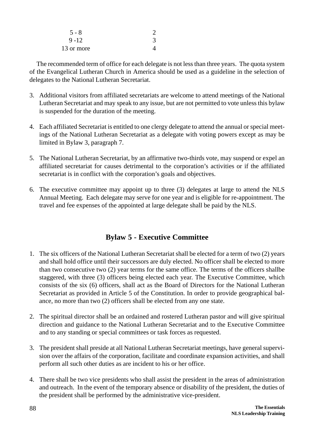| $5 - 8$    |  |
|------------|--|
| $9 - 12$   |  |
| 13 or more |  |

The recommended term of office for each delegate is not less than three years. The quota system of the Evangelical Lutheran Church in America should be used as a guideline in the selection of delegates to the National Lutheran Secretariat.

- 3. Additional visitors from affiliated secretariats are welcome to attend meetings of the National Lutheran Secretariat and may speak to any issue, but are not permitted to vote unless this bylaw is suspended for the duration of the meeting.
- 4. Each affiliated Secretariat is entitled to one clergy delegate to attend the annual or special meetings of the National Lutheran Secretariat as a delegate with voting powers except as may be limited in Bylaw 3, paragraph 7.
- 5. The National Lutheran Secretariat, by an affirmative two-thirds vote, may suspend or expel an affiliated secretariat for causes detrimental to the corporation's activities or if the affiliated secretariat is in conflict with the corporation's goals and objectives.
- 6. The executive committee may appoint up to three (3) delegates at large to attend the NLS Annual Meeting. Each delegate may serve for one year and is eligible for re-appointment. The travel and fee expenses of the appointed at large delegate shall be paid by the NLS.

## **Bylaw 5 - Executive Committee**

- 1. The six officers of the National Lutheran Secretariat shall be elected for a term of two (2) years and shall hold office until their successors are duly elected. No officer shall be elected to more than two consecutive two (2) year terms for the same office. The terms of the officers shallbe staggered, with three (3) officers being elected each year. The Executive Committee, which consists of the six (6) officers, shall act as the Board of Directors for the National Lutheran Secretariat as provided in Article 5 of the Constitution. In order to provide geographical balance, no more than two (2) officers shall be elected from any one state.
- 2. The spiritual director shall be an ordained and rostered Lutheran pastor and will give spiritual direction and guidance to the National Lutheran Secretariat and to the Executive Committee and to any standing or special committees or task forces as requested.
- 3. The president shall preside at all National Lutheran Secretariat meetings, have general supervision over the affairs of the corporation, facilitate and coordinate expansion activities, and shall perform all such other duties as are incident to his or her office.
- 4. There shall be two vice presidents who shall assist the president in the areas of administration and outreach. In the event of the temporary absence or disability of the president, the duties of the president shall be performed by the administrative vice-president.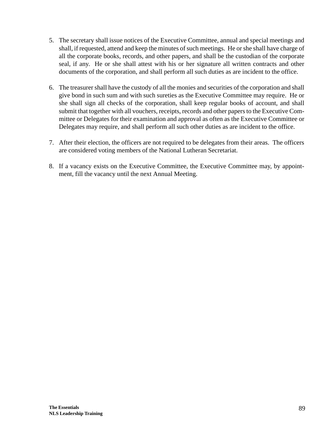- 5. The secretary shall issue notices of the Executive Committee, annual and special meetings and shall, if requested, attend and keep the minutes of such meetings. He or she shall have charge of all the corporate books, records, and other papers, and shall be the custodian of the corporate seal, if any. He or she shall attest with his or her signature all written contracts and other documents of the corporation, and shall perform all such duties as are incident to the office.
- 6. The treasurer shall have the custody of all the monies and securities of the corporation and shall give bond in such sum and with such sureties as the Executive Committee may require. He or she shall sign all checks of the corporation, shall keep regular books of account, and shall submit that together with all vouchers, receipts, records and other papers to the Executive Committee or Delegates for their examination and approval as often as the Executive Committee or Delegates may require, and shall perform all such other duties as are incident to the office.
- 7. After their election, the officers are not required to be delegates from their areas. The officers are considered voting members of the National Lutheran Secretariat.
- 8. If a vacancy exists on the Executive Committee, the Executive Committee may, by appointment, fill the vacancy until the next Annual Meeting.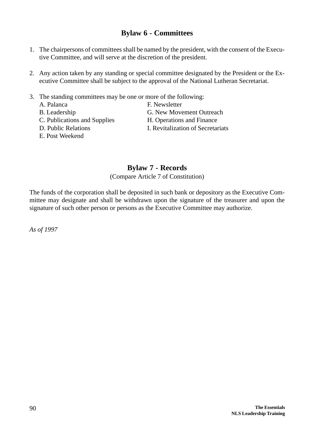## **Bylaw 6 - Committees**

- 1. The chairpersons of committees shall be named by the president, with the consent of the Executive Committee, and will serve at the discretion of the president.
- 2. Any action taken by any standing or special committee designated by the President or the Executive Committee shall be subject to the approval of the National Lutheran Secretariat.
- 3. The standing committees may be one or more of the following:
	- A. Palanca F. Newsletter B. Leadership G. New Movement Outreach C. Publications and Supplies H. Operations and Finance D. Public Relations **I. Revitalization of Secretariats**
	- E. Post Weekend
- 
- 
- 

## **Bylaw 7 - Records**

(Compare Article 7 of Constitution)

The funds of the corporation shall be deposited in such bank or depository as the Executive Committee may designate and shall be withdrawn upon the signature of the treasurer and upon the signature of such other person or persons as the Executive Committee may authorize.

*As of 1997*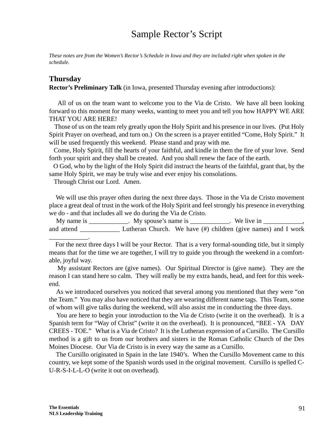## Sample Rector's Script

*These notes are from the Women's Rector's Schedule in Iowa and they are included right when spoken in the schedule.*

#### **Thursday**

\_\_\_\_\_\_\_\_\_\_\_\_.

**Rector's Preliminary Talk** (in Iowa, presented Thursday evening after introductions):

 All of us on the team want to welcome you to the Via de Cristo. We have all been looking forward to this moment for many weeks, wanting to meet you and tell you how HAPPY WE ARE THAT YOU ARE HERE!

 Those of us on the team rely greatly upon the Holy Spirit and his presence in our lives. (Put Holy Spirit Prayer on overhead, and turn on.) On the screen is a prayer entitled "Come, Holy Spirit." It will be used frequently this weekend. Please stand and pray with me.

 Come, Holy Spirit, fill the hearts of your faithful, and kindle in them the fire of your love. Send forth your spirit and they shall be created. And you shall renew the face of the earth.

 O God, who by the light of the Holy Spirit did instruct the hearts of the faithful, grant that, by the same Holy Spirit, we may be truly wise and ever enjoy his consolations.

Through Christ our Lord. Amen.

We will use this prayer often during the next three days. Those in the Via de Cristo movement place a great deal of trust in the work of the Holy Spirit and feel strongly his presence in everything we do - and that includes all we do during the Via de Cristo.

My name is \_\_\_\_\_\_\_\_\_\_\_\_. My spouse's name is \_\_\_\_\_\_\_\_\_\_\_. We live in \_\_\_\_\_\_\_\_\_\_\_ and attend Lutheran Church. We have (#) children (give names) and I work

 My assistant Rectors are (give names). Our Spiritual Director is (give name). They are the reason I can stand here so calm. They will really be my extra hands, head, and feet for this weekend.

 As we introduced ourselves you noticed that several among you mentioned that they were "on the Team." You may also have noticed that they are wearing different name tags. This Team, some of whom will give talks during the weekend, will also assist me in conducting the three days.

 You are here to begin your introduction to the Via de Cristo (write it on the overhead). It is a Spanish term for "Way of Christ" (write it on the overhead). It is pronounced, "BEE - YA DAY CREES - TOE." What is a Via de Cristo? It is the Lutheran expression of a Cursillo. The Cursillo method is a gift to us from our brothers and sisters in the Roman Catholic Church of the Des Moines Diocese. Our Via de Cristo is in every way the same as a Cursillo.

 The Cursillo originated in Spain in the late 1940's. When the Cursillo Movement came to this country, we kept some of the Spanish words used in the original movement. Cursillo is spelled C-U-R-S-I-L-L-O (write it out on overhead).

For the next three days I will be your Rector. That is a very formal-sounding title, but it simply means that for the time we are together, I will try to guide you through the weekend in a comfortable, joyful way.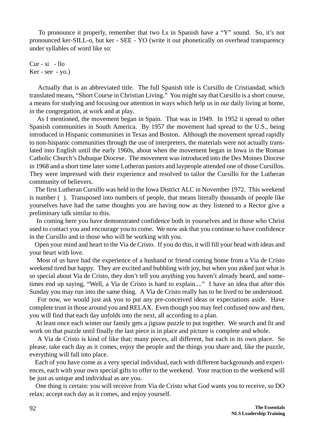To pronounce it properly, remember that two Ls in Spanish have a "Y" sound. So, it's not pronounced ker-SILL-o, but ker - SEE - YO (write it out phonetically on overhead transparency under syllables of word like so:

Cur - si - llo  $Ker - see - yo.)$ 

 Actually that is an abbreviated title. The full Spanish title is Cursillo de Cristiandad, which translated means, "Short Course in Christian Living." You might say that Cursillo is a short course, a means for studying and focusing our attention in ways which help us in our daily living at home, in the congregation, at work and at play.

 As I mentioned, the movement began in Spain. That was in 1949. In 1952 it spread to other Spanish communities in South America. By 1957 the movement had spread to the U.S., being introduced in Hispanic communities in Texas and Boston. Although the movement spread rapidly to non-hispanic communities through the use of interpreters, the materials were not actually translated into English until the early 1960s, about when the movement began in Iowa in the Roman Catholic Church's Dubuque Diocese. The movement was introduced into the Des Moines Diocese in 1968 and a short time later some Lutheran pastors and laypeople attended one of those Cursillos. They were impressed with their experience and resolved to tailor the Cursillo for the Lutheran community of believers.

 The first Lutheran Cursillo was held in the Iowa District ALC in November 1972. This weekend is number ( ). Transposed into numbers of people, that means literally thousands of people like yourselves have had the same thoughts you are having now as they listened to a Rector give a preliminary talk similar to this.

 In coming here you have demonstrated confidence both in yourselves and in those who Christ used to contact you and encourage you to come. We now ask that you continue to have confidence in the Cursillo and in those who will be working with you.

 Open your mind and heart to the Via de Cristo. If you do this, it will fill your head with ideas and your heart with love.

 Most of us have had the experience of a husband or friend coming home from a Via de Cristo weekend tired but happy. They are excited and bubbling with joy, but when you asked just what is so special about Via de Cristo, they don't tell you anything you haven't already heard, and sometimes end up saying, "Well, a Via de Cristo is hard to explain...." I have an idea that after this Sunday you may run into the same thing. A Via de Cristo really has to be lived to be understood.

 For now, we would just ask you to put any pre-conceived ideas or expectations aside. Have complete trust in those around you and RELAX. Even though you may feel confused now and then, you will find that each day unfolds into the next, all according to a plan.

 At least once each winter our family gets a jigsaw puzzle to put together. We search and fit and work on that puzzle until finally the last piece is in place and picture is complete and whole.

 A Via de Cristo is kind of like that; many pieces, all different, but each in its own place. So please, take each day as it comes, enjoy the people and the things you share and, like the puzzle, everything will fall into place.

 Each of you have come as a very special individual, each with different backgrounds and experiences, each with your own special gifts to offer to the weekend. Your reaction to the weekend will be just as unique and individual as are you.

 One thing is certain: you will receive from Via de Cristo what God wants you to receive, so DO relax; accept each day as it comes, and enjoy yourself.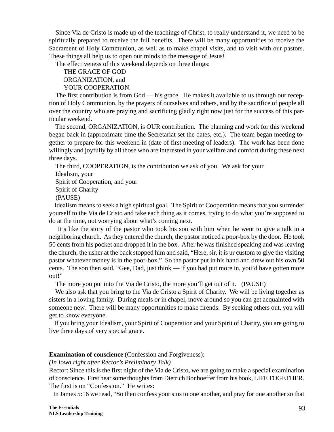Since Via de Cristo is made up of the teachings of Christ, to really understand it, we need to be spiritually prepared to receive the full benefits. There will be many opportunities to receive the Sacrament of Holy Communion, as well as to make chapel visits, and to visit with our pastors. These things all help us to open our minds to the message of Jesus!

The effectiveness of this weekend depends on three things:

 THE GRACE OF GOD ORGANIZATION, and YOUR COOPERATION.

The first contribution is from God — his grace. He makes it available to us through our reception of Holy Communion, by the prayers of ourselves and others, and by the sacrifice of people all over the country who are praying and sacrificing gladly right now just for the success of this particular weekend.

 The second, ORGANIZATION, is OUR contribution. The planning and work for this weekend began back in (approximate time the Secretariat set the dates, etc.). The team began meeting together to prepare for this weekend in (date of first meeting of leaders). The work has been done willingly and joyfully by all those who are interested in your welfare and comfort during these next three days.

 The third, COOPERATION, is the contribution we ask of you. We ask for your Idealism, your Spirit of Cooperation, and your Spirit of Charity (PAUSE) Idealism means to seek a high spiritual goal. The Spirit of Cooperation means that you surrender

yourself to the Via de Cristo and take each thing as it comes, trying to do what you're supposed to do at the time, not worrying about what's coming next.

 It's like the story of the pastor who took his son with him when he went to give a talk in a neighboring church. As they entered the church, the pastor noticed a poor-box by the door. He took 50 cents from his pocket and dropped it in the box. After he was finished speaking and was leaving the church, the usher at the back stopped him and said, "Here, sir, it is ur custom to give the visiting pastor whatever money is in the poor-box." So the pastor put in his hand and drew out his own 50 cents. The son then said, "Gee, Dad, just think — if you had put more in, you'd have gotten more out!"

The more you put into the Via de Cristo, the more you'll get out of it. (PAUSE)

 We also ask that you bring to the Via de Cristo a Spirit of Charity. We will be living together as sisters in a loving family. During meals or in chapel, move around so you can get acquainted with someone new. There will be many opportunities to make firends. By seeking others out, you will get to know everyone.

 If you bring your Idealism, your Spirit of Cooperation and your Spirit of Charity, you are going to live three days of very special grace.

#### **Examination of conscience** (Confession and Forgiveness):

*(In Iowa right after Rector's Preliminary Talk)*

Rector: Since this is the first night of the Via de Cristo, we are going to make a special examination of conscience. First hear some thoughts from Dietrich Bonhoeffer from his book, LIFE TOGETHER. The first is on "Confession." He writes:

In James 5:16 we read, "So then confess your sins to one another, and pray for one another so that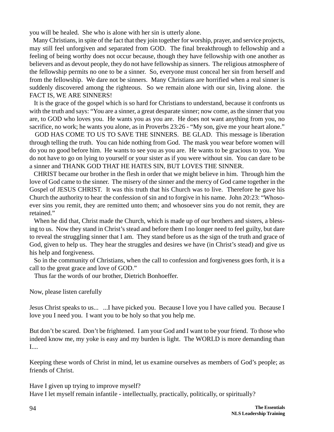you will be healed. She who is alone with her sin is utterly alone.

 Many Christians, in spite of the fact that they join together for worship, prayer, and service projects, may still feel unforgiven and separated from GOD. The final breakthrough to fellowship and a feeling of being worthy does not occur because, though they have fellowship with one another as believers and as devout people, they do not have fellowship as sinners. The religious atmosphere of the fellowship permits no one to be a sinner. So, everyone must conceal her sin from herself and from the fellowship. We dare not be sinners. Many Christians are horrified when a real sinner is suddenly discovered among the righteous. So we remain alone with our sin, living alone. the FACT IS, WE ARE SINNERS!

 It is the grace of the gospel which is so hard for Christians to understand, because it confronts us with the truth and says: "You are a sinner, a great desparate sinner; now come, as the sinner that you are, to GOD who loves you. He wants you as you are. He does not want anything from you, no sacrifice, no work; he wants you alone, as in Proverbs 23:26 - "My son, give me your heart alone."

 GOD HAS COME TO US TO SAVE THE SINNERS. BE GLAD. This message is liberation through telling the truth. You can hide nothing from God. The mask you wear before women will do you no good before him. He wants to see you as you are. He wants to be gracious to you. You do not have to go on lying to yourself or your sister as if you were without sin. You can dare to be a sinner and THANK GOD THAT HE HATES SIN, BUT LOVES THE SINNER.

 CHRIST became our brother in the flesh in order that we might believe in him. Through him the love of God came to the sinner. The misery of the sinner and the mercy of God came together in the Gospel of JESUS CHRIST. It was this truth that his Church was to live. Therefore he gave his Church the authority to hear the confession of sin and to forgive in his name. John 20:23: "Whosoever sins you remit, they are remitted unto them; and whosoever sins you do not remit, they are retained."

 When he did that, Christ made the Church, which is made up of our brothers and sisters, a blessing to us. Now they stand in Christ's stead and before them I no longer need to feel guilty, but dare to reveal the struggling sinner that I am. They stand before us as the sign of the truth and grace of God, given to help us. They hear the struggles and desires we have (in Christ's stead) and give us his help and forgiveness.

 So in the community of Christians, when the call to confession and forgiveness goes forth, it is a call to the great grace and love of GOD."

Thus far the words of our brother, Dietrich Bonhoeffer.

Now, please listen carefully

Jesus Christ speaks to us... ...I have picked you. Because I love you I have called you. Because I love you I need you. I want you to be holy so that you help me.

But don't be scared. Don't be frightened. I am your God and I want to be your friend. To those who indeed know me, my yoke is easy and my burden is light. The WORLD is more demanding than I....

Keeping these words of Christ in mind, let us examine ourselves as members of God's people; as friends of Christ.

Have I given up trying to improve myself? Have I let myself remain infantile - intellectually, practically, politically, or spiritually?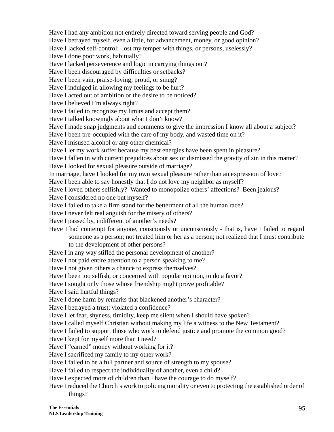Have I had any ambition not entirely directed toward serving people and God? Have I betrayed myself, even a little, for advancement, money, or good opinion? Have I lacked self-control: lost my temper with things, or persons, uselessly? Have I done poor work, habitually? Have I lacked perseverence and logic in carrying things out? Have I been discouraged by difficulties or setbacks? Have I been vain, praise-loving, proud, or smug? Have I indulged in allowing my feelings to be hurt? Have I acted out of ambition or the desire to be noticed? Have I believed I'm always right? Have I failed to recognize my limits and accept them? Have I talked knowingly about what I don't know? Have I made snap judgments and comments to give the impression I know all about a subject? Have I been pre-occupied with the care of my body, and wasted time on it? Have I misused alcohol or any other chemical? Have I let my work suffer because my best energies have been spent in pleasure? Have I fallen in with current prejudices about sex or dismissed the gravity of sin in this matter? Have I looked for sexual pleasure outside of marriage? In marriage, have I looked for my own sexual pleasure rather than an expression of love? Have I been able to say honestly that I do not love my neighbor as myself? Have I loved others selfishly? Wanted to monopolize others' affections? Been jealous? Have I considered no one but myself? Have I failed to take a firm stand for the betterment of all the human race? Have I never felt real anguish for the misery of others? Have I passed by, indifferent of another's needs? Have I had contempt for anyone, consciously or unconsciously - that is, have I failed to regard someone as a person; not treated him or her as a person; not realized that I must contribute to the development of other persons? Have I in any way stifled the personal development of another? Have I not paid entire attention to a person speaking to me? Have I not given others a chance to express themselves? Have I been too selfish, or concerned with popular opinion, to do a favor? Have I sought only those whose friendship might prove profitable? Have I said hurtful things? Have I done harm by remarks that blackened another's character? Have I betrayed a trust; violated a confidence? Have I let fear, shyness, timidity, keep me silent when I should have spoken? Have I called myself Christian without making my life a witness to the New Testament? Have I failed to support those who work to defend justice and promote the common good? Have I kept for myself more than I need? Have I "earned" money without working for it? Have I sacrificed my family to my other work? Have I failed to be a full partner and source of strength to my spouse? Have I failed to respect the individuality of another, even a child? Have I expected more of children than I have the courage to do myself?

#### Have I reduced the Church's work to policing morality or even to protecting the established order of things?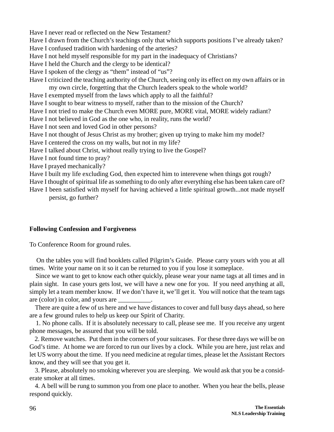Have I never read or reflected on the New Testament? Have I drawn from the Church's teachings only that which supports positions I've already taken?

Have I confused tradition with hardening of the arteries?

Have I not held myself responsible for my part in the inadequacy of Christians?

Have I held the Church and the clergy to be identical?

Have I spoken of the clergy as "them" instead of "us"?

Have I criticized the teaching authority of the Church, seeing only its effect on my own affairs or in my own circle, forgetting that the Church leaders speak to the whole world?

Have I exempted myself from the laws which apply to all the faithful?

Have I sought to bear witness to myself, rather than to the mission of the Church?

Have I not tried to make the Church even MORE pure, MORE vital, MORE widely radiant?

Have I not believed in God as the one who, in reality, runs the world?

Have I not seen and loved God in other persons?

Have I not thought of Jesus Christ as my brother; given up trying to make him my model?

Have I centered the cross on my walls, but not in my life?

Have I talked about Christ, without really trying to live the Gospel?

Have I not found time to pray?

Have I prayed mechanically?

Have I built my life excluding God, then expected him to interevene when things got rough?

Have I thought of spiritual life as something to do only after everything else has been taken care of?

Have I been satisfied with myself for having achieved a little spiritual growth...not made myself persist, go further?

#### **Following Confession and Forgiveness**

To Conference Room for ground rules.

 On the tables you will find booklets called Pilgrim's Guide. Please carry yours with you at all times. Write your name on it so it can be returned to you if you lose it someplace.

 Since we want to get to know each other quickly, please wear your name tags at all times and in plain sight. In case yours gets lost, we will have a new one for you. If you need anything at all, simply let a team member know. If we don't have it, we'll get it. You will notice that the team tags are (color) in color, and yours are \_\_\_\_\_\_\_\_\_\_.

 There are quite a few of us here and we have distances to cover and full busy days ahead, so here are a few ground rules to help us keep our Spirit of Charity.

 1. No phone calls. If it is absolutely necessary to call, please see me. If you receive any urgent phone messages, be assured that you will be told.

 2. Remove watches. Put them in the corners of your suitcases. For these three days we will be on God's time. At home we are forced to run our lives by a clock. While you are here, just relax and let US worry about the time. If you need medicine at regular times, please let the Assistant Rectors know, and they will see that you get it.

 3. Please, absolutely no smoking wherever you are sleeping. We would ask that you be a considerate smoker at all times.

 4. A bell will be rung to summon you from one place to another. When you hear the bells, please respond quickly.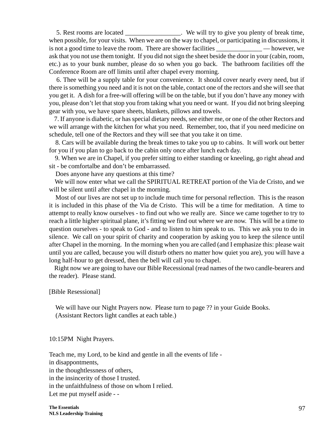5. Rest rooms are located We will try to give you plenty of break time, when possible, for your visits. When we are on the way to chapel, or participating in discussions, it is not a good time to leave the room. There are shower facilities — however, we ask that you not use them tonight. If you did not sign the sheet beside the door in your (cabin, room, etc.) as to your bunk number, please do so when you go back. The bathroom facilities off the Conference Room are off limits until after chapel every morning.

 6. Thee will be a supply table for your convenience. It should cover nearly every need, but if there is something you need and it is not on the table, contact one of the rectors and she will see that you get it. A dish for a free-will offering will be on the table, but if you don't have any money with you, please don't let that stop you from taking what you need or want. If you did not bring sleeping gear with you, we have spare sheets, blankets, pillows and towels.

 7. If anyone is diabetic, or has special dietary needs, see either me, or one of the other Rectors and we will arrange with the kitchen for what you need. Remember, too, that if you need medicine on schedule, tell one of the Rectors and they will see that you take it on time.

 8. Cars will be available during the break times to take you up to cabins. It will work out better for you if you plan to go back to the cabin only once after lunch each day.

 9. When we are in Chapel, if you prefer sitting to either standing or kneeling, go right ahead and sit - be comfortalbe and don't be embarrassed.

Does anyone have any questions at this time?

 We will now enter what we call the SPIRITUAL RETREAT portion of the Via de Cristo, and we will be silent until after chapel in the morning.

 Most of our lives are not set up to include much time for personal reflection. This is the reason it is included in this phase of the Via de Cristo. This will be a time for meditation. A time to attempt to really know ourselves - to find out who we really are. Since we came together to try to reach a little higher spiritual plane, it's fitting we find out where we are now. This will be a time to question ourselves - to speak to God - and to listen to him speak to us. This we ask you to do in silence. We call on your spirit of charity and cooperation by asking you to keep the silence until after Chapel in the morning. In the morning when you are called (and I emphasize this: please wait until you are called, because you will disturb others no matter how quiet you are), you will have a long half-hour to get dressed, then the bell will call you to chapel.

 Right now we are going to have our Bible Recessional (read names of the two candle-bearers and the reader). Please stand.

[Bible Resessional]

 We will have our Night Prayers now. Please turn to page ?? in your Guide Books. (Assistant Rectors light candles at each table.)

10:15PM Night Prayers.

Teach me, my Lord, to be kind and gentle in all the events of life in disappontments, in the thoughtlessness of others, in the insincerity of those I trusted. in the unfaithfulness of those on whom I relied. Let me put myself aside - -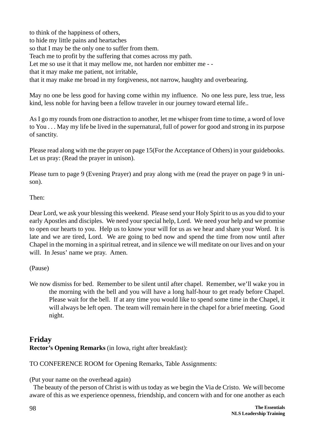to think of the happiness of others, to hide my little pains and heartaches so that I may be the only one to suffer from them. Teach me to profit by the suffering that comes across my path. Let me so use it that it may mellow me, not harden nor embitter me - that it may make me patient, not irritable, that it may make me broad in my forgiveness, not narrow, haughty and overbearing.

May no one be less good for having come within my influence. No one less pure, less true, less kind, less noble for having been a fellow traveler in our journey toward eternal life..

As I go my rounds from one distraction to another, let me whisper from time to time, a word of love to You . . . May my life be lived in the supernatural, full of power for good and strong in its purpose of sanctity.

Please read along with me the prayer on page 15(For the Acceptance of Others) in your guidebooks. Let us pray: (Read the prayer in unison).

Please turn to page 9 (Evening Prayer) and pray along with me (read the prayer on page 9 in unison).

Then:

Dear Lord, we ask your blessing this weekend. Please send your Holy Spirit to us as you did to your early Apostles and disciples. We need your special help, Lord. We need your help and we promise to open our hearts to you. Help us to know your will for us as we hear and share your Word. It is late and we are tired, Lord. We are going to bed now and spend the time from now until after Chapel in the morning in a spiritual retreat, and in silence we will meditate on our lives and on your will. In Jesus' name we pray. Amen.

#### (Pause)

We now dismiss for bed. Remember to be silent until after chapel. Remember, we'll wake you in the morning with the bell and you will have a long half-hour to get ready before Chapel. Please wait for the bell. If at any time you would like to spend some time in the Chapel, it will always be left open. The team will remain here in the chapel for a brief meeting. Good night.

## **Friday Rector's Opening Remarks** (in Iowa, right after breakfast):

TO CONFERENCE ROOM for Opening Remarks, Table Assignments:

(Put your name on the overhead again)

 The beauty of the person of Christ is with us today as we begin the Via de Cristo. We will become aware of this as we experience openness, friendship, and concern with and for one another as each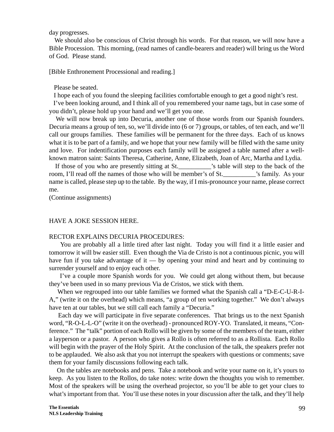day progresses.

 We should also be conscious of Christ through his words. For that reason, we will now have a Bible Procession. This morning, (read names of candle-bearers and reader) will bring us the Word of God. Please stand.

[Bible Enthronement Processional and reading.]

Please be seated.

I hope each of you found the sleeping facilities comfortable enough to get a good night's rest.

 I've been looking around, and I think all of you remembered your name tags, but in case some of you didn't, please hold up your hand and we'll get you one.

 We will now break up into Decuria, another one of those words from our Spanish founders. Decuria means a group of ten, so, we'll divide into (6 or 7) groups, or tables, of ten each, and we'll call our groups families. These families will be permanent for the three days. Each of us knows what it is to be part of a family, and we hope that your new family will be filled with the same unity and love. For indentification purposes each family will be assigned a table named after a wellknown matron saint: Saints Theresa, Catherine, Anne, Elizabeth, Joan of Arc, Martha and Lydia.

If those of you who are presently sitting at St.  $\cdot$  is table will step to the back of the room, I'll read off the names of those who will be member's of St.\_\_\_\_\_\_\_\_\_\_'s family. As your name is called, please step up to the table. By the way, if I mis-pronounce your name, please correct me.

(Continue assignments)

#### HAVE A JOKE SESSION HERE.

#### RECTOR EXPLAINS DECURIA PROCEDURES:

 You are probably all a little tired after last night. Today you will find it a little easier and tomorrow it will bw easier still. Even though the Via de Cristo is not a continuous picnic, you will have fun if you take advantage of it — by opening your mind and heart and by continuing to surrender yourself and to enjoy each other.

 I've a couple more Spanish words for you. We could get along without them, but because they've been used in so many previous Via de Cristos, we stick with them.

 When we regrouped into our table families we formed what the Spanish call a "D-E-C-U-R-I-A," (write it on the overhead) which means, "a group of ten working together." We don't always have ten at our tables, but we still call each family a "Decuria."

 Each day we will participate in five separate conferences. That brings us to the next Spanish word, "R-O-L-L-O" (write it on the overhead) - pronounced ROY-YO. Translated, it means, "Conference." The "talk" portion of each Rollo will be given by some of the members of the team, either a layperson or a pastor. A person who gives a Rollo is often referred to as a Rollista. Each Rollo will begin with the prayer of the Holy Spirit. At the conclusion of the talk, the speakers prefer not to be applauded. We also ask that you not interrupt the speakers with questions or comments; save them for your family discussions following each talk.

 On the tables are notebooks and pens. Take a notebook and write your name on it, it's yours to keep. As you listen to the Rollos, do take notes: write down the thoughts you wish to remember. Most of the speakers will be using the overhead projector, so you'll be able to get your clues to what's important from that. You'll use these notes in your discussion after the talk, and they'll help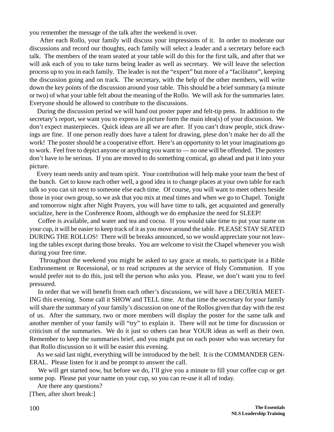you remember the message of the talk after the weekend is over.

 After each Rollo, your family will discuss your impressions of it. In order to moderate our discussions and record our thoughts, each family will select a leader and a secretary before each talk. The members of the team seated at your table will do this for the first talk, and after that we will ask each of you to take turns being leader as well as secretary. We will leave the selection process up to you in each family. The leader is not the "expert" but more of a "facilitator", keeping the discussion going and on track. The secretary, with the help of the other members, will write down the key points of the discussion around your table. This should be a brief summary (a minute or two) of what your table felt about the meaning of the Rollo. We will ask for the summaries later. Everyone should be allowed to contribute to the discussions.

 During the discussion period we will hand out poster paper and felt-tip pens. In addition to the secretary's report, we want you to express in picture form the main idea(s) of your discussion. We don't expect masterpieces. Quick ideas are all we are after. If you can't draw people, stick drawings are fine. If one person really does have a talent for drawing, plese don't make her do all the work! The poster should be a cooperative effort. Here's an opportunity to let your imaginations go to work. Feel free to depict anyone or anything you want to — no one will be offended. The posters don't have to be serious. If you are moved to do something comical, go ahead and put it into your picture.

 Every team needs unity and team spirit. Your contribution will help make your team the best of the bunch. Get to know each other well, a good idea is to change places at your own table for each talk so you can sit next to someone else each time. Of course, you will want to meet others beside those in your own group, so we ask that you mix at meal times and when we go to Chapel. Tonight and tomorrow night after Night Prayers, you will have time to talk, get acquainted and generally socialize, here in the Conference Room, although we do emphasize the need for SLEEP!

 Coffee is available, and water and tea and cocoa. If you would take time to put your name on your cup, it will be easier to keep track of it as you move around the table. PLEASE STAY SEATED DURING THE ROLLOS! There will be breaks announced, so we would appreciate your not leaving the tables except during those breaks. You are welcome to visit the Chapel whenever you wish during your free time.

 Throughout the weekend you might be asked to say grace at meals, to participate in a Bible Enthronement or Recessional, or to read scriptures at the service of Holy Communion. If you would prefer not to do this, just tell the person who asks you. Please, we don't want you to feel pressured.

 In order that we will benefit from each other's discussions, we will have a DECURIA MEET-ING this evening. Some call it SHOW and TELL time. At that time the secretary for your family will share the summary of your family's discussion on one of the Rollos given that day with the rest of us. After the summary, two or more members will display the poster for the same talk and another member of your family will "try" to explain it. There will not be time for discussion or criticism of the summaries. We do it just so others can hear YOUR ideas as well as their own. Remember to keep the summaries brief, and you might put on each poster who was secretary for that Rollo discussion so it will be easier this evening.

 As we said last night, everything will be introduced by the bell. It is the COMMANDER GEN-ERAL. Please listen for it and be prompt to answer the call.

We will get started now, but before we do, I'll give you a minute to fill your coffee cup or get some pop. Please put your name on your cup, so you can re-use it all of today.

Are there any questions?

[Then, after short break:]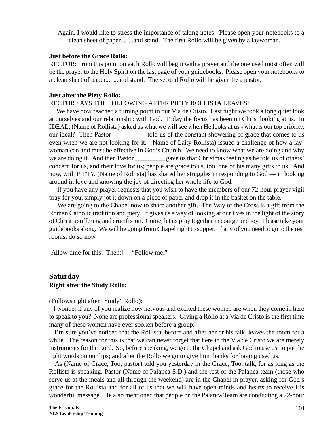Again, I would like to stress the importance of taking notes. Please open your notebooks to a clean sheet of paper... ...and stand. The first Rollo will be given by a laywoman.

#### **Just before the Grace Rollo:**

RECTOR: From this point on each Rollo will begin with a prayer and the one used most often will be the prayer to the Holy Spirit on the last page of your guidebooks. Please open your notebooks to a clean sheet of paper... ...and stand. The second Rollo will be given by a pastor.

#### **Just after the Piety Rollo:**

#### RECTOR SAYS THE FOLLOWING AFTER PIETY ROLLISTA LEAVES:

We have now reached a turning point in our Via de Cristo. Last night we took a long quiet look at ourselves and our relationship with God. Today the focus has been on Christ looking at us. In IDEAL, (Name of Rollista) asked us what we will see when He looks at us - what is our top priority, our ideal? Then Pastor \_\_\_\_\_\_\_\_\_\_ told us of the constant showering of grace that comes to us even when we are not looking for it. (Name of Laity Rollista) issued a challenge of how a laywoman can and must be effective in God's Church. We need to know what we are doing and why we are doing it. And then Pastor \_\_\_\_\_\_\_\_\_\_ gave us that Christmas feeling as he told us of others' concern for us, and their love for us; people are grace to us, too, one of his many gifts to us. And now, with PIETY, (Name of Rollista) has shared her struggles in responding to God — in looking around in love and knowing the joy of directing her whole life to God.

 If you have any prayer requests that you wish to have the members of our 72-hour prayer vigil pray for you, simply jot it down on a piece of paper and drop it in the basket on the table.

 We are going to the Chapel now to share another gift. The Way of the Cross is a gift from the Roman Catholic tradition and piety. It gives us a way of looking at our lives in the light of the story of Christ's suffering and crucifixion. Come, let us pray together in courge and joy. Please take your guidebooks along. We will be going from Chapel right to supper. If any of you need to go to the rest rooms, do so now.

[Allow time for this. Then:] "Follow me."

#### **Saturday Right after the Study Rollo:**

(Follows right after "Study" Rollo):

 I wonder if any of you realize how nervous and excited these women are when they come in here to speak to you? None are professional speakers. Giving a Rollo at a Via de Cristo is the first time many of these women have ever spoken before a group.

 I'm sure you've noticed that the Rollista, before and after her or his talk, leaves the room for a while. The reason for this is that we can never forget that here in the Via de Cristo we are merely instruments for the Lord. So, before speaking, we go to the Chapel and ask God to use us; to put the right words on our lips; and after the Rollo we go to give him thanks for having used us.

 As (Name of Grace, Too, pastor) told you yesterday in the Grace, Too, talk, for as long as the Rollista is speaking, Pastor (Name of Palanca S.D.) and the rest of the Palanca team (those who serve us at the meals and all through the weekend) are in the Chapel in prayer, asking for God's grace for the Rollista and for all of us that we will have open minds and hearts to receive His wonderful message. He also mentioned that people on the Palanca Team are conducting a 72-hour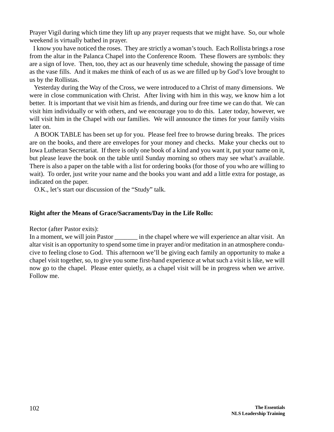Prayer Vigil during which time they lift up any prayer requests that we might have. So, our whole weekend is virtually bathed in prayer.

 I know you have noticed the roses. They are strictly a woman's touch. Each Rollista brings a rose from the altar in the Palanca Chapel into the Conference Room. These flowers are symbols: they are a sign of love. Then, too, they act as our heavenly time schedule, showing the passage of time as the vase fills. And it makes me think of each of us as we are filled up by God's love brought to us by the Rollistas.

 Yesterday during the Way of the Cross, we were introduced to a Christ of many dimensions. We were in close communication with Christ. After living with him in this way, we know him a lot better. It is important that we visit him as friends, and during our free time we can do that. We can visit him individually or with others, and we encourage you to do this. Later today, however, we will visit him in the Chapel with our families. We will announce the times for your family visits later on.

 A BOOK TABLE has been set up for you. Please feel free to browse during breaks. The prices are on the books, and there are envelopes for your money and checks. Make your checks out to Iowa Lutheran Secretariat. If there is only one book of a kind and you want it, put your name on it, but please leave the book on the table until Sunday morning so others may see what's available. There is also a paper on the table with a list for ordering books (for those of you who are willing to wait). To order, just write your name and the books you want and add a little extra for postage, as indicated on the paper.

O.K., let's start our discussion of the "Study" talk.

#### **Right after the Means of Grace/Sacraments/Day in the Life Rollo:**

Rector (after Pastor exits):

In a moment, we will join Pastor \_\_\_\_\_\_\_\_\_ in the chapel where we will experience an altar visit. An altar visit is an opportunity to spend some time in prayer and/or meditation in an atmosphere conducive to feeling close to God. This afternoon we'll be giving each family an opportunity to make a chapel visit together, so, to give you some first-hand experience at what such a visit is like, we will now go to the chapel. Please enter quietly, as a chapel visit will be in progress when we arrive. Follow me.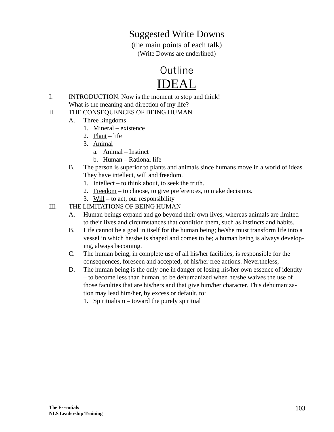## Suggested Write Downs

(the main points of each talk) (Write Downs are underlined)



- I. INTRODUCTION. Now is the moment to stop and think! What is the meaning and direction of my life?
- II. THE CONSEQUENCES OF BEING HUMAN
	- A. Three kingdoms
		- 1. Mineral existence
		- 2. Plant life
		- 3. Animal
			- a. Animal Instinct
			- b. Human Rational life
	- B. The person is superior to plants and animals since humans move in a world of ideas. They have intellect, will and freedom.
		- 1. Intellect to think about, to seek the truth.
		- 2. Freedom to choose, to give preferences, to make decisions.
		- 3. Will to act, our responsibility

#### III. THE LIMITATIONS OF BEING HUMAN

- A. Human beings expand and go beyond their own lives, whereas animals are limited to their lives and circumstances that condition them, such as instincts and habits.
- B. Life cannot be a goal in itself for the human being; he/she must transform life into a vessel in which he/she is shaped and comes to be; a human being is always developing, always becoming.
- C. The human being, in complete use of all his/her facilities, is responsible for the consequences, foreseen and accepted, of his/her free actions. Nevertheless,
- D. The human being is the only one in danger of losing his/her own essence of identity – to become less than human, to be dehumanized when he/she waives the use of those faculties that are his/hers and that give him/her character. This dehumanization may lead him/her, by excess or default, to:
	- 1. Spiritualism toward the purely spiritual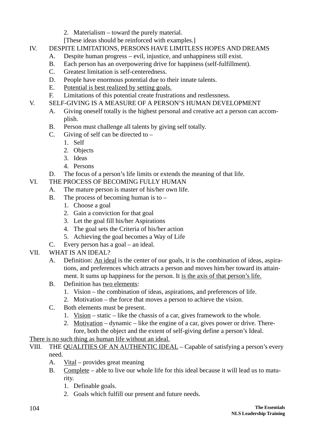2. Materialism – toward the purely material.

[These ideas should be reinforced with examples.]

- IV. DESPITE LIMITATIONS, PERSONS HAVE LIMITLESS HOPES AND DREAMS
	- A. Despite human progress evil, injustice, and unhappiness still exist.
	- B. Each person has an overpowering drive for happiness (self-fulfillment).
	- C. Greatest limitation is self-centeredness.
	- D. People have enormous potential due to their innate talents.
	- E. Potential is best realized by setting goals.
	- F. Limitations of this potential create frustrations and restlessness.
- V. SELF-GIVING IS A MEASURE OF A PERSON'S HUMAN DEVELOPMENT
	- A. Giving oneself totally is the highest personal and creative act a person can accomplish.
	- B. Person must challenge all talents by giving self totally.
	- C. Giving of self can be directed to  $-$ 
		- 1. Self
		- 2. Objects
		- 3. Ideas
		- 4. Persons
	- D. The focus of a person's life limits or extends the meaning of that life.

## VI. THE PROCESS OF BECOMING FULLY HUMAN

- A. The mature person is master of his/her own life.
- B. The process of becoming human is to  $-$ 
	- 1. Choose a goal
	- 2. Gain a conviction for that goal
	- 3. Let the goal fill his/her Aspirations
	- 4. The goal sets the Criteria of his/her action
	- 5. Achieving the goal becomes a Way of Life
- C. Every person has a goal an ideal.
- VII. WHAT IS AN IDEAL?
	- A. Definition: An ideal is the center of our goals, it is the combination of ideas, aspirations, and preferences which attracts a person and moves him/her toward its attainment. It sums up happiness for the person. It is the axis of that person's life.
	- B. Definition has two elements:
		- 1. Vision the combination of ideas, aspirations, and preferences of life.
		- 2. Motivation the force that moves a person to achieve the vision.
	- C. Both elements must be present.
		- 1. Vision static like the chassis of a car, gives framework to the whole.
		- 2. Motivation dynamic like the engine of a car, gives power or drive. Therefore, both the object and the extent of self-giving define a person's Ideal.

There is no such thing as human life without an ideal.

- VIII. THE QUALITIES OF AN AUTHENTIC IDEAL Capable of satisfying a person's every need.
	- A. Vital provides great meaning
	- B. Complete able to live our whole life for this ideal because it will lead us to maturity.
		- 1. Definable goals.
		- 2. Goals which fulfill our present and future needs.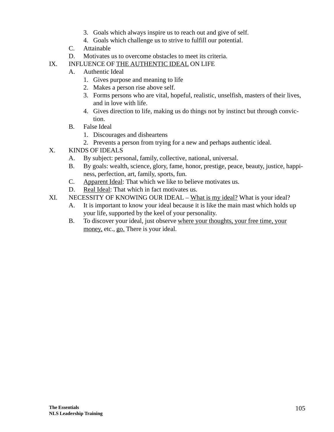- 3. Goals which always inspire us to reach out and give of self.
- 4. Goals which challenge us to strive to fulfill our potential.
- C. Attainable
- D. Motivates us to overcome obstacles to meet its criteria.
- IX. INFLUENCE OF THE AUTHENTIC IDEAL ON LIFE
	- A. Authentic Ideal
		- 1. Gives purpose and meaning to life
		- 2. Makes a person rise above self.
		- 3. Forms persons who are vital, hopeful, realistic, unselfish, masters of their lives, and in love with life.
		- 4. Gives direction to life, making us do things not by instinct but through conviction.
	- B. False Ideal
		- 1. Discourages and disheartens
		- 2. Prevents a person from trying for a new and perhaps authentic ideal.
- X. KINDS OF IDEALS
	- A. By subject: personal, family, collective, national, universal.
	- B. By goals: wealth, science, glory, fame, honor, prestige, peace, beauty, justice, happiness, perfection, art, family, sports, fun.
	- C. Apparent Ideal: That which we like to believe motivates us.
	- D. Real Ideal: That which in fact motivates us.
- XI. NECESSITY OF KNOWING OUR IDEAL What is my ideal? What is your ideal?
	- A. It is important to know your ideal because it is like the main mast which holds up your life, supported by the keel of your personality.
	- B. To discover your ideal, just observe where your thoughts, your free time, your money, etc., go. There is your ideal.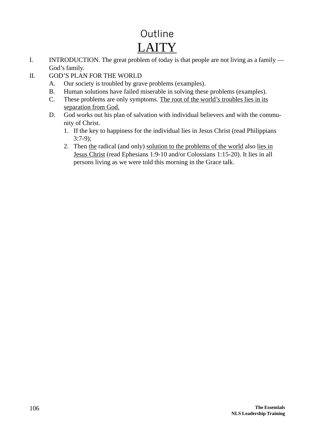# Outline LAITY

I. INTRODUCTION. The great problem of today is that people are not living as a family — God's family.

## II. GOD'S PLAN FOR THE WORLD

- A. Our society is troubled by grave problems (examples).
- B. Human solutions have failed miserable in solving these problems (examples).
- C. These problems are only symptoms. The root of the world's troubles lies in its separation from God.
- D. God works out his plan of salvation with individual believers and with the community of Christ.
	- 1. If the key to happiness for the individual lies in Jesus Christ (read Philippians 3:7-9);
	- 2. Then the radical (and only) solution to the problems of the world also lies in Jesus Christ (read Ephesians 1:9-10 and/or Colossians 1:15-20). It lies in all persons living as we were told this morning in the Grace talk.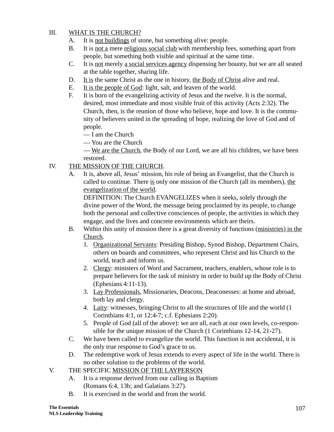#### III. WHAT IS THE CHURCH?

- A. It is not buildings of stone, but something alive: people.
- B. It is not a mere religious social club with membership fees, something apart from people, but something both visible and spiritual at the same time.
- C. It is not merely a social services agency dispensing her bounty, but we are all seated at the table together, sharing life.
- D. It is the same Christ as the one in history, the Body of Christ alive and real.
- E. It is the people of God: light, salt, and leaven of the world.
- F. It is born of the evangelizing activity of Jesus and the twelve. It is the normal, desired, most immediate and most visible fruit of this activity (Acts 2:32). The Church, then, is the reunion of those who believe, hope and love. It is the community of believers united in the spreading of hope, realizing the love of God and of people.
	- I am the Church
	- You are the Church

— We are the Church, the Body of our Lord, we are all his children, we have been restored.

#### IV. THE MISSION OF THE CHURCH.

A. It is, above all, Jesus' mission, his role of being an Evangelist, that the Church is called to continue. There is only one mission of the Church (all its members), the evangelization of the world.

DEFINITION: The Church EVANGELIZES when it seeks, solely through the divine power of the Word, the message being proclaimed by its people, to change both the personal and collective consciences of people, the activities in which they engage, and the lives and concrete environments which are theirs.

- B. Within this unity of mission there is a great diversity of functions (ministries) in the Church.
	- 1. Organizational Servants: Presiding Bishop, Synod Bishop, Department Chairs, others on boards and committees, who represent Christ and his Church to the world, teach and inform us.
	- 2. Clergy: ministers of Word and Sacrament, teachers, enablers, whose role is to prepare believers for the task of ministry in order to build up the Body of Christ (Ephesians 4:11-13).
	- 3. Lay Professionals, Missionaries, Deacons, Deaconesses: at home and abroad, both lay and clergy.
	- 4. Laity: witnesses, bringing Christ to all the structures of life and the world (1 Corinthians 4:1, or 12:4-7; c.f. Ephesians 2:20).
	- 5. People of God (all of the above): we are all, each at our own levels, co-responsible for the unique mission of the Church (1 Corinthians 12-14, 21-27).
- C. We have been called to evangelize the world. This function is not accidental, it is the only true response to God's grace to us.
- D. The redemptive work of Jesus extends to every aspect of life in the world. There is no other solution to the problems of the world.
- V. THE SPECIFIC MISSION OF THE LAYPERSON
	- A. It is a response derived from our calling in Baptism (Romans 6:4, 13b; and Galatians 3:27).
	- B. It is exercised in the world and from the world.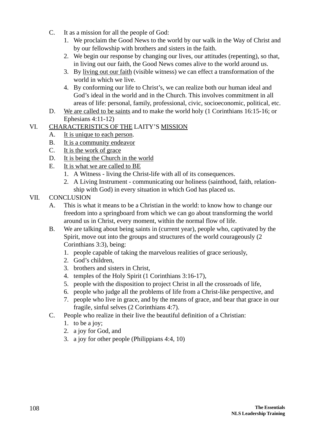- C. It as a mission for all the people of God:
	- 1. We proclaim the Good News to the world by our walk in the Way of Christ and by our fellowship with brothers and sisters in the faith.
	- 2. We begin our response by changing our lives, our attitudes (repenting), so that, in living out our faith, the Good News comes alive to the world around us.
	- 3. By living out our faith (visible witness) we can effect a transformation of the world in which we live.
	- 4. By conforming our life to Christ's, we can realize both our human ideal and God's ideal in the world and in the Church. This involves commitment in all areas of life: personal, family, professional, civic, socioeconomic, political, etc.
- D. We are called to be saints and to make the world holy (1 Corinthians 16:15-16; or Ephesians 4:11-12)

#### VI. CHARACTERISTICS OF THE LAITY'S MISSION

- A. It is unique to each person.
- B. It is a community endeavor
- C. It is the work of grace
- D. It is being the Church in the world
- E. It is what we are called to BE
	- 1. A Witness living the Christ-life with all of its consequences.
	- 2. A Living Instrument communicating our holiness (sainthood, faith, relationship with God) in every situation in which God has placed us.

### VII. CONCLUSION

- A. This is what it means to be a Christian in the world: to know how to change our freedom into a springboard from which we can go about transforming the world around us in Christ, every moment, within the normal flow of life.
- B. We are talking about being saints in (current year), people who, captivated by the Spirit, move out into the groups and structures of the world courageously (2 Corinthians 3:3), being:
	- 1. people capable of taking the marvelous realities of grace seriously,
	- 2. God's children,
	- 3. brothers and sisters in Christ,
	- 4. temples of the Holy Spirit (1 Corinthians 3:16-17),
	- 5. people with the disposition to project Christ in all the crossroads of life,
	- 6. people who judge all the problems of life from a Christ-like perspective, and
	- 7. people who live in grace, and by the means of grace, and bear that grace in our fragile, sinful selves (2 Corinthians 4:7).
- C. People who realize in their live the beautiful definition of a Christian:
	- 1. to be a joy;
	- 2. a joy for God, and
	- 3. a joy for other people (Philippians 4:4, 10)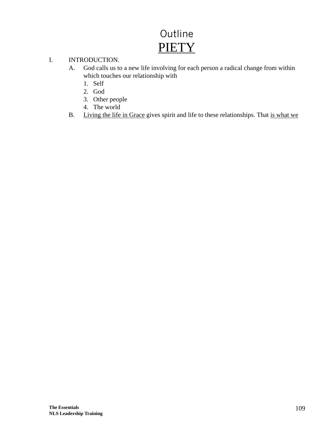# Outline **PIETY**

#### I. INTRODUCTION.

- A. God calls us to a new life involving for each person a radical change from within which touches our relationship with
	- 1. Self
	- 2. God
	- 3. Other people
	- 4. The world
- B. Living the life in Grace gives spirit and life to these relationships. That is what we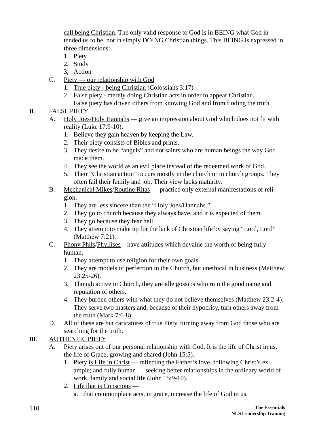call being Christian. The only valid response to God is in BEING what God intended us to be, not in simply DOING Christian things. This BEING is expressed in three dimensions:

- 1. Piety
- 2. Study
- 3, Action
- C. Piety our relationship with God
	- 1. True piety being Christian (Colossians 3:17)
	- 2. False piety merely doing Christian acts in order to appear Christian.
	- False piety has driven others from knowing God and from finding the truth.

## II. FALSE PIETY

- A. Holy Joes/Holy Hannahs give an impression about God which does not fit with reality (Luke 17:9-10).
	- 1. Believe they gain heaven by keeping the Law.
	- 2. Their piety consists of Bibles and prints.
	- 3. They desire to be "angels" and not saints who are human beings the way God made them.
	- 4. They see the world as an evil place instead of the redeemed work of God.
	- 5. Their "Christian action" occurs mostly in the church or in church groups. They often fail their family and job. Their view lacks maturity.
- B. Mechanical Mikes/Routine Ritas practice only external manifestations of religion.
	- 1. They are less sincere than the "Holy Joes/Hannahs."
	- 2. They go to church because they always have, and it is expected of them.
	- 3. They go because they fear hell.
	- 4. They attempt to make up for the lack of Christian life by saying "Lord, Lord" (Matthew 7:21).
- C. Phony Phils/Phyllises—have attitudes which devalue the worth of being fully human.
	- 1. They attempt to use religion for their own goals.
	- 2. They are models of perfection in the Church, but unethical in business (Matthew 23:25-26).
	- 3. Though active in Church, they are idle gossips who ruin the good name and reputation of others.
	- 4. They burden others with what they do not believe themselves (Matthew 23:2-4). They serve two masters and, because of their hypocrisy, turn others away from the truth (Mark 7:6-8).
- D. All of these are but caricatures of true Piety, turning away from God those who are searching for the truth.

## III. AUTHENTIC PIETY

- A. Piety arises out of our personal relationship with God. It is the life of Christ in us, the life of Grace, growing and shared (John 15:5).
	- 1. Piety is Life in Christ reflecting the Father's love, following Christ's example; and fully human — seeking better relationships in the ordinary world of work, family and social life (John 15:9-10).
	- 2. Life that is Conscious a. that commonplace acts, in grace, increase the life of God in us.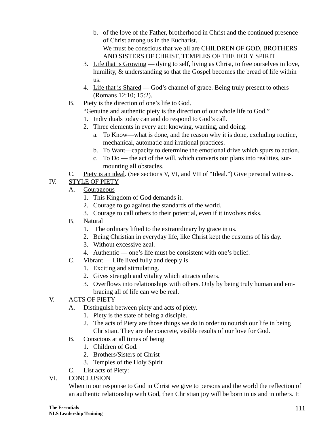- b. of the love of the Father, brotherhood in Christ and the continued presence of Christ among us in the Eucharist. We must be conscious that we all are CHILDREN OF GOD, BROTHERS AND SISTERS OF CHRIST, TEMPLES OF THE HOLY SPIRIT
- 3. Life that is Growing dying to self, living as Christ, to free ourselves in love, humility, & understanding so that the Gospel becomes the bread of life within us.
- 4. Life that is Shared God's channel of grace. Being truly present to others (Romans 12:10; 15:2).
- B. Piety is the direction of one's life to God.

## "Genuine and authentic piety is the direction of our whole life to God."

- 1. Individuals today can and do respond to God's call.
- 2. Three elements in every act: knowing, wanting, and doing.
	- a. To Know—what is done, and the reason why it is done, excluding routine, mechanical, automatic and irrational practices.
	- b. To Want—capacity to determine the emotional drive which spurs to action.
	- c. To Do the act of the will, which converts our plans into realities, surmounting all obstacles.
- C. Piety is an ideal. (See sections V, VI, and VII of "Ideal.") Give personal witness.

## IV. STYLE OF PIETY

- A. Courageous
	- 1. This Kingdom of God demands it.
	- 2. Courage to go against the standards of the world.
	- 3. Courage to call others to their potential, even if it involves risks.
- B. Natural
	- 1. The ordinary lifted to the extraordinary by grace in us.
	- 2. Being Christian in everyday life, like Christ kept the customs of his day.
	- 3. Without excessive zeal.
	- 4. Authentic one's life must be consistent with one's belief.
- C. Vibrant Life lived fully and deeply is
	- 1. Exciting and stimulating.
	- 2. Gives strength and vitality which attracts others.
	- 3. Overflows into relationships with others. Only by being truly human and embracing all of life can we be real.
- V. ACTS OF PIETY
	- A. Distinguish between piety and acts of piety.
		- 1. Piety is the state of being a disciple.
		- 2. The acts of Piety are those things we do in order to nourish our life in being Christian. They are the concrete, visible results of our love for God.
	- B. Conscious at all times of being
		- 1. Children of God.
		- 2. Brothers/Sisters of Christ
		- 3. Temples of the Holy Spirit
	- C. List acts of Piety:
- VI. CONCLUSION

When in our response to God in Christ we give to persons and the world the reflection of an authentic relationship with God, then Christian joy will be born in us and in others. It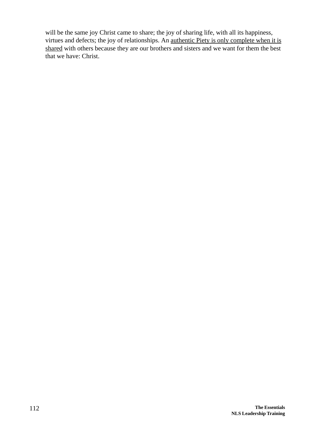will be the same joy Christ came to share; the joy of sharing life, with all its happiness, virtues and defects; the joy of relationships. An authentic Piety is only complete when it is shared with others because they are our brothers and sisters and we want for them the best that we have: Christ.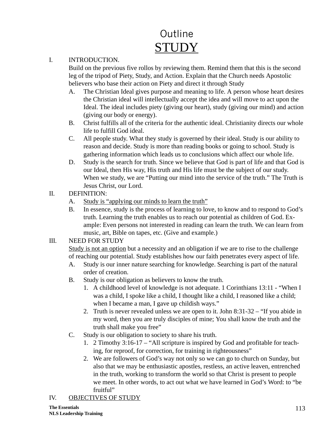# Outline **STUDY**

#### I. INTRODUCTION.

Build on the previous five rollos by reviewing them. Remind them that this is the second leg of the tripod of Piety, Study, and Action. Explain that the Church needs Apostolic believers who base their action on Piety and direct it through Study

- A. The Christian Ideal gives purpose and meaning to life. A person whose heart desires the Christian ideal will intellectually accept the idea and will move to act upon the Ideal. The ideal includes piety (giving our heart), study (giving our mind) and action (giving our body or energy).
- B. Christ fulfills all of the criteria for the authentic ideal. Christianity directs our whole life to fulfill God ideal.
- C. All people study. What they study is governed by their ideal. Study is our ability to reason and decide. Study is more than reading books or going to school. Study is gathering information which leads us to conclusions which affect our whole life.
- D. Study is the search for truth. Since we believe that God is part of life and that God is our Ideal, then His way, His truth and His life must be the subject of our study. When we study, we are "Putting our mind into the service of the truth." The Truth is Jesus Christ, our Lord.
- II. DEFINITION:
	- A. Study is "applying our minds to learn the truth"
	- B. In essence, study is the process of learning to love, to know and to respond to God's truth. Learning the truth enables us to reach our potential as children of God. Example: Even persons not interested in reading can learn the truth. We can learn from music, art, Bible on tapes, etc. (Give and example.)

### III. NEED FOR STUDY

Study is not an option but a necessity and an obligation if we are to rise to the challenge of reaching our potential. Study establishes how our faith penetrates every aspect of life.

- A. Study is our inner nature searching for knowledge. Searching is part of the natural order of creation.
- B. Study is our obligation as believers to know the truth.
	- 1. A childhood level of knowledge is not adequate. 1 Corinthians 13:11 "When I was a child, I spoke like a child, I thought like a child, I reasoned like a child; when I became a man, I gave up childish ways."
	- 2. Truth is never revealed unless we are open to it. John 8:31-32 "If you abide in my word, then you are truly disciples of mine; You shall know the truth and the truth shall make you free"
- C. Study is our obligation to society to share his truth.
	- 1. 2 Timothy 3:16-17 "All scripture is inspired by God and profitable for teaching, for reproof, for correction, for training in righteousness"
	- 2. We are followers of God's way not only so we can go to church on Sunday, but also that we may be enthusiastic apostles, restless, an active leaven, entrenched in the truth, working to transform the world so that Christ is present to people we meet. In other words, to act out what we have learned in God's Word: to "be fruitful"

## IV. OBJECTIVES OF STUDY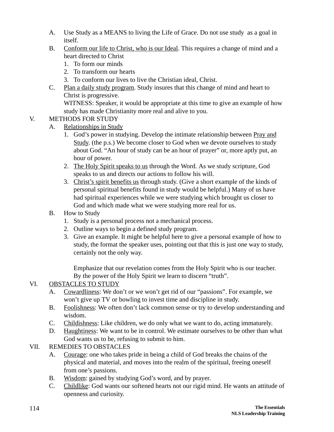- A. Use Study as a MEANS to living the Life of Grace. Do not use study as a goal in itself.
- B. Conform our life to Christ, who is our Ideal. This requires a change of mind and a heart directed to Christ
	- 1. To form our minds
	- 2. To transform our hearts
	- 3. To conform our lives to live the Christian ideal, Christ.
- C. Plan a daily study program. Study insures that this change of mind and heart to Christ is progressive.

WITNESS: Speaker, it would be appropriate at this time to give an example of how study has made Christianity more real and alive to you.

## V. METHODS FOR STUDY

- A. Relationships in Study
	- 1. God's power in studying. Develop the intimate relationship between Pray and Study. (the p.s.) We become closer to God when we devote ourselves to study about God. "An hour of study can be an hour of prayer" or, more aptly put, an hour of power.
	- 2. The Holy Spirit speaks to us through the Word. As we study scripture, God speaks to us and directs our actions to follow his will.
	- 3. Christ's spirit benefits us through study. (Give a short example of the kinds of personal spiritual benefits found in study would be helpful.) Many of us have had spiritual experiences while we were studying which brought us closer to God and which made what we were studying more real for us.
- B. How to Study
	- 1. Study is a personal process not a mechanical process.
	- 2. Outline ways to begin a defined study program.
	- 3. Give an example. It might be helpful here to give a personal example of how to study, the format the speaker uses, pointing out that this is just one way to study, certainly not the only way.

Emphasize that our revelation comes from the Holy Spirit who is our teacher. By the power of the Holy Spirit we learn to discern "truth".

## VI. OBSTACLES TO STUDY

- A. Cowardliness: We don't or we won't get rid of our "passions". For example, we won't give up TV or bowling to invest time and discipline in study.
- B. Foolishness: We often don't lack common sense or try to develop understanding and wisdom.
- C. Childishness: Like children, we do only what we want to do, acting immaturely.
- D. Haughtiness: We want to be in control. We estimate ourselves to be other than what God wants us to be, refusing to submit to him.
- VII. REMEDIES TO OBSTACLES
	- A. Courage: one who takes pride in being a child of God breaks the chains of the physical and material, and moves into the realm of the spiritual, freeing oneself from one's passions.
	- B. Wisdom: gained by studying God's word, and by prayer.
	- C. Childlike: God wants our softened hearts not our rigid mind. He wants an attitude of openness and curiosity.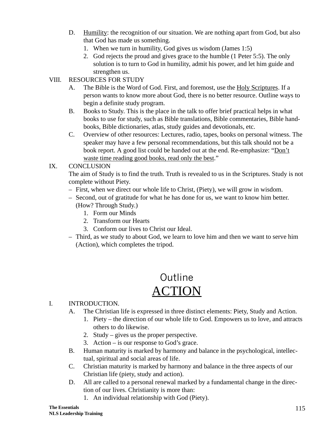- D. Humility: the recognition of our situation. We are nothing apart from God, but also that God has made us something.
	- 1. When we turn in humility, God gives us wisdom (James 1:5)
	- 2. God rejects the proud and gives grace to the humble (1 Peter 5:5). The only solution is to turn to God in humility, admit his power, and let him guide and strengthen us.
- VIII. RESOURCES FOR STUDY
	- A. The Bible is the Word of God. First, and foremost, use the Holy Scriptures. If a person wants to know more about God, there is no better resource. Outline ways to begin a definite study program.
	- B. Books to Study. This is the place in the talk to offer brief practical helps in what books to use for study, such as Bible translations, Bible commentaries, Bible handbooks, Bible dictionaries, atlas, study guides and devotionals, etc.
	- C. Overview of other resources: Lectures, radio, tapes, books on personal witness. The speaker may have a few personal recommendations, but this talk should not be a book report. A good list could be handed out at the end. Re-emphasize: "Don't waste time reading good books, read only the best."

### IX. CONCLUSION

The aim of Study is to find the truth. Truth is revealed to us in the Scriptures. Study is not complete without Piety.

- First, when we direct our whole life to Christ, (Piety), we will grow in wisdom.
- Second, out of gratitude for what he has done for us, we want to know him better. (How? Through Study.)
	- 1. Form our Minds
	- 2. Transform our Hearts
	- 3. Conform our lives to Christ our Ideal.
- Third, as we study to about God, we learn to love him and then we want to serve him (Action), which completes the tripod.

## Outline ACTION

## I. INTRODUCTION.

- A. The Christian life is expressed in three distinct elements: Piety, Study and Action.
	- 1. Piety the direction of our whole life to God. Empowers us to love, and attracts others to do likewise.
	- 2. Study gives us the proper perspective.
	- 3. Action is our response to God's grace.
- B. Human maturity is marked by harmony and balance in the psychological, intellectual, spiritual and social areas of life.
- C. Christian maturity is marked by harmony and balance in the three aspects of our Christian life (piety, study and action).
- D. All are called to a personal renewal marked by a fundamental change in the direction of our lives. Christianity is more than:
	- 1. An individual relationship with God (Piety).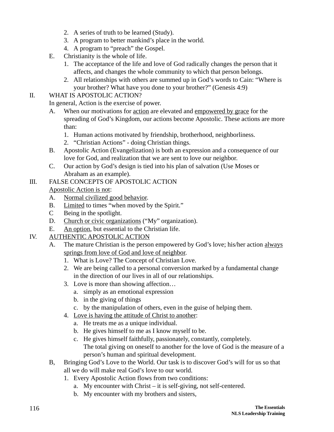- 2. A series of truth to be learned (Study).
- 3. A program to better mankind's place in the world.
- 4. A program to "preach" the Gospel.
- E. Christianity is the whole of life.
	- 1. The acceptance of the life and love of God radically changes the person that it affects, and changes the whole community to which that person belongs.
	- 2. All relationships with others are summed up in God's words to Cain: "Where is your brother? What have you done to your brother?" (Genesis 4:9)

## II. WHAT IS APOSTOLIC ACTION?

In general, Action is the exercise of power.

- A. When our motivations for action are elevated and empowered by grace for the spreading of God's Kingdom, our actions become Apostolic. These actions are more than:
	- 1. Human actions motivated by friendship, brotherhood, neighborliness.
	- 2. "Christian Actions" doing Christian things.
- B. Apostolic Action (Evangelization) is both an expression and a consequence of our love for God, and realization that we are sent to love our neighbor.
- C. Our action by God's design is tied into his plan of salvation (Use Moses or Abraham as an example).

## III. FALSE CONCEPTS OF APOSTOLIC ACTION

Apostolic Action is not:

- A. Normal civilized good behavior.
- B. Limited to times "when moved by the Spirit."
- C Being in the spotlight.
- D. Church or civic organizations ("My" organization).
- E. An option, but essential to the Christian life.
- IV. AUTHENTIC APOSTOLIC ACTION
	- A. The mature Christian is the person empowered by God's love; his/her action always springs from love of God and love of neighbor.
		- 1. What is Love? The Concept of Christian Love.
		- 2. We are being called to a personal conversion marked by a fundamental change in the direction of our lives in all of our relationships.
		- 3. Love is more than showing affection…
			- a. simply as an emotional expression
			- b. in the giving of things
			- c. by the manipulation of others, even in the guise of helping them.
		- 4. Love is having the attitude of Christ to another:
			- a. He treats me as a unique individual.
			- b. He gives himself to me as I know myself to be.
			- c. He gives himself faithfully, passionately, constantly, completely. The total giving on oneself to another for the love of God is the measure of a person's human and spiritual development.
	- B, Bringing God's Love to the World. Our task is to discover God's will for us so that all we do will make real God's love to our world.
		- 1. Every Apostolic Action flows from two conditions:
			- a. My encounter with Christ it is self-giving, not self-centered.
			- b. My encounter with my brothers and sisters,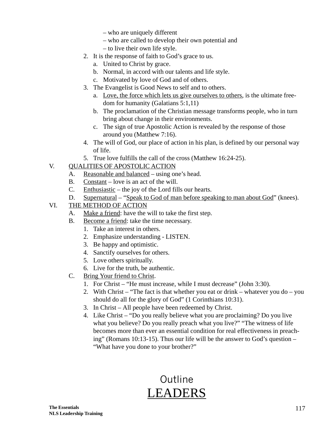- who are uniquely different
- who are called to develop their own potential and
- to live their own life style.
- 2. It is the response of faith to God's grace to us.
	- a. United to Christ by grace.
	- b. Normal, in accord with our talents and life style.
	- c. Motivated by love of God and of others.
- 3. The Evangelist is Good News to self and to others.
	- a. Love, the force which lets us give ourselves to others, is the ultimate freedom for humanity (Galatians 5:1,11)
	- b. The proclamation of the Christian message transforms people, who in turn bring about change in their environments.
	- c. The sign of true Apostolic Action is revealed by the response of those around you (Matthew 7:16).
- 4. The will of God, our place of action in his plan, is defined by our personal way of life.
- 5. True love fulfills the call of the cross (Matthew 16:24-25).

#### V. QUALITIES OF APOSTOLIC ACTION

- A. Reasonable and balanced using one's head.
- B. Constant love is an act of the will.
- C. Enthusiastic the joy of the Lord fills our hearts.
- D. Supernatural "Speak to God of man before speaking to man about God" (knees).
- VI. THE METHOD OF ACTION
	- A. Make a friend: have the will to take the first step.
	- B. Become a friend: take the time necessary.
		- 1. Take an interest in others.
		- 2. Emphasize understanding LISTEN.
		- 3. Be happy and optimistic.
		- 4. Sanctify ourselves for others.
		- 5. Love others spiritually.
		- 6. Live for the truth, be authentic.
	- C. Bring Your friend to Christ.
		- 1. For Christ "He must increase, while I must decrease" (John 3:30).
		- 2. With Christ "The fact is that whether you eat or drink whatever you do you should do all for the glory of God" (1 Corinthians 10:31).
		- 3. In Christ All people have been redeemed by Christ.
		- 4. Like Christ "Do you really believe what you are proclaiming? Do you live what you believe? Do you really preach what you live?" "The witness of life becomes more than ever an essential condition for real effectiveness in preaching" (Romans 10:13-15). Thus our life will be the answer to God's question – "What have you done to your brother?"

## Outline LEADERS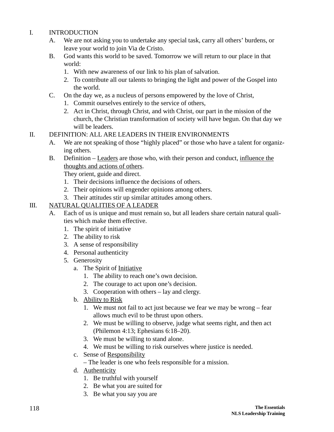#### I. INTRODUCTION

- A. We are not asking you to undertake any special task, carry all others' burdens, or leave your world to join Via de Cristo.
- B. God wants this world to be saved. Tomorrow we will return to our place in that world:
	- 1. With new awareness of our link to his plan of salvation.
	- 2. To contribute all our talents to bringing the light and power of the Gospel into the world.
- C. On the day we, as a nucleus of persons empowered by the love of Christ,
	- 1. Commit ourselves entirely to the service of others,
	- 2. Act in Christ, through Christ, and with Christ, our part in the mission of the church, the Christian transformation of society will have begun. On that day we will be leaders.
- II. DEFINITION: ALL ARE LEADERS IN THEIR ENVIRONMENTS
	- A. We are not speaking of those "highly placed" or those who have a talent for organizing others.
	- B. Definition Leaders are those who, with their person and conduct, influence the thoughts and actions of others.

They orient, guide and direct.

- 1. Their decisions influence the decisions of others.
- 2. Their opinions will engender opinions among others.
- 3. Their attitudes stir up similar attitudes among others.

## III. NATURAL QUALITIES OF A LEADER

- A. Each of us is unique and must remain so, but all leaders share certain natural qualities which make them effective.
	- 1. The spirit of initiative
	- 2. The ability to risk
	- 3. A sense of responsibility
	- 4. Personal authenticity
	- 5. Generosity
		- a. The Spirit of Initiative
			- 1. The ability to reach one's own decision.
			- 2. The courage to act upon one's decision.
			- 3. Cooperation with others lay and clergy.
		- b. Ability to Risk
			- 1. We must not fail to act just because we fear we may be wrong fear allows much evil to be thrust upon others.
			- 2. We must be willing to observe, judge what seems right, and then act (Philemon 4:13; Ephesians 6:18–20).
			- 3. We must be willing to stand alone.
			- 4. We must be willing to risk ourselves where justice is needed.
		- c. Sense of Responsibility
			- The leader is one who feels responsible for a mission.
		- d. Authenticity
			- 1. Be truthful with yourself
			- 2. Be what you are suited for
			- 3. Be what you say you are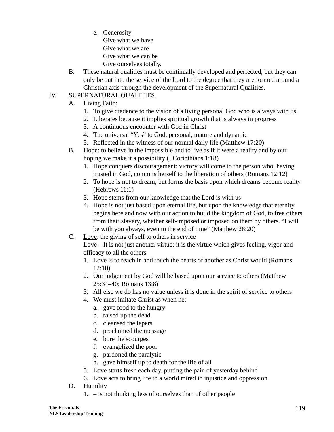e. Generosity

Give what we have Give what we are Give what we can be Give ourselves totally.

B. These natural qualities must be continually developed and perfected, but they can only be put into the service of the Lord to the degree that they are formed around a Christian axis through the development of the Supernatural Qualities.

## IV. SUPERNATURAL QUALITIES

- A. Living Faith:
	- 1. To give credence to the vision of a living personal God who is always with us.
	- 2. Liberates because it implies spiritual growth that is always in progress
	- 3. A continuous encounter with God in Christ
	- 4. The universal "Yes" to God, personal, mature and dynamic
	- 5. Reflected in the witness of our normal daily life (Matthew 17:20)
- B. Hope: to believe in the impossible and to live as if it were a reality and by our hoping we make it a possibility (I Corinthians 1:18)
	- 1. Hope conquers discouragement: victory will come to the person who, having trusted in God, commits herself to the liberation of others (Romans 12:12)
	- 2. To hope is not to dream, but forms the basis upon which dreams become reality (Hebrews 11:1)
	- 3. Hope stems from our knowledge that the Lord is with us
	- 4. Hope is not just based upon eternal life, but upon the knowledge that eternity begins here and now with our action to build the kingdom of God, to free others from their slavery, whether self-imposed or imposed on them by others. "I will be with you always, even to the end of time" (Matthew 28:20)
- C. Love: the giving of self to others in service

Love – It is not just another virtue; it is the virtue which gives feeling, vigor and efficacy to all the others

- 1. Love is to reach in and touch the hearts of another as Christ would (Romans 12:10)
- 2. Our judgement by God will be based upon our service to others (Matthew 25:34–40; Romans 13:8)
- 3. All else we do has no value unless it is done in the spirit of service to others
- 4. We must imitate Christ as when he:
	- a. gave food to the hungry
	- b. raised up the dead
	- c. cleansed the lepers
	- d. proclaimed the message
	- e. bore the scourges
	- f. evangelized the poor
	- g. pardoned the paralytic
	- h. gave himself up to death for the life of all
- 5. Love starts fresh each day, putting the pain of yesterday behind
- 6. Love acts to bring life to a world mired in injustice and oppression
- D. Humility
	- 1. is not thinking less of ourselves than of other people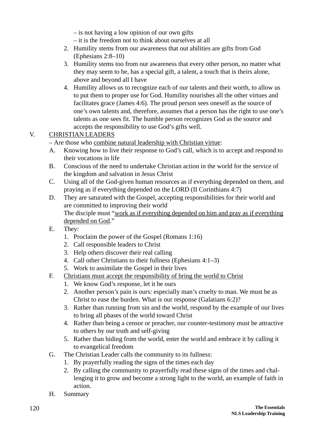– is not having a low opinion of our own gifts

– it is the freedom not to think about ourselves at all

- 2. Humility stems from our awareness that out abilities are gifts from God (Ephesians 2:8–10)
- 3. Humility stems too from our awareness that every other person, no matter what they may seem to be, has a special gift, a talent, a touch that is theirs alone, above and beyond all I have
- 4. Humility allows us to recognize each of our talents and their worth, to allow us to put them to proper use for God. Humility nourishes all the other virtues and facilitates grace (James 4:6). The proud person sees oneself as the source of one's own talents and, therefore, assumes that a person has the right to use one's talents as one sees fit. The humble person recognizes God as the source and accepts the responsibility to use God's gifts well.

## V. CHRISTIAN LEADERS

– Are those who combine natural leadership with Christian virtue:

- A. Knowing how to live their response to God's call, which is to accept and respond to their vocations in life
- B. Conscious of the need to undertake Christian action in the world for the service of the kingdom and salvation in Jesus Christ
- C. Using all of the God-given human resources as if everything depended on them, and praying as if everything depended on the LORD (II Corinthians 4:7)
- D. They are saturated with the Gospel, accepting responsibilities for their world and are committed to improving their world The disciple must "work as if everything depended on him and pray as if everything depended on God."
- E. They:
	- 1. Proclaim the power of the Gospel (Romans 1:16)
	- 2. Call responsible leaders to Christ
	- 3. Help others discover their real calling
	- 4. Call other Christians to their fullness (Ephesians 4:1–3)
	- 5. Work to assimilate the Gospel in their lives
- F. Christians must accept the responsibility of bring the world to Christ
	- 1. We know God's response, let it be ours
	- 2. Another person's pain is ours: especially man's cruelty to man. We must be as Christ to ease the burden. What is our response (Galatians 6:2)?
	- 3. Rather than running from sin and the world, respond by the example of our lives to bring all phases of the world toward Christ
	- 4. Rather than being a censor or preacher, our counter-testimony must be attractive to others by our truth and self-giving
	- 5. Rather than hiding from the world, enter the world and embrace it by calling it to evangelical freedom
- G. The Christian Leader calls the community to its fullness:
	- 1. By prayerfully reading the signs of the times each day
	- 2. By calling the community to prayerfully read these signs of the times and challenging it to grow and become a strong light to the world, an example of faith in action.
- H. Summary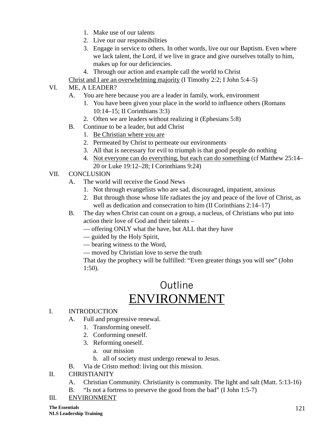- 1. Make use of our talents
- 2. Live our our responsibilities
- 3. Engage in service to others. In other words, live our our Baptism. Even where we lack talent, the Lord, if we live in grace and give ourselves totally to him, makes up for our deficiencies.
- 4. Through our action and example call the world to Christ
- Christ and I are an overwhelming majority (I Timothy 2:2; I John 5:4–5)

### VI. ME, A LEADER?

- A. You are here because you are a leader in family, work, environment
	- 1. You have been given your place in the world to influence others (Romans 10:14–15; II Corinthians 3:3)
	- 2. Often we are leaders without realizing it (Ephesians 5:8)
- B. Continue to be a leader, but add Christ
	- 1. Be Christian where you are
	- 2. Permeated by Christ to permeate our environments
	- 3. All that is necessary for evil to triumph is that good people do nothing
	- 4. Not everyone can do everything, but each can do something (cf Matthew 25:14– 20 or Luke 19:12–28; I Corinthians 9:24)
- VII. CONCLUSION
	- A. The world will receive the Good News
		- 1. Not through evangelists who are sad, discouraged, impatient, anxious
		- 2. But through those whose life radiates the joy and peace of the love of Christ, as well as dedication and consecration to him (II Corinthians 2:14–17)
	- B. The day when Christ can count on a group, a nucleus, of Christians who put into action their love of God and their talents –
		- offering ONLY what the have, but ALL that they have
		- guided by the Holy Spirit,
		- bearing witness to the Word,
		- moved by Christian love to serve the truth

That day the prophecy will be fulfilled: "Even greater things you will see" (John 1:50).

## Outline ENVIRONMENT

#### I. INTRODUCTION

- A. Full and progressive renewal.
	- 1. Transforming oneself.
	- 2. Conforming oneself.
	- 3. Reforming oneself.
		- a. our mission
		- b. all of society must undergo renewal to Jesus.
- B. Via de Cristo method: living out this mission.
- II. CHRISTIANITY
	- A. Christian Community. Christianity is community. The light and salt (Matt. 5:13-16)
	- B. "Is not a fortress to preserve the good from the bad" (I John 1:5-7)
- III. ENVIRONMENT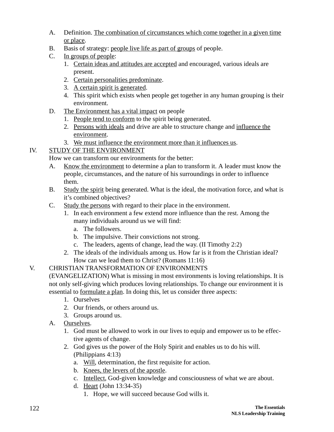- A. Definition. The combination of circumstances which come together in a given time or place.
- B. Basis of strategy: people live life as part of groups of people.
- C. In groups of people:
	- 1. Certain ideas and attitudes are accepted and encouraged, various ideals are present.
	- 2. Certain personalities predominate.
	- 3. A certain spirit is generated.
	- 4. This spirit which exists when people get together in any human grouping is their environment.
- D. The Environment has a vital impact on people
	- 1. People tend to conform to the spirit being generated.
	- 2. Persons with ideals and drive are able to structure change and influence the environment.
	- 3. We must influence the environment more than it influences us.

## IV. STUDY OF THE ENVIRONMENT

How we can transform our environments for the better:

- A. Know the environment to determine a plan to transform it. A leader must know the people, circumstances, and the nature of his surroundings in order to influence them.
- B. Study the spirit being generated. What is the ideal, the motivation force, and what is it's combined objectives?
- C. Study the persons with regard to their place in the environment.
	- 1. In each environment a few extend more influence than the rest. Among the many individuals around us we will find:
		- a. The followers.
		- b. The impulsive. Their convictions not strong.
		- c. The leaders, agents of change, lead the way. (II Timothy 2:2)
	- 2. The ideals of the individuals among us. How far is it from the Christian ideal? How can we lead them to Christ? (Romans 11:16)

## V. CHRISTIAN TRANSFORMATION OF ENVIRONMENTS

(EVANGELIZATION) What is missing in most environments is loving relationships. It is not only self-giving which produces loving relationships. To change our environment it is essential to formulate a plan. In doing this, let us consider three aspects:

- 1. Ourselves
- 2. Our friends, or others around us.
- 3. Groups around us.
- A. Ourselves.
	- 1. God must be allowed to work in our lives to equip and empower us to be effective agents of change.
	- 2. God gives us the power of the Holy Spirit and enables us to do his will. (Philippians 4:13)
		- a. Will, determination, the first requisite for action.
		- b. Knees, the levers of the apostle.
		- c. Intellect, God-given knowledge and consciousness of what we are about.
		- d. Heart (John 13:34-35)
			- 1. Hope, we will succeed because God wills it.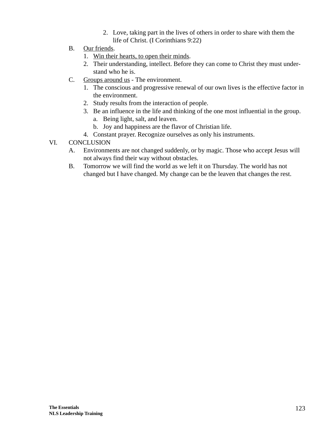- 2. Love, taking part in the lives of others in order to share with them the life of Christ. (I Corinthians 9:22)
- B. Our friends.
	- 1. Win their hearts, to open their minds.
	- 2. Their understanding, intellect. Before they can come to Christ they must understand who he is.
- C. Groups around us The environment.
	- 1. The conscious and progressive renewal of our own lives is the effective factor in the environment.
	- 2. Study results from the interaction of people.
	- 3. Be an influence in the life and thinking of the one most influential in the group.
		- a. Being light, salt, and leaven.
		- b. Joy and happiness are the flavor of Christian life.
	- 4. Constant prayer. Recognize ourselves as only his instruments.
- VI. CONCLUSION
	- A. Environments are not changed suddenly, or by magic. Those who accept Jesus will not always find their way without obstacles.
	- B. Tomorrow we will find the world as we left it on Thursday. The world has not changed but I have changed. My change can be the leaven that changes the rest.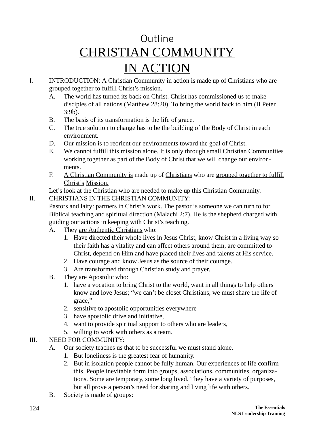# Outline CHRISTIAN COMMUNITY IN ACTION

- I. INTRODUCTION: A Christian Community in action is made up of Christians who are grouped together to fulfill Christ's mission.
	- A. The world has turned its back on Christ. Christ has commissioned us to make disciples of all nations (Matthew 28:20). To bring the world back to him (II Peter 3:9b).
	- B. The basis of its transformation is the life of grace.
	- C. The true solution to change has to be the building of the Body of Christ in each environment.
	- D. Our mission is to reorient our environments toward the goal of Christ.
	- E. We cannot fulfill this mission alone. It is only through small Christian Communities working together as part of the Body of Christ that we will change our environments.
	- F. A Christian Community is made up of Christians who are grouped together to fulfill Christ's Mission.

Let's look at the Christian who are needed to make up this Christian Community.

## II. CHRISTIANS IN THE CHRISTIAN COMMUNITY:

Pastors and laity: partners in Christ's work. The pastor is someone we can turn to for Biblical teaching and spiritual direction (Malachi 2:7). He is the shepherd charged with guiding our actions in keeping with Christ's teaching.

- A. They are Authentic Christians who:
	- 1. Have directed their whole lives in Jesus Christ, know Christ in a living way so their faith has a vitality and can affect others around them, are committed to Christ, depend on Him and have placed their lives and talents at His service.
	- 2. Have courage and know Jesus as the source of their courage.
	- 3. Are transformed through Christian study and prayer.
- B. They are Apostolic who:
	- 1. have a vocation to bring Christ to the world, want in all things to help others know and love Jesus; "we can't be closet Christians, we must share the life of grace,"
	- 2. sensitive to apostolic opportunities everywhere
	- 3. have apostolic drive and initiative,
	- 4. want to provide spiritual support to others who are leaders,
	- 5. willing to work with others as a team.

## III. NEED FOR COMMUNITY:

- A. Our society teaches us that to be successful we must stand alone.
	- 1. But loneliness is the greatest fear of humanity.
	- 2. But in isolation people cannot be fully human. Our experiences of life confirm this. People inevitable form into groups, associations, communities, organizations. Some are temporary, some long lived. They have a variety of purposes, but all prove a person's need for sharing and living life with others.
- B. Society is made of groups: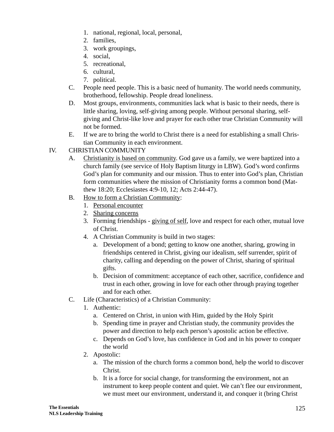- 1. national, regional, local, personal,
- 2. families,
- 3. work groupings,
- 4. social,
- 5. recreational,
- 6. cultural,
- 7. political.
- C. People need people. This is a basic need of humanity. The world needs community, brotherhood, fellowship. People dread loneliness.
- D. Most groups, environments, communities lack what is basic to their needs, there is little sharing, loving, self-giving among people. Without personal sharing, selfgiving and Christ-like love and prayer for each other true Christian Community will not be formed.
- E. If we are to bring the world to Christ there is a need for establishing a small Christian Community in each environment.

### IV. CHRISTIAN COMMUNITY

- A. Christianity is based on community. God gave us a family, we were baptized into a church family (see service of Holy Baptism liturgy in LBW). God's word confirms God's plan for community and our mission. Thus to enter into God's plan, Christian form communities where the mission of Christianity forms a common bond (Matthew 18:20; Ecclesiastes 4:9-10, 12; Acts 2:44-47).
- B. How to form a Christian Community:
	- 1. Personal encounter
	- 2. Sharing concerns
	- 3. Forming friendships giving of self, love and respect for each other, mutual love of Christ.
	- 4. A Christian Community is build in two stages:
		- a. Development of a bond; getting to know one another, sharing, growing in friendships centered in Christ, giving our idealism, self surrender, spirit of charity, calling and depending on the power of Christ, sharing of spiritual gifts.
		- b. Decision of commitment: acceptance of each other, sacrifice, confidence and trust in each other, growing in love for each other through praying together and for each other.
- C. Life (Characteristics) of a Christian Community:
	- 1. Authentic:
		- a. Centered on Christ, in union with Him, guided by the Holy Spirit
		- b. Spending time in prayer and Christian study, the community provides the power and direction to help each person's apostolic action be effective.
		- c. Depends on God's love, has confidence in God and in his power to conquer the world
	- 2. Apostolic:
		- a. The mission of the church forms a common bond, help the world to discover Christ.
		- b. It is a force for social change, for transforming the environment, not an instrument to keep people content and quiet. We can't flee our environment, we must meet our environment, understand it, and conquer it (bring Christ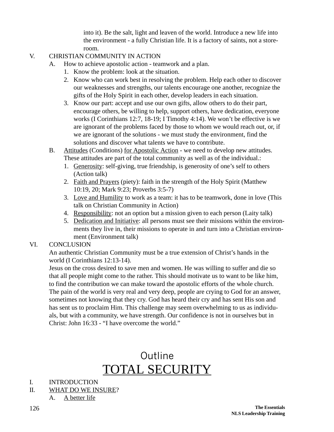into it). Be the salt, light and leaven of the world. Introduce a new life into the environment - a fully Christian life. It is a factory of saints, not a storeroom.

#### V. CHRISTIAN COMMUNITY IN ACTION

- A. How to achieve apostolic action teamwork and a plan.
	- 1. Know the problem: look at the situation.
	- 2. Know who can work best in resolving the problem. Help each other to discover our weaknesses and strengths, our talents encourage one another, recognize the gifts of the Holy Spirit in each other, develop leaders in each situation.
	- 3. Know our part: accept and use our own gifts, allow others to do their part, encourage others, be willing to help, support others, have dedication, everyone works (I Corinthians 12:7, 18-19; I Timothy 4:14). We won't be effective is we are ignorant of the problems faced by those to whom we would reach out, or, if we are ignorant of the solutions - we must study the environment, find the solutions and discover what talents we have to contribute.
- B. Attitudes (Conditions) for Apostolic Action we need to develop new attitudes. These attitudes are part of the total community as well as of the individual.:
	- 1. Generosity: self-giving, true friendship, is generosity of one's self to others (Action talk)
	- 2. Faith and Prayers (piety): faith in the strength of the Holy Spirit (Matthew 10:19, 20; Mark 9:23; Proverbs 3:5-7)
	- 3. Love and Humility to work as a team: it has to be teamwork, done in love (This talk on Christian Community in Action)
	- 4. Responsibility: not an option but a mission given to each person (Laity talk)
	- 5. Dedication and Initiative: all persons must see their missions within the environments they live in, their missions to operate in and turn into a Christian environment (Environment talk)

### VI. CONCLUSION

An authentic Christian Community must be a true extension of Christ's hands in the world (I Corinthians 12:13-14).

Jesus on the cross desired to save men and women. He was willing to suffer and die so that all people might come to the rather. This should motivate us to want to be like him, to find the contribution we can make toward the apostolic efforts of the whole church. The pain of the world is very real and very deep, people are crying to God for an answer, sometimes not knowing that they cry. God has heard their cry and has sent His son and has sent us to proclaim Him. This challenge may seem overwhelming to us as individuals, but with a community, we have strength. Our confidence is not in ourselves but in Christ: John 16:33 - "I have overcome the world."

## Outline TOTAL SECURITY

#### I. INTRODUCTION

- II. WHAT DO WE INSURE?
	- A. A better life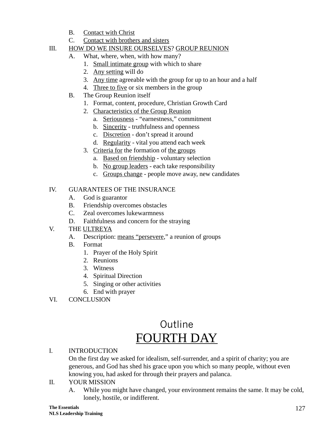- B. Contact with Christ
- C. Contact with brothers and sisters

### III. HOW DO WE INSURE OURSELVES? GROUP REUNION

- A. What, where, when, with how many?
	- 1. Small intimate group with which to share
	- 2. Any setting will do
	- 3. Any time agreeable with the group for up to an hour and a half
	- 4. Three to five or six members in the group
- B. The Group Reunion itself
	- 1. Format, content, procedure, Christian Growth Card
	- 2. Characteristics of the Group Reunion
		- a. Seriousness "earnestness," commitment
		- b. Sincerity truthfulness and openness
		- c. Discretion don't spread it around
		- d. Regularity vital you attend each week
	- 3. Criteria for the formation of the groups
		- a. Based on friendship voluntary selection
		- b. No group leaders each take responsibility
		- c. Groups change people move away, new candidates

## IV. GUARANTEES OF THE INSURANCE

- A. God is guarantor
- B. Friendship overcomes obstacles
- C. Zeal overcomes lukewarmness
- D. Faithfulness and concern for the straying
- V. THE ULTREYA
	- A. Description: means "persevere," a reunion of groups
	- B. Format
		- 1. Prayer of the Holy Spirit
		- 2. Reunions
		- 3. Witness
		- 4. Spiritual Direction
		- 5. Singing or other activities
		- 6. End with prayer
- VI. CONCLUSION

## Outline FOURTH DAY

### I. INTRODUCTION

On the first day we asked for idealism, self-surrender, and a spirit of charity; you are generous, and God has shed his grace upon you which so many people, without even knowing you, had asked for through their prayers and palanca.

### II. YOUR MISSION

A. While you might have changed, your environment remains the same. It may be cold, lonely, hostile, or indifferent.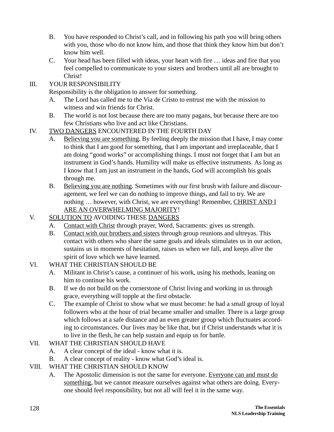- B. You have responded to Christ's call, and in following his path you will bring others with you, those who do not know him, and those that think they know him but don't know him well.
- C. Your head has been filled with ideas, your heart with fire … ideas and fire that you feel compelled to communicate to your sisters and brothers until all are brought to Christ!

#### III. YOUR RESPONSIBILITY

Responsibility is the obligation to answer for something.

- A. The Lord has called me to the Via de Cristo to entrust me with the mission to witness and win friends for Christ.
- B. The world is not lost because there are too many pagans, but because there are too few Christians who live and act like Christians.

#### IV. TWO DANGERS ENCOUNTERED IN THE FOURTH DAY

- A. Believing you are something. By feeling deeply the mission that I have, I may come to think that I am good for something, that I am important and irreplaceable, that I am doing "good works" or accomplishing things. I must not forget that I am but an instrument in God's hands. Humility will make us effective instruments. As long as I know that I am just an instrument in the hands, God will accomplish his goals through me.
- B. Believing you are nothing. Sometimes with our first brush with failure and discouragement, we feel we can do nothing to improve things, and fail to try. We are nothing … however, with Christ, we are everything! Remember, CHRIST AND I ARE AN OVERWHELMING MAJORITY!

### V. SOLUTION TO AVOIDING THESE DANGERS

- A. Contact with Christ through prayer, Word, Sacraments: gives us strength.
- B. Contact with our brothers and sisters through group reunions and ultreyas. This contact with others who share the same goals and ideals stimulates us in our action, sustains us in moments of hesitation, raises us when we fall, and keeps alive the spirit of love which we have learned.

#### VI. WHAT THE CHRISTIAN SHOULD BE

- A. Militant in Christ's cause, a continuer of his work, using his methods, leaning on him to continue his work.
- B. If we do not build on the cornerstone of Christ living and working in us through grace, everything will topple at the first obstacle.
- C. The example of Christ to show what we must become: he had a small group of loyal followers who at the hour of trial became smaller and smaller. There is a large group which follows at a safe distance and an even greater group which fluctuates according to circumstances. Our lives may be like that, but if Christ understands what it is to live in the flesh, he can help sustain and equip us for battle.

### VII. WHAT THE CHRISTIAN SHOULD HAVE

- A. A clear concept of the ideal know what it is.
- B. A clear concept of reality know what God's ideal is.

#### VIII. WHAT THE CHRISTIAN SHOULD KNOW

A. The Apostolic dimension is not the same for everyone. Everyone can and must do something, but we cannot measure ourselves against what others are doing. Everyone should feel responsibility, but not all will feel it in the same way.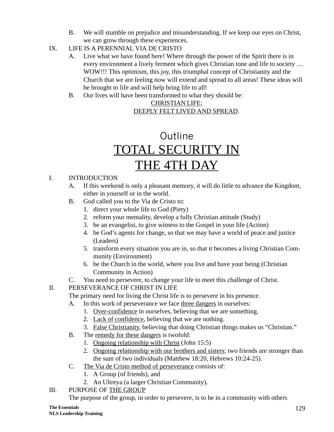- B. We will stumble on prejudice and misunderstanding. If we keep our eyes on Christ, we can grow through these experiences.
- IX. LIFE IS A PERENNIAL VIA DE CRISTO
	- A. Live what we have found here! Where through the power of the Spirit there is in every environment a lively ferment which gives Christian tone and life to society … WOW!!! This optimism, this joy, this triumphal concept of Christianity and the Church that we are feeling now will extend and spread to all areas! These ideas will be brought to life and will help bring life to all!
	- B. Our lives will have been transformed to what they should be:

### CHRISTIAN LIFE; DEEPLY FELT LIVED AND SPREAD.

# Outline TOTAL SECURITY IN THE 4TH DAY

## I. INTRODUCTION

- A. If this weekend is only a pleasant memory, it will do little to advance the Kingdom, either in yourself or in the world.
- B. God called you to the Via de Cristo to:
	- 1. direct your whole life to God (Piety)
	- 2. reform your mentality, develop a fully Christian attitude (Study)
	- 3. be an evangelist, to give witness to the Gospel in your life (Action)
	- 4. be God's agents for change, so that we may have a world of peace and justice (Leaders)
	- 5. transform every situation you are in, so that it becomes a living Christian Community (Environment)
	- 6. be the Church in the world, where you live and have your being (Christian Community in Action)
- C. You need to persevere, to change your life to meet this challenge of Christ.

## II. PERSEVERANCE OF CHRIST IN LIFE

The primary need for living the Christ life is to persevere in his presence.

- A. In this work of perseverance we face three dangers in ourselves:
	- 1. Over-confidence in ourselves, believing that we are something.
	- 2. Lack of confidence, believing that we are nothing.
	- 3. False Christianity, believing that doing Christian things makes us "Christian."
- B. The remedy for these dangers is twofold:
	- 1. Ongoing relationship with Christ (John 15:5)
	- 2. Ongoing relationship with our brothers and sisters; two friends are stronger than the sum of two individuals (Matthew 18:20, Hebrews 10:24-25).
- C. The Via de Cristo method of perseverance consists of:
	- 1. A Group (of friends), and
	- 2. An Ultreya (a larger Christian Community).
- III. PURPOSE OF THE GROUP

The purpose of the group, in order to persevere, is to be in a community with others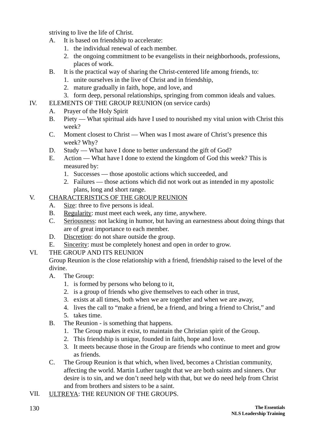striving to live the life of Christ.

- A. It is based on friendship to accelerate:
	- 1. the individual renewal of each member.
	- 2. the ongoing commitment to be evangelists in their neighborhoods, professions, places of work.
- B. It is the practical way of sharing the Christ-centered life among friends, to:
	- 1. unite ourselves in the live of Christ and in friendship,
	- 2. mature gradually in faith, hope, and love, and
	- 3. form deep, personal relationships, springing from common ideals and values.
- IV. ELEMENTS OF THE GROUP REUNION (on service cards)
	- A. Prayer of the Holy Spirit
	- B. Piety What spiritual aids have I used to nourished my vital union with Christ this week?
	- C. Moment closest to Christ When was I most aware of Christ's presence this week? Why?
	- D. Study What have I done to better understand the gift of God?
	- E. Action What have I done to extend the kingdom of God this week? This is measured by:
		- 1. Successes those apostolic actions which succeeded, and
		- 2. Failures those actions which did not work out as intended in my apostolic plans, long and short range.

## V. CHARACTERISTICS OF THE GROUP REUNION

- A. Size: three to five persons is ideal.
- B. Regularity: must meet each week, any time, anywhere.
- C. Seriousness: not lacking in humor, but having an earnestness about doing things that are of great importance to each member.
- D. Discretion: do not share outside the group.
- E. Sincerity: must be completely honest and open in order to grow.

### VI. THE GROUP AND ITS REUNION

Group Reunion is the close relationship with a friend, friendship raised to the level of the divine.

- A. The Group:
	- 1. is formed by persons who belong to it,
	- 2. is a group of friends who give themselves to each other in trust,
	- 3. exists at all times, both when we are together and when we are away,
	- 4. lives the call to "make a friend, be a friend, and bring a friend to Christ," and 5. takes time.
- B. The Reunion is something that happens.
	- 1. The Group makes it exist, to maintain the Christian spirit of the Group.
	- 2. This friendship is unique, founded in faith, hope and love.
	- 3. It meets because those in the Group are friends who continue to meet and grow as friends.
- C. The Group Reunion is that which, when lived, becomes a Christian community, affecting the world. Martin Luther taught that we are both saints and sinners. Our desire is to sin, and we don't need help with that, but we do need help from Christ and from brothers and sisters to be a saint.
- VII. ULTREYA: THE REUNION OF THE GROUPS.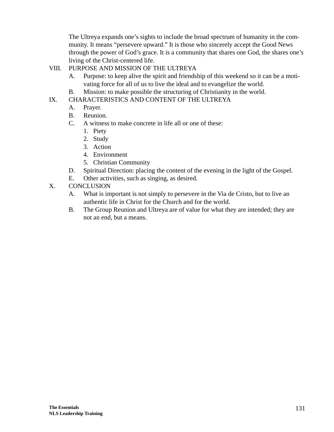The Ultreya expands one's sights to include the broad spectrum of humanity in the community. It means "persevere upward." It is those who sincerely accept the Good News through the power of God's grace. It is a community that shares one God, the shares one's living of the Christ-centered life.

#### VIII. PURPOSE AND MISSION OF THE ULTREYA

- A. Purpose: to keep alive the spirit and friendship of this weekend so it can be a motivating force for all of us to live the ideal and to evangelize the world.
- B. Mission: to make possible the structuring of Christianity in the world.

#### IX. CHARACTERISTICS AND CONTENT OF THE ULTREYA

- A. Prayer.
- B. Reunion.
- C. A witness to make concrete in life all or one of these:
	- 1. Piety
	- 2. Study
	- 3. Action
	- 4. Environment
	- 5. Christian Community
- D. Spiritual Direction: placing the content of the evening in the light of the Gospel.
- E. Other activities, such as singing, as desired.
- X. CONCLUSION
	- A. What is important is not simply to persevere in the Via de Cristo, but to live an authentic life in Christ for the Church and for the world.
	- B. The Group Reunion and Ultreya are of value for what they are intended; they are not an end, but a means.